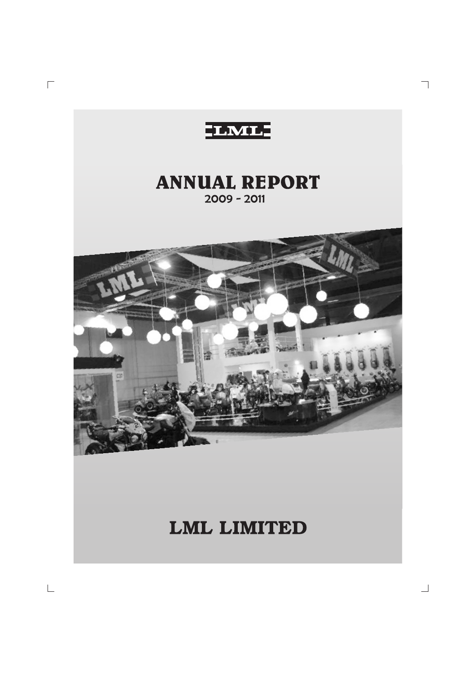

 $\overline{\phantom{a}}$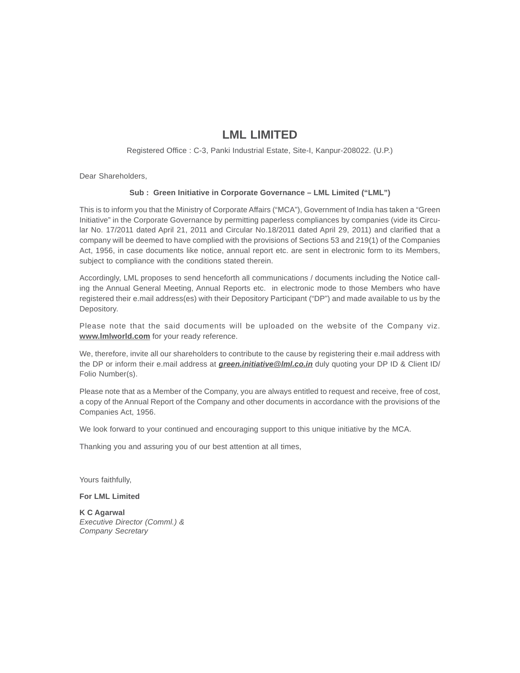# **LML LIMITED**

Registered Office : C-3, Panki Industrial Estate, Site-I, Kanpur-208022. (U.P.)

Dear Shareholders,

# **Sub : Green Initiative in Corporate Governance – LML Limited ("LML")**

This is to inform you that the Ministry of Corporate Affairs ("MCA"), Government of India has taken a "Green Initiative" in the Corporate Governance by permitting paperless compliances by companies (vide its Circular No. 17/2011 dated April 21, 2011 and Circular No.18/2011 dated April 29, 2011) and clarified that a company will be deemed to have complied with the provisions of Sections 53 and 219(1) of the Companies Act, 1956, in case documents like notice, annual report etc. are sent in electronic form to its Members, subject to compliance with the conditions stated therein.

Accordingly, LML proposes to send henceforth all communications / documents including the Notice calling the Annual General Meeting, Annual Reports etc. in electronic mode to those Members who have registered their e.mail address(es) with their Depository Participant ("DP") and made available to us by the Depository.

Please note that the said documents will be uploaded on the website of the Company viz. **www.lmlworld.com** for your ready reference.

We, therefore, invite all our shareholders to contribute to the cause by registering their e.mail address with the DP or inform their e.mail address at *green.initiative@lml.co.in* duly quoting your DP ID & Client ID/ Folio Number(s).

Please note that as a Member of the Company, you are always entitled to request and receive, free of cost, a copy of the Annual Report of the Company and other documents in accordance with the provisions of the Companies Act, 1956.

We look forward to your continued and encouraging support to this unique initiative by the MCA.

Thanking you and assuring you of our best attention at all times,

Yours faithfully,

**For LML Limited**

**K C Agarwal** *Executive Director (Comml.) & Company Secretary*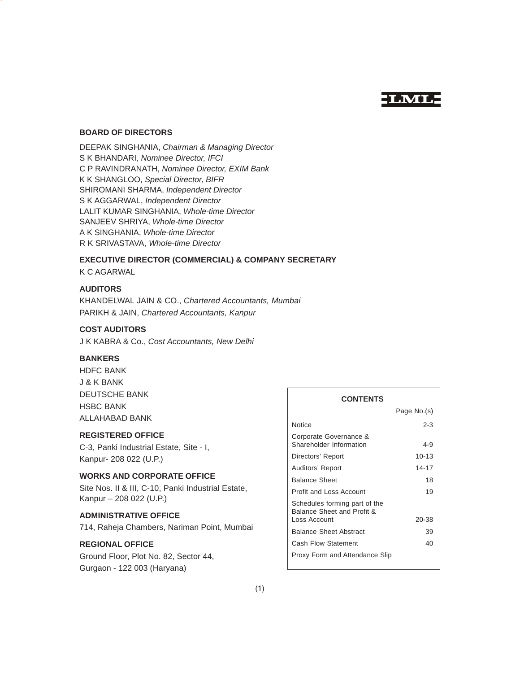# **LML**

# **BOARD OF DIRECTORS**

DEEPAK SINGHANIA, *Chairman & Managing Director* S K BHANDARI, *Nominee Director, IFCI* C P RAVINDRANATH, *Nominee Director, EXIM Bank* K K SHANGLOO, *Special Director, BIFR* SHIROMANI SHARMA, *Independent Director* S K AGGARWAL, *Independent Director* LALIT KUMAR SINGHANIA, *Whole-time Director* SANJEEV SHRIYA, *Whole-time Director* A K SINGHANIA, *Whole-time Director* R K SRIVASTAVA, *Whole-time Director*

# **EXECUTIVE DIRECTOR (COMMERCIAL) & COMPANY SECRETARY**

K C AGARWAL

# **AUDITORS**

KHANDELWAL JAIN & CO., *Chartered Accountants, Mumbai* PARIKH & JAIN, *Chartered Accountants, Kanpur*

# **COST AUDITORS**

J K KABRA & Co., *Cost Accountants, New Delhi*

# **BANKERS**

HDFC BANK J & K BANK DEUTSCHE BANK HSBC BANK ALLAHABAD BANK

# **REGISTERED OFFICE**

C-3, Panki Industrial Estate, Site - I, Kanpur- 208 022 (U.P.)

# **WORKS AND CORPORATE OFFICE**

Site Nos. II & III, C-10, Panki Industrial Estate, Kanpur – 208 022 (U.P.)

# **ADMINISTRATIVE OFFICE**

714, Raheja Chambers, Nariman Point, Mumbai

# **REGIONAL OFFICE**

Ground Floor, Plot No. 82, Sector 44, Gurgaon - 122 003 (Haryana)

# **CONTENTS**

|                                                             | Page No.(s) |
|-------------------------------------------------------------|-------------|
| Notice                                                      | $2 - 3$     |
| Corporate Governance &<br>Shareholder Information           | 4-9         |
| Directors' Report                                           | $10 - 13$   |
| Auditors' Report                                            | 14-17       |
| <b>Balance Sheet</b>                                        | 18          |
| <b>Profit and Loss Account</b>                              | 19          |
| Schedules forming part of the<br>Balance Sheet and Profit & |             |
| Loss Account                                                | 20-38       |
| <b>Balance Sheet Abstract</b>                               | 39          |
| <b>Cash Flow Statement</b>                                  | 40          |
| Proxy Form and Attendance Slip                              |             |
|                                                             |             |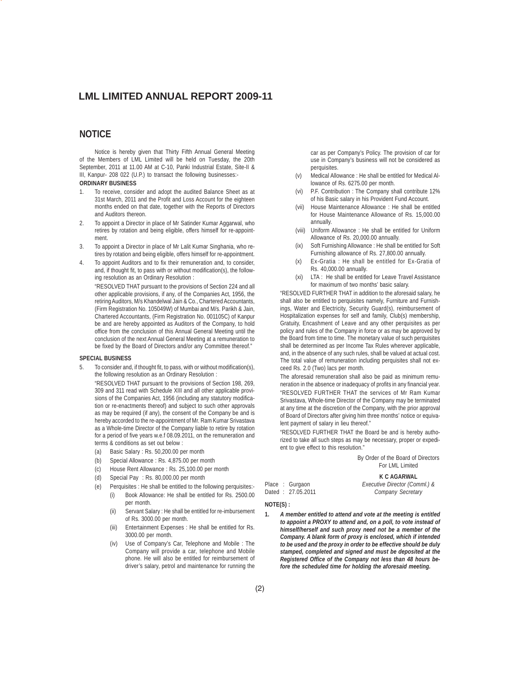# **NOTICE**

Notice is hereby given that Thirty Fifth Annual General Meeting of the Members of LML Limited will be held on Tuesday, the 20th September, 2011 at 11.00 AM at C-10, Panki Industrial Estate, Site-II & III, Kanpur- 208 022 (U.P.) to transact the following businesses:- **ORDINARY BUSINESS**

- 1. To receive, consider and adopt the audited Balance Sheet as at 31st March, 2011 and the Profit and Loss Account for the eighteen months ended on that date, together with the Reports of Directors and Auditors thereon.
- 2. To appoint a Director in place of Mr Satinder Kumar Aggarwal, who retires by rotation and being eligible, offers himself for re-appointment.
- 3. To appoint a Director in place of Mr Lalit Kumar Singhania, who retires by rotation and being eligible, offers himself for re-appointment.
- 4. To appoint Auditors and to fix their remuneration and, to consider, and, if thought fit, to pass with or without modification(s), the following resolution as an Ordinary Resolution :

"RESOLVED THAT pursuant to the provisions of Section 224 and all other applicable provisions, if any, of the Companies Act, 1956, the retiring Auditors, M/s Khandelwal Jain & Co., Chartered Accountants, (Firm Registration No. 105049W) of Mumbai and M/s. Parikh & Jain, Chartered Accountants, (Firm Registration No. 001105C) of Kanpur be and are hereby appointed as Auditors of the Company, to hold office from the conclusion of this Annual General Meeting until the conclusion of the next Annual General Meeting at a remuneration to be fixed by the Board of Directors and/or any Committee thereof."

### **SPECIAL BUSINESS**

5. To consider and, if thought fit, to pass, with or without modification(s), the following resolution as an Ordinary Resolution :

"RESOLVED THAT pursuant to the provisions of Section 198, 269, 309 and 311 read with Schedule XIII and all other applicable provisions of the Companies Act, 1956 (including any statutory modification or re-enactments thereof) and subject to such other approvals as may be required (if any), the consent of the Company be and is hereby accorded to the re-appointment of Mr. Ram Kumar Srivastava as a Whole-time Director of the Company liable to retire by rotation for a period of five years w.e.f 08.09.2011, on the remuneration and terms & conditions as set out below :

- (a) Basic Salary : Rs. 50,200.00 per month
- (b) Special Allowance : Rs. 4,875.00 per month
- (c) House Rent Allowance : Rs. 25,100.00 per month
- (d) Special Pay : Rs. 80,000.00 per month
- (e) Perquisites : He shall be entitled to the following perquisites:- (i) Book Allowance: He shall be entitled for Rs. 2500.00 per month.
	- (ii) Servant Salary : He shall be entitled for re-imbursement of Rs. 3000.00 per month.
	- (iii) Entertainment Expenses : He shall be entitled for Rs. 3000.00 per month.
	- (iv) Use of Company's Car, Telephone and Mobile : The Company will provide a car, telephone and Mobile phone. He will also be entitled for reimbursement of driver's salary, petrol and maintenance for running the

car as per Company's Policy. The provision of car for use in Company's business will not be considered as perquisites.

- (v) Medical Allowance : He shall be entitled for Medical Allowance of Rs. 6275.00 per month.
- (vi) P.F. Contribution : The Company shall contribute 12% of his Basic salary in his Provident Fund Account.
- (vii) House Maintenance Allowance : He shall be entitled for House Maintenance Allowance of Rs. 15,000.00 annually.
- (viii) Uniform Allowance : He shall be entitled for Uniform Allowance of Rs. 20,000.00 annually.
- (ix) Soft Furnishing Allowance : He shall be entitled for Soft Furnishing allowance of Rs. 27,800.00 annually.
- (x) Ex-Gratia : He shall be entitled for Ex-Gratia of Rs. 40,000.00 annually.
- (xi) LTA : He shall be entitled for Leave Travel Assistance for maximum of two months' basic salary.

"RESOLVED FURTHER THAT in addition to the aforesaid salary, he shall also be entitled to perquisites namely, Furniture and Furnishings, Water and Electricity, Security Guard(s), reimbursement of Hospitalization expenses for self and family, Club(s) membership, Gratuity, Encashment of Leave and any other perquisites as per policy and rules of the Company in force or as may be approved by the Board from time to time. The monetary value of such perquisites shall be determined as per Income Tax Rules wherever applicable, and, in the absence of any such rules, shall be valued at actual cost. The total value of remuneration including perquisites shall not exceed Rs. 2.0 (Two) lacs per month.

The aforesaid remuneration shall also be paid as minimum remuneration in the absence or inadequacy of profits in any financial year. "RESOLVED FURTHER THAT the services of Mr Ram Kumar Srivastava, Whole-time Director of the Company may be terminated at any time at the discretion of the Company, with the prior approval of Board of Directors after giving him three months' notice or equivalent payment of salary in lieu thereof."

"RESOLVED FURTHER THAT the Board be and is hereby authorized to take all such steps as may be necessary, proper or expedient to give effect to this resolution."

> By Order of the Board of Directors For LML Limited

### **K C AGARWAL**

Place : Gurgaon *Executive Director (Comml.) &* Dated : 27.05.2011

- **NOTE(S) :**
- **1.** *A member entitled to attend and vote at the meeting is entitled to appoint a PROXY to attend and, on a poll, to vote instead of himself/herself and such proxy need not be a member of the Company. A blank form of proxy is enclosed, which if intended to be used and the proxy in order to be effective should be duly stamped, completed and signed and must be deposited at the Registered Office of the Company not less than 48 hours before the scheduled time for holding the aforesaid meeting.*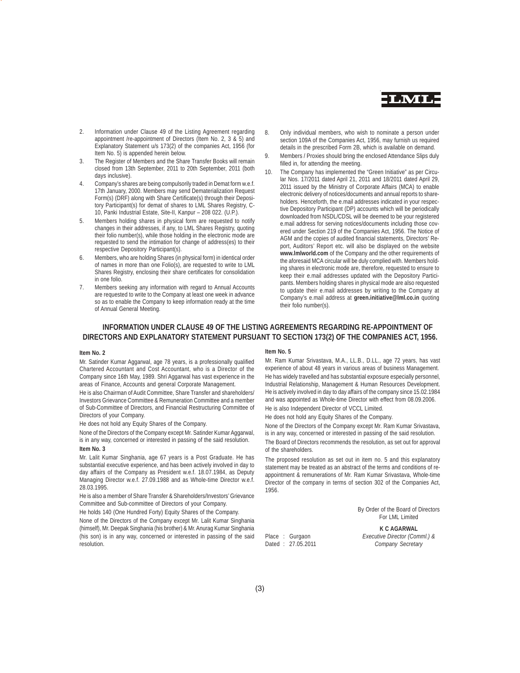

- 2. Information under Clause 49 of the Listing Agreement regarding appointment /re-appointment of Directors (Item No. 2, 3 & 5) and Explanatory Statement u/s 173(2) of the companies Act, 1956 (for Item No. 5) is appended herein below.
- 3. The Register of Members and the Share Transfer Books will remain closed from 13th September, 2011 to 20th September, 2011 (both days inclusive).
- 4. Company's shares are being compulsorily traded in Demat form w.e.f. 17th January, 2000. Members may send Dematerialization Request Form(s) (DRF) along with Share Certificate(s) through their Depository Participant(s) for demat of shares to LML Shares Registry, C-10, Panki Industrial Estate, Site-II, Kanpur – 208 022. (U.P.).
- 5. Members holding shares in physical form are requested to notify changes in their addresses, if any, to LML Shares Registry, quoting their folio number(s), while those holding in the electronic mode are requested to send the intimation for change of address(es) to their respective Depository Participant(s).
- 6. Members, who are holding Shares (in physical form) in identical order of names in more than one Folio(s), are requested to write to LML Shares Registry, enclosing their share certificates for consolidation in one folio.
- 7. Members seeking any information with regard to Annual Accounts are requested to write to the Company at least one week in advance so as to enable the Company to keep information ready at the time of Annual General Meeting.
- 8. Only individual members, who wish to nominate a person under section 109A of the Companies Act, 1956, may furnish us required details in the prescribed Form 2B, which is available on demand.
- Members / Proxies should bring the enclosed Attendance Slips duly filled in, for attending the meeting.
- 10. The Company has implemented the "Green Initiative" as per Circular Nos. 17/2011 dated April 21, 2011 and 18/2011 dated April 29, 2011 issued by the Ministry of Corporate Affairs (MCA) to enable electronic delivery of notices/documents and annual reports to shareholders. Henceforth, the e.mail addresses indicated in your respective Depository Participant (DP) accounts which will be periodically downloaded from NSDL/CDSL will be deemed to be your registered e.mail address for serving notices/documents including those covered under Section 219 of the Companies Act, 1956. The Notice of AGM and the copies of audited financial statements, Directors' Report, Auditors' Report etc. will also be displayed on the website **www.lmlworld.com** of the Company and the other requirements of the aforesaid MCA circular will be duly complied with. Members holding shares in electronic mode are, therefore, requested to ensure to keep their e.mail addresses updated with the Depository Participants. Members holding shares in physical mode are also requested to update their e.mail addresses by writing to the Company at Company's e.mail address at **green.initiative@lml.co.in** quoting their folio number(s).

# **INFORMATION UNDER CLAUSE 49 OF THE LISTING AGREEMENTS REGARDING RE-APPOINTMENT OF DIRECTORS AND EXPLANATORY STATEMENT PURSUANT TO SECTION 173(2) OF THE COMPANIES ACT, 1956.**

### **Item No. 2**

Mr. Satinder Kumar Aggarwal, age 78 years, is a professionally qualified Chartered Accountant and Cost Accountant, who is a Director of the Company since 16th May, 1989. Shri Aggarwal has vast experience in the areas of Finance, Accounts and general Corporate Management.

He is also Chairman of Audit Committee, Share Transfer and shareholders/ Investors Grievance Committee & Remuneration Committee and a member of Sub-Committee of Directors, and Financial Restructuring Committee of Directors of your Company.

He does not hold any Equity Shares of the Company.

None of the Directors of the Company except Mr. Satinder Kumar Aggarwal, is in any way, concerned or interested in passing of the said resolution. **Item No. 3**

Mr. Lalit Kumar Singhania, age 67 years is a Post Graduate. He has substantial executive experience, and has been actively involved in day to day affairs of the Company as President w.e.f. 18.07.1984, as Deputy Managing Director w.e.f. 27.09.1988 and as Whole-time Director w.e.f. 28.03.1995.

He is also a member of Share Transfer & Shareholders/Investors' Grievance Committee and Sub-committee of Directors of your Company.

He holds 140 (One Hundred Forty) Equity Shares of the Company.

None of the Directors of the Company except Mr. Lalit Kumar Singhania (himself), Mr. Deepak Singhania (his brother) & Mr. Anurag Kumar Singhania (his son) is in any way, concerned or interested in passing of the said resolution.

### **Item No. 5**

Mr. Ram Kumar Srivastava, M.A., LL.B., D.LL., age 72 years, has vast experience of about 48 years in various areas of business Management. He has widely travelled and has substantial exposure especially personnel, Industrial Relationship, Management & Human Resources Development. He is actively involved in day to day affairs of the company since 15.02.1984 and was appointed as Whole-time Director with effect from 08.09.2006. He is also Independent Director of VCCL Limited.

He does not hold any Equity Shares of the Company.

None of the Directors of the Company except Mr. Ram Kumar Srivastava, is in any way, concerned or interested in passing of the said resolution. The Board of Directors recommends the resolution, as set out for approval of the shareholders.

The proposed resolution as set out in item no. 5 and this explanatory statement may be treated as an abstract of the terms and conditions of reappointment & remunerations of Mr. Ram Kumar Srivastava, Whole-time Director of the company in terms of section 302 of the Companies Act, 1956.

> By Order of the Board of Directors For LML Limited

### **K C AGARWAL**

Place : Gurgaon *Executive Director (Comml.) &* Dated : 27.05.2011 *Company Secretary*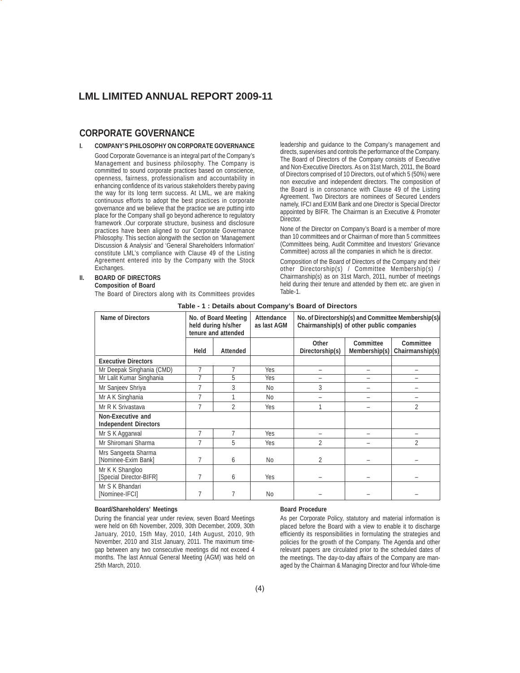# **CORPORATE GOVERNANCE**

### **I. COMPANY'S PHILOSOPHY ON CORPORATE GOVERNANCE** Good Corporate Governance is an integral part of the Company's Management and business philosophy. The Company is committed to sound corporate practices based on conscience, openness, fairness, professionalism and accountability in enhancing confidence of its various stakeholders thereby paving the way for its long term success. At LML, we are making continuous efforts to adopt the best practices in corporate governance and we believe that the practice we are putting into place for the Company shall go beyond adherence to regulatory framework .Our corporate structure, business and disclosure practices have been aligned to our Corporate Governance Philosophy. This section alongwith the section on 'Management Discussion & Analysis' and 'General Shareholders Information' constitute LML's compliance with Clause 49 of the Listing Agreement entered into by the Company with the Stock Exchanges.

# **II. BOARD OF DIRECTORS**

### **Composition of Board**

The Board of Directors along with its Committees provides

leadership and guidance to the Company's management and directs, supervises and controls the performance of the Company. The Board of Directors of the Company consists of Executive and Non-Executive Directors. As on 31st March, 2011, the Board of Directors comprised of 10 Directors, out of which 5 (50%) were non executive and independent directors. The composition of the Board is in consonance with Clause 49 of the Listing Agreement. Two Directors are nominees of Secured Lenders namely, IFCI and EXIM Bank and one Director is Special Director appointed by BIFR. The Chairman is an Executive & Promoter Director.

None of the Director on Company's Board is a member of more than 10 committees and or Chairman of more than 5 committees (Committees being, Audit Committee and Investors' Grievance Committee) across all the companies in which he is director.

Composition of the Board of Directors of the Company and their other Directorship(s) / Committee Membership(s) / Chairmanship(s) as on 31st March, 2011, number of meetings held during their tenure and attended by them etc. are given in Table-1.

|                                                   |      |                                                                    |                                                                                                                               | Table - T. Details about Company's Board of Directors |                            |                              |
|---------------------------------------------------|------|--------------------------------------------------------------------|-------------------------------------------------------------------------------------------------------------------------------|-------------------------------------------------------|----------------------------|------------------------------|
| <b>Name of Directors</b>                          |      | No. of Board Meeting<br>held during h/s/her<br>tenure and attended | Attendance<br>No. of Directorship(s) and Committee Membership(s)/<br>as last AGM<br>Chairmanship(s) of other public companies |                                                       |                            |                              |
|                                                   | Held | <b>Attended</b>                                                    |                                                                                                                               | Other<br>Directorship(s)                              | Committee<br>Membership(s) | Committee<br>Chairmanship(s) |
| <b>Executive Directors</b>                        |      |                                                                    |                                                                                                                               |                                                       |                            |                              |
| Mr Deepak Singhania (CMD)                         | 7    |                                                                    | Yes                                                                                                                           | -                                                     | -                          |                              |
| Mr Lalit Kumar Singhania                          | 7    | 5                                                                  | Yes                                                                                                                           |                                                       |                            |                              |
| Mr Sanjeev Shriya                                 |      | 3                                                                  | No.                                                                                                                           | 3                                                     |                            |                              |
| Mr A K Singhania                                  | 7    |                                                                    | N <sub>0</sub>                                                                                                                |                                                       |                            |                              |
| Mr R K Srivastava                                 | 7    | $\overline{2}$                                                     | Yes                                                                                                                           |                                                       |                            | $\overline{2}$               |
| Non-Executive and<br><b>Independent Directors</b> |      |                                                                    |                                                                                                                               |                                                       |                            |                              |
| Mr S K Aggarwal                                   | 7    | 7                                                                  | Yes                                                                                                                           |                                                       |                            |                              |
| Mr Shiromani Sharma                               | 7    | 5                                                                  | Yes                                                                                                                           | $\overline{2}$                                        |                            | 2                            |
| Mrs Sangeeta Sharma<br>[Nominee-Exim Bank]        | 7    | 6                                                                  | No                                                                                                                            | 2                                                     |                            |                              |
| Mr K K Shangloo<br>[Special Director-BIFR]        | 7    | 6                                                                  | Yes                                                                                                                           |                                                       |                            |                              |
| Mr S K Bhandari<br>[Nominee-IFCI]                 | 7    | 7                                                                  | N <sub>0</sub>                                                                                                                |                                                       |                            |                              |

# **Table - 1 : Details about Company's Board of Directors**

### **Board/Shareholders' Meetings**

During the financial year under review, seven Board Meetings were held on 6th November, 2009, 30th December, 2009, 30th January, 2010, 15th May, 2010, 14th August, 2010, 9th November, 2010 and 31st January, 2011. The maximum timegap between any two consecutive meetings did not exceed 4 months. The last Annual General Meeting (AGM) was held on 25th March, 2010.

### **Board Procedure**

As per Corporate Policy, statutory and material information is placed before the Board with a view to enable it to discharge efficiently its responsibilities in formulating the strategies and policies for the growth of the Company. The Agenda and other relevant papers are circulated prior to the scheduled dates of the meetings. The day-to-day affairs of the Company are managed by the Chairman & Managing Director and four Whole-time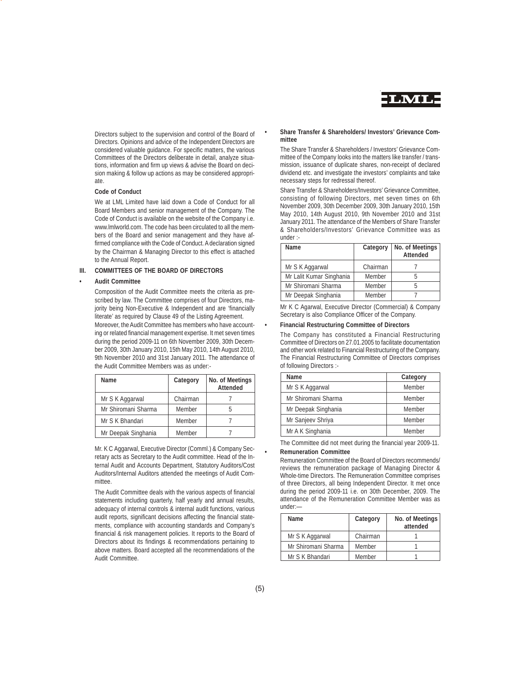

Directors subject to the supervision and control of the Board of Directors. Opinions and advice of the Independent Directors are considered valuable guidance. For specific matters, the various Committees of the Directors deliberate in detail, analyze situations, information and firm up views & advise the Board on decision making & follow up actions as may be considered appropriate.

### **Code of Conduct**

We at LML Limited have laid down a Code of Conduct for all Board Members and senior management of the Company. The Code of Conduct is available on the website of the Company i.e. www.lmlworld.com. The code has been circulated to all the members of the Board and senior management and they have affirmed compliance with the Code of Conduct. A declaration signed by the Chairman & Managing Director to this effect is attached to the Annual Report.

# **III. COMMITTEES OF THE BOARD OF DIRECTORS**

## **• Audit Committee**

Composition of the Audit Committee meets the criteria as prescribed by law. The Committee comprises of four Directors, majority being Non-Executive & Independent and are 'financially literate' as required by Clause 49 of the Listing Agreement. Moreover, the Audit Committee has members who have accounting or related financial management expertise. It met seven times during the period 2009-11 on 6th November 2009, 30th December 2009, 30th January 2010, 15th May 2010, 14th August 2010, 9th November 2010 and 31st January 2011. The attendance of the Audit Committee Members was as under:-

| <b>Name</b>         | Category | No. of Meetings<br>Attended |
|---------------------|----------|-----------------------------|
| Mr S K Aggarwal     | Chairman |                             |
| Mr Shiromani Sharma | Member   |                             |
| Mr S K Bhandari     | Member   |                             |
| Mr Deepak Singhania | Member   |                             |

Mr. K C Aggarwal, Executive Director (Comml.) & Company Secretary acts as Secretary to the Audit committee. Head of the Internal Audit and Accounts Department, Statutory Auditors/Cost Auditors/Internal Auditors attended the meetings of Audit Committee

The Audit Committee deals with the various aspects of financial statements including quarterly, half yearly and annual results, adequacy of internal controls & internal audit functions, various audit reports, significant decisions affecting the financial statements, compliance with accounting standards and Company's financial & risk management policies. It reports to the Board of Directors about its findings & recommendations pertaining to above matters. Board accepted all the recommendations of the Audit Committee.

## **• Share Transfer & Shareholders/ Investors' Grievance Committee**

The Share Transfer & Shareholders / Investors' Grievance Committee of the Company looks into the matters like transfer / transmission, issuance of duplicate shares, non-receipt of declared dividend etc. and investigate the investors' complaints and take necessary steps for redressal thereof.

Share Transfer & Shareholders/Investors' Grievance Committee, consisting of following Directors, met seven times on 6th November 2009, 30th December 2009, 30th January 2010, 15th May 2010, 14th August 2010, 9th November 2010 and 31st January 2011. The attendance of the Members of Share Transfer & Shareholders/Investors' Grievance Committee was as under :-

| Name                     | Category | No. of Meetings<br><b>Attended</b> |
|--------------------------|----------|------------------------------------|
| Mr S K Aggarwal          | Chairman |                                    |
| Mr Lalit Kumar Singhania | Member   |                                    |
| Mr Shiromani Sharma      | Member   |                                    |
| Mr Deepak Singhania      | Member   |                                    |

Mr K C Agarwal, Executive Director (Commercial) & Company Secretary is also Compliance Officer of the Company.

### **• Financial Restructuring Committee of Directors**

The Company has constituted a Financial Restructuring Committee of Directors on 27.01.2005 to facilitate documentation and other work related to Financial Restructuring of the Company. The Financial Restructuring Committee of Directors comprises of following Directors :-

| Name                | Category |
|---------------------|----------|
| Mr S K Aggarwal     | Member   |
| Mr Shiromani Sharma | Member   |
| Mr Deepak Singhania | Member   |
| Mr Sanjeev Shriya   | Member   |
| Mr A K Singhania    | Member   |

The Committee did not meet during the financial year 2009-11. **• Remuneration Committee**

Remuneration Committee of the Board of Directors recommends/ reviews the remuneration package of Managing Director & Whole-time Directors. The Remuneration Committee comprises of three Directors, all being Independent Director. It met once during the period 2009-11 i.e. on 30th December, 2009. The attendance of the Remuneration Committee Member was as under:—

| <b>Name</b>         | Category | No. of Meetings<br>attended |
|---------------------|----------|-----------------------------|
| Mr S K Aggarwal     | Chairman |                             |
| Mr Shiromani Sharma | Member   |                             |
| Mr S K Bhandari     | Member   |                             |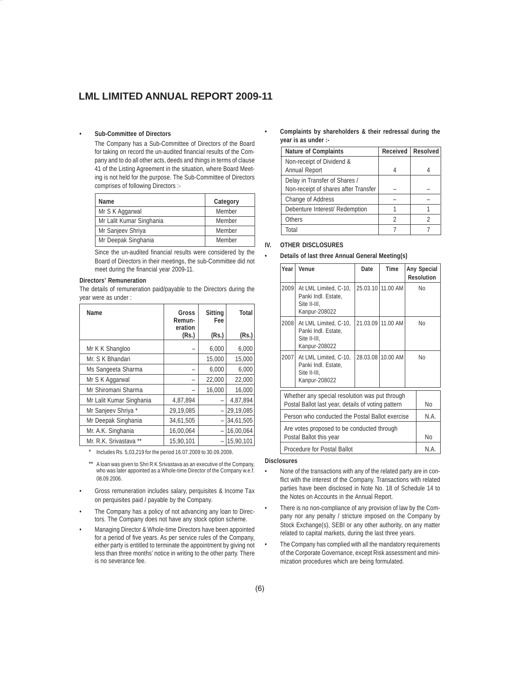# **• Sub-Committee of Directors**

The Company has a Sub-Committee of Directors of the Board for taking on record the un-audited financial results of the Company and to do all other acts, deeds and things in terms of clause 41 of the Listing Agreement in the situation, where Board Meeting is not held for the purpose. The Sub-Committee of Directors comprises of following Directors :-

| Name                     | Category |
|--------------------------|----------|
| Mr S K Aggarwal          | Member   |
| Mr Lalit Kumar Singhania | Member   |
| Mr Sanjeev Shriya        | Member   |
| Mr Deepak Singhania      | Member   |

Since the un-audited financial results were considered by the Board of Directors in their meetings, the sub-Committee did not meet during the financial year 2009-11.

# **Directors' Remuneration**

The details of remuneration paid/payable to the Directors during the year were as under :

| Name                     | Gross<br>Remun-<br>eration | Sitting<br>Fee           | Total     |
|--------------------------|----------------------------|--------------------------|-----------|
|                          | (Rs.)                      | (Rs.)                    | (Rs.)     |
| Mr K K Shangloo          |                            | 6,000                    | 6,000     |
| Mr. S K Bhandari         |                            | 15,000                   | 15,000    |
| Ms Sangeeta Sharma       |                            | 6,000                    | 6,000     |
| Mr S K Aggarwal          |                            | 22,000                   | 22,000    |
| Mr Shiromani Sharma      |                            | 16,000                   | 16,000    |
| Mr Lalit Kumar Singhania | 4,87,894                   |                          | 4,87,894  |
| Mr Sanjeev Shriya *      | 29,19,085                  |                          | 29,19,085 |
| Mr Deepak Singhania      | 34,61,505                  | $\overline{\phantom{0}}$ | 34,61,505 |
| Mr. A.K. Singhania       | 16,00,064                  | $\overline{\phantom{0}}$ | 16,00,064 |
| Mr. R.K. Srivastava      | 15,90,101                  |                          | 15,90,101 |

Includes Rs. 5,03,219 for the period 16.07.2009 to 30.09.2009.

- \*\* A loan was given to Shri R K Srivastava as an executive of the Company, who was later appointed as a Whole-time Director of the Company w.e.f. 08.09.2006.
- Gross remuneration includes salary, perquisites & Income Tax on perquisites paid / payable by the Company.
- The Company has a policy of not advancing any loan to Directors. The Company does not have any stock option scheme.
- Managing Director & Whole-time Directors have been appointed for a period of five years. As per service rules of the Company, either party is entitled to terminate the appointment by giving not less than three months' notice in writing to the other party. There is no severance fee.

# **• Complaints by shareholders & their redressal during the year is as under :-**

| <b>Nature of Complaints</b>          | Received | <b>Resolved</b> |
|--------------------------------------|----------|-----------------|
| Non-receipt of Dividend &            |          |                 |
| <b>Annual Report</b>                 |          |                 |
| Delay in Transfer of Shares /        |          |                 |
| Non-receipt of shares after Transfer |          |                 |
| Change of Address                    |          |                 |
| Debenture Interest/ Redemption       |          |                 |
| Others                               | C        |                 |
| Total                                |          |                 |

# **IV. OTHER DISCLOSURES**

# **• Details of last three Annual General Meeting(s)**

| Year                                                                                                 | Venue                                                                         | Date | <b>Time</b>       |      | Any Special<br><b>Resolution</b> |  |
|------------------------------------------------------------------------------------------------------|-------------------------------------------------------------------------------|------|-------------------|------|----------------------------------|--|
| 2009                                                                                                 | At LML Limited, C-10,<br>Panki Indl. Estate,<br>Site II-III,<br>Kanpur-208022 |      | 25.03.10 11.00 AM |      | Nο                               |  |
| 2008                                                                                                 | At LML Limited, C-10,<br>Panki Indl. Estate,<br>Site II-III.<br>Kanpur-208022 |      | 21.03.09 11.00 AM |      | Nο                               |  |
| 2007                                                                                                 | At LML Limited, C-10,<br>Panki Indl. Estate.<br>Site II-III,<br>Kanpur-208022 |      | 28.03.08 10.00 AM | Nο   |                                  |  |
| Whether any special resolution was put through<br>Postal Ballot last year, details of voting pattern |                                                                               |      |                   | No   |                                  |  |
| Person who conducted the Postal Ballot exercise                                                      |                                                                               |      |                   | N.A. |                                  |  |
| Are votes proposed to be conducted through<br>Postal Ballot this year                                |                                                                               |      | N <sub>0</sub>    |      |                                  |  |
| Procedure for Postal Ballot                                                                          |                                                                               |      |                   | N.A. |                                  |  |

# **Disclosures**

- None of the transactions with any of the related party are in conflict with the interest of the Company. Transactions with related parties have been disclosed in Note No. 18 of Schedule 14 to the Notes on Accounts in the Annual Report.
- There is no non-compliance of any provision of law by the Company nor any penalty / stricture imposed on the Company by Stock Exchange(s), SEBI or any other authority, on any matter related to capital markets, during the last three years.
- The Company has complied with all the mandatory requirements of the Corporate Governance, except Risk assessment and minimization procedures which are being formulated.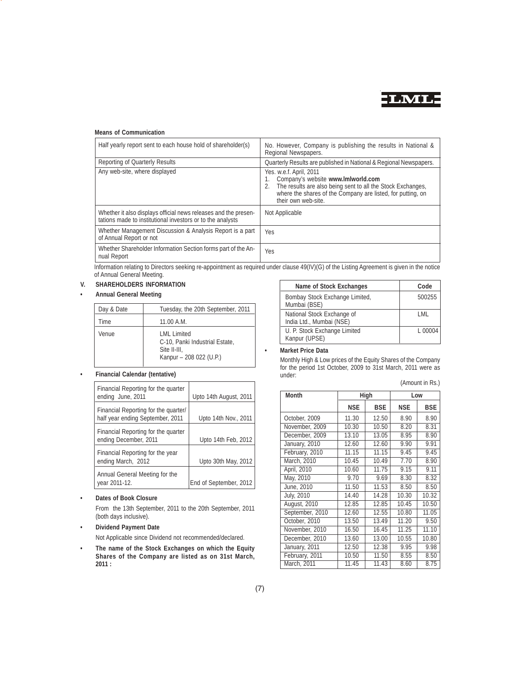

# **Means of Communication**

| Half yearly report sent to each house hold of shareholder(s)                                                                  | No. However, Company is publishing the results in National &<br>Regional Newspapers.                                                                                                                               |
|-------------------------------------------------------------------------------------------------------------------------------|--------------------------------------------------------------------------------------------------------------------------------------------------------------------------------------------------------------------|
| Reporting of Quarterly Results                                                                                                | Quarterly Results are published in National & Regional Newspapers.                                                                                                                                                 |
| Any web-site, where displayed                                                                                                 | Yes. w.e.f. April, 2011<br>Company's website www.Imlworld.com<br>The results are also being sent to all the Stock Exchanges,<br>where the shares of the Company are listed, for putting, on<br>their own web-site. |
| Whether it also displays official news releases and the presen-<br>tations made to institutional investors or to the analysts | Not Applicable                                                                                                                                                                                                     |
| Whether Management Discussion & Analysis Report is a part<br>of Annual Report or not                                          | <b>Yes</b>                                                                                                                                                                                                         |
| Whether Shareholder Information Section forms part of the An-<br>nual Report                                                  | Yes                                                                                                                                                                                                                |

Information relating to Directors seeking re-appointment as required under clause 49(IV)(G) of the Listing Agreement is given in the notice of Annual General Meeting.

# **V. SHAREHOLDERS INFORMATION**

**• Annual General Meeting**

| Day & Date | Tuesday, the 20th September, 2011                                                          |
|------------|--------------------------------------------------------------------------------------------|
| Time       | 11.00 A.M.                                                                                 |
| Venue      | I MI I imited<br>C-10, Panki Industrial Estate,<br>Site II-III.<br>Kanpur - 208 022 (U.P.) |

# **• Financial Calendar (tentative)**

| Financial Reporting for the quarter<br>ending June, 2011                 | Upto 14th August, 2011 |
|--------------------------------------------------------------------------|------------------------|
| Financial Reporting for the quarter/<br>half year ending September, 2011 | Upto 14th Nov., 2011   |
| Financial Reporting for the quarter<br>ending December, 2011             | Upto 14th Feb, 2012    |
| Financial Reporting for the year<br>ending March, 2012                   | Upto 30th May, 2012    |
| Annual General Meeting for the<br>year 2011-12.                          | End of September, 2012 |

# **• Dates of Book Closure**

From the 13th September, 2011 to the 20th September, 2011 (both days inclusive).

# **• Dividend Payment Date**

Not Applicable since Dividend not recommended/declared.

**• The name of the Stock Exchanges on which the Equity Shares of the Company are listed as on 31st March, 2011 :**

| Name of Stock Exchanges                                | Code    |
|--------------------------------------------------------|---------|
| Bombay Stock Exchange Limited,<br>Mumbai (BSE)         | 500255  |
| National Stock Exchange of<br>India Ltd., Mumbai (NSE) | I MI    |
| U. P. Stock Exchange Limited<br>Kanpur (UPSE)          | L 00004 |

**• Market Price Data**

Monthly High & Low prices of the Equity Shares of the Company for the period 1st October, 2009 to 31st March, 2011 were as under:

# (Amount in Rs.)

| <b>Month</b>       |            | High       |            | Low                |
|--------------------|------------|------------|------------|--------------------|
|                    | <b>NSE</b> | <b>BSE</b> | <b>NSE</b> | <b>BSE</b>         |
| October, 2009      | 11.30      | 12.50      | 8.90       | 8.90               |
| November, 2009     | 10.30      | 10.50      | 8.20       | 8.31               |
| December, 2009     | 13.10      | 13.05      | 8.95       | 8.90               |
| January, 2010      | 12.60      | 12.60      | 9.90       | 9.91               |
| February, 2010     | 11.15      | 11.15      | 9.45       | 9.45               |
| March, 2010        | 10.45      | 10.49      | 7.70       | 8.90               |
| April, 2010        | 10.60      | 11.75      | 9.15       | 9.11               |
| May, 2010          | 9.70       | 9.69       | 8.30       | 8.32               |
| June, 2010         | 11.50      | 11.53      | 8.50       | 8.50               |
| July, 2010         | 14.40      | 14.28      | 10.30      | 10.32              |
| August, 2010       | 12.85      | 12.85      | 10.45      | 10.50              |
| September, 2010    | 12.60      | 12.55      | 10.80      | $\overline{11.05}$ |
| October, 2010      | 13.50      | 13.49      | 11.20      | 9.50               |
| November, 2010     | 16.50      | 16.45      | 11.25      | 11.10              |
| December, 2010     | 13.60      | 13.00      | 10.55      | 10.80              |
| January, 2011      | 12.50      | 12.38      | 9.95       | 9.98               |
| February, 2011     | 10.50      | 11.50      | 8.55       | 8.50               |
| <b>March, 2011</b> | 11.45      | 11.43      | 8.60       | 8.75               |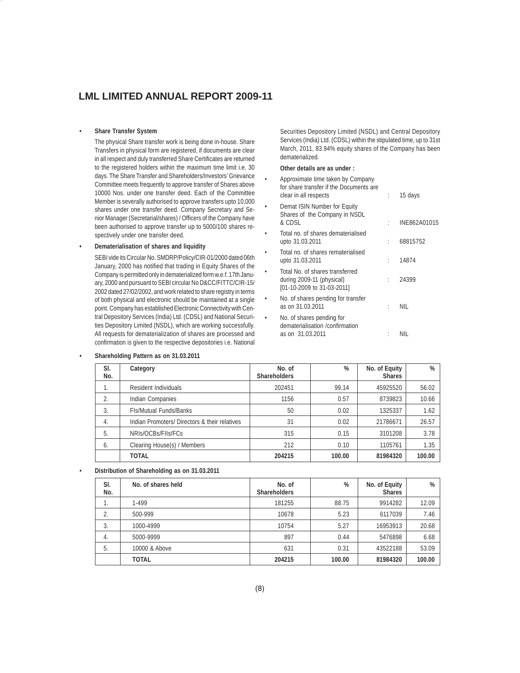# **• Share Transfer System**

The physical Share transfer work is being done in-house. Share Transfers in physical form are registered, if documents are clear in all respect and duly transferred Share Certificates are returned to the registered holders within the maximum time limit i.e. 30 days. The Share Transfer and Shareholders/Investors' Grievance Committee meets frequently to approve transfer of Shares above 10000 Nos. under one transfer deed. Each of the Committee Member is severally authorised to approve transfers upto 10,000 shares under one transfer deed. Company Secretary and Senior Manager (Secretarial/shares) / Officers of the Company have been authorised to approve transfer up to 5000/100 shares respectively under one transfer deed.

# **• Dematerialisation of shares and liquidity**

SEBI vide its Circular No. SMDRP/Policy/CIR-01/2000 dated 06th January, 2000 has notified that trading in Equity Shares of the Company is permitted only in dematerialized form w.e.f. 17th January, 2000 and pursuant to SEBI circular No D&CC/FITTC/CIR-15/ 2002 dated 27/02/2002, and work related to share registry in terms of both physical and electronic should be maintained at a single point. Company has established Electronic Connectivity with Central Depository Services (India) Ltd. (CDSL) and National Securities Depository Limited (NSDL), which are working successfully. All requests for dematerialization of shares are processed and confirmation is given to the respective depositories i.e. National

Securities Depository Limited (NSDL) and Central Depository Services (India) Ltd. (CDSL) within the stipulated time, up to 31st March, 2011, 83.94% equity shares of the Company has been dematerialized.

# **Other details are as under :**

|           | Approximate time taken by Company<br>for share transfer if the Documents are<br>clear in all respects | ÷ | 15 days      |
|-----------|-------------------------------------------------------------------------------------------------------|---|--------------|
|           | Demat ISIN Number for Equity<br>Shares of the Company in NSDL<br>& CDSL                               |   | INE862A01015 |
|           | Total no. of shares dematerialised<br>upto 31.03.2011                                                 |   | 68815752     |
| $\bullet$ | Total no. of shares rematerialised<br>upto 31.03.2011                                                 |   | 14874        |
| $\bullet$ | Total No. of shares transferred<br>during 2009-11 (physical)<br>[01-10-2009 to 31-03-2011]            | t | 24399        |
| ۰         | No. of shares pending for transfer<br>as on 31.03.2011                                                | ٠ | NIL          |
| ٠         | No. of shares pending for<br>dematerialisation /confirmation<br>as on 31.03.2011                      |   | Nil          |

### **• Shareholding Pattern as on 31.03.2011**

| SI.<br>No. | Category                                      | No. of<br><b>Shareholders</b> | %      | No. of Equity<br><b>Shares</b> | %      |
|------------|-----------------------------------------------|-------------------------------|--------|--------------------------------|--------|
|            | Resident Individuals                          | 202451                        | 99.14  | 45925520                       | 56.02  |
| 2.         | Indian Companies                              | 1156                          | 0.57   | 8739823                        | 10.66  |
| 3.         | <b>FIs/Mutual Funds/Banks</b>                 | 50                            | 0.02   | 1325337                        | 1.62   |
| 4.         | Indian Promoters/ Directors & their relatives | 31                            | 0.02   | 21786671                       | 26.57  |
| 5.         | NRIs/OCBs/FIIs/FCs                            | 315                           | 0.15   | 3101208                        | 3.78   |
| 6.         | Clearing House(s) / Members                   | 212                           | 0.10   | 1105761                        | 1.35   |
|            | <b>TOTAL</b>                                  | 204215                        | 100.00 | 81984320                       | 100.00 |

# **• Distribution of Shareholding as on 31.03.2011**

| SI.<br>No.       | No. of shares held | No. of<br><b>Shareholders</b> | %      | No. of Equity<br><b>Shares</b> | %      |
|------------------|--------------------|-------------------------------|--------|--------------------------------|--------|
| ι.               | 1-499              | 181255                        | 88.75  | 9914282                        | 12.09  |
|                  | 500-999            | 10678                         | 5.23   | 6117039                        | 7.46   |
| 3.               | 1000-4999          | 10754                         | 5.27   | 16953913                       | 20.68  |
| $\overline{4}$ . | 5000-9999          | 897                           | 0.44   | 5476898                        | 6.68   |
| 5.               | 10000 & Above      | 631                           | 0.31   | 43522188                       | 53.09  |
|                  | <b>TOTAL</b>       | 204215                        | 100.00 | 81984320                       | 100.00 |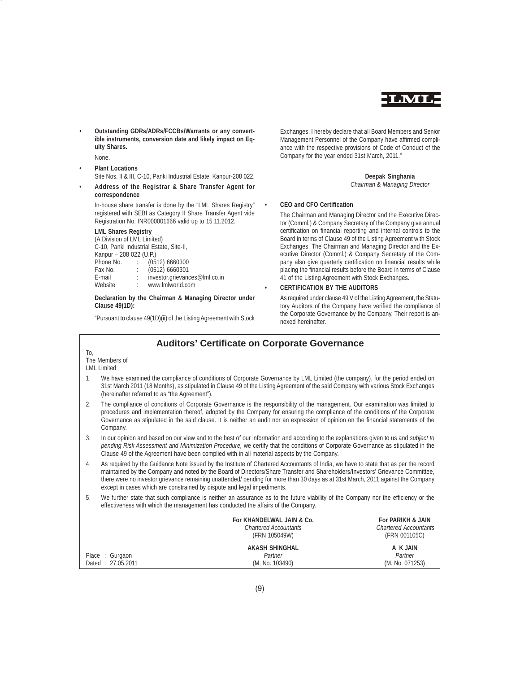

**• Outstanding GDRs/ADRs/FCCBs/Warrants or any convertible instruments, conversion date and likely impact on Equity Shares.**

None.

To,

- **Plant Locations** Site Nos. II & III, C-10, Panki Industrial Estate, Kanpur-208 022.
- **Address of the Registrar & Share Transfer Agent for correspondence**

In-house share transfer is done by the "LML Shares Registry" registered with SEBI as Category II Share Transfer Agent vide Registration No. INR000001666 valid up to 15.11.2012.

# **LML Shares Registry**

(A Division of LML Limited) C-10, Panki Industrial Estate, Site-II, Kanpur – 208 022 (U.P.)<br>Phone No. : (05 Phone No. : (0512) 6660300<br>Fax No. : (0512) 6660301 (0512) 6660301 E-mail : investor.grievances@lml.co.in<br>Website : www.lmlworld.com www.lmlworld.com

# **Declaration by the Chairman & Managing Director under Clause 49(1D):**

"Pursuant to clause 49(1D)(ii) of the Listing Agreement with Stock

Exchanges, I hereby declare that all Board Members and Senior Management Personnel of the Company have affirmed compliance with the respective provisions of Code of Conduct of the Company for the year ended 31st March, 2011."

# **Deepak Singhania** *Chairman & Managing Director*

# **• CEO and CFO Certification**

The Chairman and Managing Director and the Executive Director (Comml.) & Company Secretary of the Company give annual certification on financial reporting and internal controls to the Board in terms of Clause 49 of the Listing Agreement with Stock Exchanges. The Chairman and Managing Director and the Executive Director (Comml.) & Company Secretary of the Company also give quarterly certification on financial results while placing the financial results before the Board in terms of Clause 41 of the Listing Agreement with Stock Exchanges.

# **• CERTIFICATION BY THE AUDITORS**

As required under clause 49 V of the Listing Agreement, the Statutory Auditors of the Company have verified the compliance of the Corporate Governance by the Company. Their report is annexed hereinafter.

# **Auditors' Certificate on Corporate Governance** The Members of LML Limited 1. We have examined the compliance of conditions of Corporate Governance by LML Limited (the company), for the period ended on 31st March 2011 (18 Months), as stipulated in Clause 49 of the Listing Agreement of the said Company with various Stock Exchanges (hereinafter referred to as "the Agreement"). 2. The compliance of conditions of Corporate Governance is the responsibility of the management. Our examination was limited to procedures and implementation thereof, adopted by the Company for ensuring the compliance of the conditions of the Corporate Governance as stipulated in the said clause. It is neither an audit nor an expression of opinion on the financial statements of the Company. 3. In our opinion and based on our view and to the best of our information and according to the explanations given to us and *subject to pending Risk Assessment and Minimization Procedure,* we certify that the conditions of Corporate Governance as stipulated in the Clause 49 of the Agreement have been complied with in all material aspects by the Company. 4. As required by the Guidance Note issued by the Institute of Chartered Accountants of India, we have to state that as per the record maintained by the Company and noted by the Board of Directors/Share Transfer and Shareholders/Investors' Grievance Committee, there were no investor grievance remaining unattended/ pending for more than 30 days as at 31st March, 2011 against the Company except in cases which are constrained by dispute and legal impediments. 5. We further state that such compliance is neither an assurance as to the future viability of the Company nor the efficiency or the effectiveness with which the management has conducted the affairs of the Company. **For KHANDELWAL JAIN & Co.** For PARIKH & JAIN Chartered Accountants<br>Chartered Accountants Chartered Accountant *Chartered Accountants Chartered Accountants* (FRN 105049W) (FRN 001105C) **AKASH SHINGHAL A K JAIN** Place : Gurgaon *Partner Partner* Dated : 27.05.2011 (M. No. 103490) (M. No. 071253)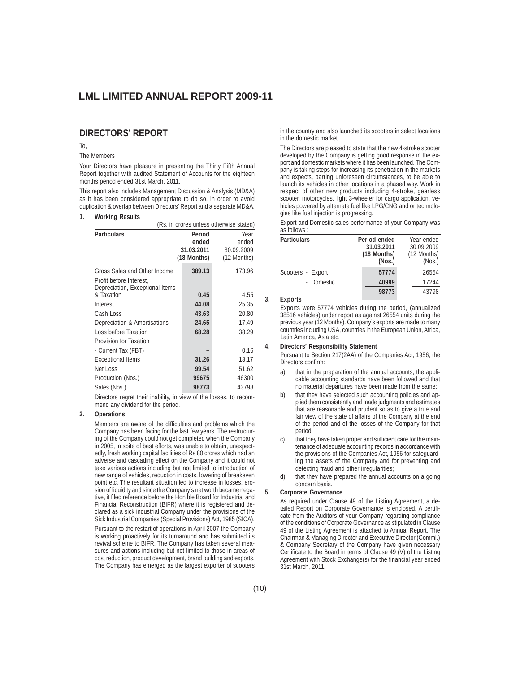# **DIRECTORS' REPORT**

# To,

# The Members

Your Directors have pleasure in presenting the Thirty Fifth Annual Report together with audited Statement of Accounts for the eighteen months period ended 31st March, 2011.

This report also includes Management Discussion & Analysis (MD&A) as it has been considered appropriate to do so, in order to avoid duplication & overlap between Directors' Report and a separate MD&A.

### **1. Working Results**

|                                                                                            | (Rs. in crores unless otherwise stated)      |                                            |  |  |  |  |
|--------------------------------------------------------------------------------------------|----------------------------------------------|--------------------------------------------|--|--|--|--|
| <b>Particulars</b>                                                                         | Period<br>ended<br>31.03.2011<br>(18 Months) | Year<br>ended<br>30.09.2009<br>(12 Months) |  |  |  |  |
| Gross Sales and Other Income<br>Profit before Interest.<br>Depreciation, Exceptional Items | 389.13                                       | 173.96                                     |  |  |  |  |
| & Taxation                                                                                 | 0.45                                         | 4.55                                       |  |  |  |  |
| Interest                                                                                   | 44.08                                        | 25.35                                      |  |  |  |  |
| Cash Loss                                                                                  | 43.63                                        | 20.80                                      |  |  |  |  |
| Depreciation & Amortisations                                                               | 24.65                                        | 17.49                                      |  |  |  |  |
| Loss before Taxation                                                                       | 68.28                                        | 38.29                                      |  |  |  |  |
| Provision for Taxation:                                                                    |                                              |                                            |  |  |  |  |
| - Current Tax (FBT)                                                                        |                                              | 0.16                                       |  |  |  |  |
| <b>Exceptional Items</b>                                                                   | 31.26                                        | 13.17                                      |  |  |  |  |
| Net Loss                                                                                   | 99.54                                        | 51.62                                      |  |  |  |  |
| Production (Nos.)                                                                          | 99675                                        | 46300                                      |  |  |  |  |
| Sales (Nos.)                                                                               | 98773                                        | 43798                                      |  |  |  |  |

Directors regret their inability, in view of the losses, to recommend any dividend for the period.

# **2. Operations**

Members are aware of the difficulties and problems which the Company has been facing for the last few years. The restructuring of the Company could not get completed when the Company in 2005, in spite of best efforts, was unable to obtain, unexpectedly, fresh working capital facilities of Rs 80 crores which had an adverse and cascading effect on the Company and it could not take various actions including but not limited to introduction of new range of vehicles, reduction in costs, lowering of breakeven point etc. The resultant situation led to increase in losses, erosion of liquidity and since the Company's net worth became negative, it filed reference before the Hon'ble Board for Industrial and Financial Reconstruction (BIFR) where it is registered and declared as a sick industrial Company under the provisions of the Sick Industrial Companies (Special Provisions) Act, 1985 (SICA).

Pursuant to the restart of operations in April 2007 the Company is working proactively for its turnaround and has submitted its revival scheme to BIFR. The Company has taken several measures and actions including but not limited to those in areas of cost reduction, product development, brand building and exports. The Company has emerged as the largest exporter of scooters

in the country and also launched its scooters in select locations in the domestic market.

The Directors are pleased to state that the new 4-stroke scooter developed by the Company is getting good response in the export and domestic markets where it has been launched. The Company is taking steps for increasing its penetration in the markets and expects, barring unforeseen circumstances, to be able to launch its vehicles in other locations in a phased way. Work in respect of other new products including 4-stroke, gearless scooter, motorcycles, light 3-wheeler for cargo application, vehicles powered by alternate fuel like LPG/CNG and or technologies like fuel injection is progressing.

Export and Domestic sales performance of your Company was as follows :

| <b>Particulars</b> | Period ended<br>31.03.2011<br>(18 Months)<br>(Nos.) | Year ended<br>30.09.2009<br>(12 Months)<br>(Nos.) |
|--------------------|-----------------------------------------------------|---------------------------------------------------|
| Scooters - Export  | 57774                                               | 26554                                             |
| - Domestic         | 40999                                               | 17244                                             |
|                    | 98773                                               | 43798                                             |

**3. Exports**

Exports were 57774 vehicles during the period, (annualized 38516 vehicles) under report as against 26554 units during the previous year (12 Months). Company's exports are made to many countries including USA, countries in the European Union, Africa, Latin America, Asia etc.

### **4. Directors' Responsibility Statement**

Pursuant to Section 217(2AA) of the Companies Act, 1956, the Directors confirm:

- a) that in the preparation of the annual accounts, the applicable accounting standards have been followed and that no material departures have been made from the same;
- b) that they have selected such accounting policies and applied them consistently and made judgments and estimates that are reasonable and prudent so as to give a true and fair view of the state of affairs of the Company at the end of the period and of the losses of the Company for that period;
- that they have taken proper and sufficient care for the maintenance of adequate accounting records in accordance with the provisions of the Companies Act, 1956 for safeguarding the assets of the Company and for preventing and detecting fraud and other irregularities;
- d) that they have prepared the annual accounts on a going concern basis.

# **5. Corporate Governance**

As required under Clause 49 of the Listing Agreement, a detailed Report on Corporate Governance is enclosed. A certificate from the Auditors of your Company regarding compliance of the conditions of Corporate Governance as stipulated in Clause 49 of the Listing Agreement is attached to Annual Report. The Chairman & Managing Director and Executive Director (Comml.) & Company Secretary of the Company have given necessary Certificate to the Board in terms of Clause 49 (V) of the Listing Agreement with Stock Exchange(s) for the financial year ended 31st March, 2011.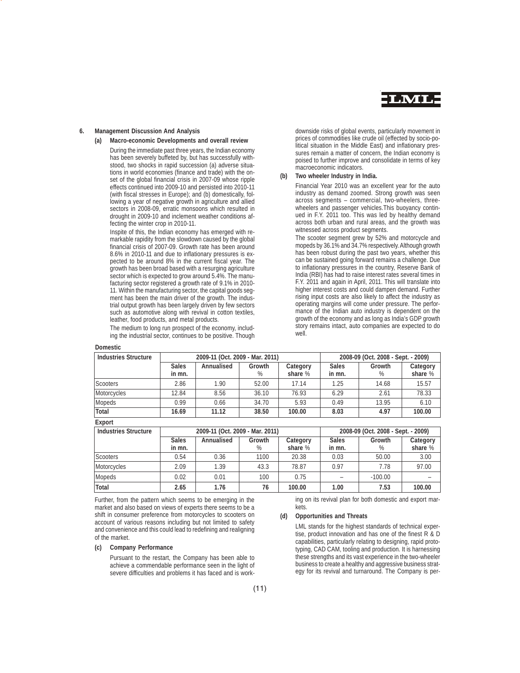

# **6. Management Discussion And Analysis**

### **(a) Macro-economic Developments and overall review**

During the immediate past three years, the Indian economy has been severely buffeted by, but has successfully withstood, two shocks in rapid succession (a) adverse situations in world economies (finance and trade) with the onset of the global financial crisis in 2007-09 whose ripple effects continued into 2009-10 and persisted into 2010-11 (with fiscal stresses in Europe); and (b) domestically, following a year of negative growth in agriculture and allied sectors in 2008-09, erratic monsoons which resulted in drought in 2009-10 and inclement weather conditions affecting the winter crop in 2010-11.

Inspite of this, the Indian economy has emerged with remarkable rapidity from the slowdown caused by the global financial crisis of 2007-09. Growth rate has been around 8.6% in 2010-11 and due to inflationary pressures is expected to be around 8% in the current fiscal year. The growth has been broad based with a resurging agriculture sector which is expected to grow around 5.4%. The manufacturing sector registered a growth rate of 9.1% in 2010- 11. Within the manufacturing sector, the capital goods segment has been the main driver of the growth. The industrial output growth has been largely driven by few sectors such as automotive along with revival in cotton textiles, leather, food products, and metal products.

The medium to long run prospect of the economy, including the industrial sector, continues to be positive. Though

### **Domestic**

downside risks of global events, particularly movement in prices of commodities like crude oil (effected by socio-political situation in the Middle East) and inflationary pressures remain a matter of concern, the Indian economy is poised to further improve and consolidate in terms of key macroeconomic indicators.

# **(b) Two wheeler Industry in India.**

Financial Year 2010 was an excellent year for the auto industry as demand zoomed. Strong growth was seen across segments – commercial, two-wheelers, threewheelers and passenger vehicles.This buoyancy continued in F.Y. 2011 too. This was led by healthy demand across both urban and rural areas, and the growth was witnessed across product segments.

The scooter segment grew by 52% and motorcycle and mopeds by 36.1% and 34.7% respectively. Although growth has been robust during the past two years, whether this can be sustained going forward remains a challenge. Due to inflationary pressures in the country, Reserve Bank of India (RBI) has had to raise interest rates several times in F.Y. 2011 and again in April, 2011. This will translate into higher interest costs and could dampen demand. Further rising input costs are also likely to affect the industry as operating margins will come under pressure. The performance of the Indian auto industry is dependent on the growth of the economy and as long as India's GDP growth story remains intact, auto companies are expected to do well.

| <b>Industries Structure</b> |                        | 2009-11 (Oct. 2009 - Mar. 2011) |             |                     |                        | 2008-09 (Oct. 2008 - Sept. - 2009) |                     |
|-----------------------------|------------------------|---------------------------------|-------------|---------------------|------------------------|------------------------------------|---------------------|
|                             | <b>Sales</b><br>in mn. | Annualised                      | Growth<br>% | Category<br>share % | <b>Sales</b><br>in mn. | Growth<br>%                        | Category<br>share % |
| <b>Scooters</b>             | 2.86                   | 1.90                            | 52.00       | 17.14               | 1.25                   | 14.68                              | 15.57               |
| Motorcycles                 | 12.84                  | 8.56                            | 36.10       | 76.93               | 6.29                   | 2.61                               | 78.33               |
| <b>Mopeds</b>               | 0.99                   | 0.66                            | 34.70       | 5.93                | 0.49                   | 13.95                              | 6.10                |
| <b>Total</b>                | 16.69                  | 11.12                           | 38.50       | 100.00              | 8.03                   | 4.97                               | 100.00              |

**Export**

| <b>Industries Structure</b> | 2009-11 (Oct. 2009 - Mar. 2011) |            |                |                     | 2008-09 (Oct. 2008 - Sept. - 2009) |                |                     |
|-----------------------------|---------------------------------|------------|----------------|---------------------|------------------------------------|----------------|---------------------|
|                             | <b>Sales</b><br>in mn.          | Annualised | Growth<br>$\%$ | Category<br>share % | <b>Sales</b><br>in mn.             | Growth<br>$\%$ | Category<br>share % |
| <b>Scooters</b>             | 0.54                            | 0.36       | 1100           | 20.38               | 0.03                               | 50.00          | 3.00                |
| Motorcycles                 | 2.09                            | 1.39       | 43.3           | 78.87               | 0.97                               | 7.78           | 97.00               |
| Mopeds                      | 0.02                            | 0.01       | 100            | 0.75                |                                    | $-100.00$      |                     |
| Total                       | 2.65                            | 1.76       | 76             | 100.00              | 1.00                               | 7.53           | 100.00              |

Further, from the pattern which seems to be emerging in the market and also based on views of experts there seems to be a shift in consumer preference from motorcycles to scooters on account of various reasons including but not limited to safety and convenience and this could lead to redefining and realigning of the market.

# **(c) Company Performance**

Pursuant to the restart, the Company has been able to achieve a commendable performance seen in the light of severe difficulties and problems it has faced and is work-

ing on its revival plan for both domestic and export markets.

### **(d) Opportunities and Threats**

LML stands for the highest standards of technical expertise, product innovation and has one of the finest R & D capabilities, particularly relating to designing, rapid prototyping, CAD CAM, tooling and production. It is harnessing these strengths and its vast experience in the two-wheeler business to create a healthy and aggressive business strategy for its revival and turnaround. The Company is per-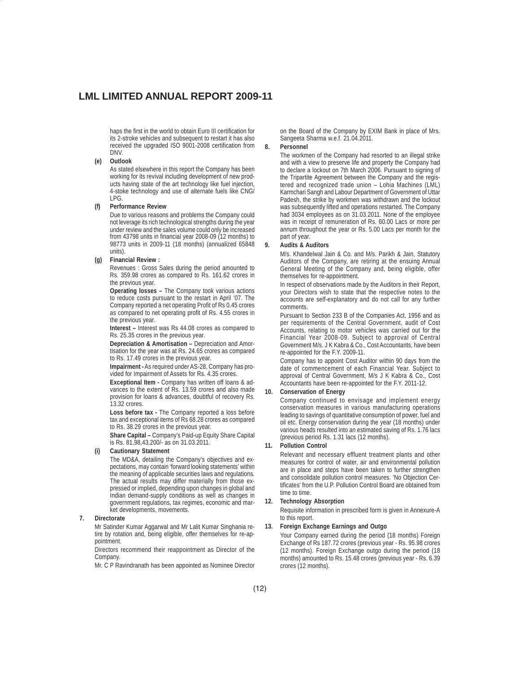haps the first in the world to obtain Euro III certification for its 2-stroke vehicles and subsequent to restart it has also received the upgraded ISO 9001-2008 certification from DNV.

### **(e) Outlook**

As stated elsewhere in this report the Company has been working for its revival including development of new products having state of the art technology like fuel injection, 4-stoke technology and use of alternate fuels like CNG/ LPG.

### **(f) Performance Review**

Due to various reasons and problems the Company could not leverage its rich technological strengths during the year under review and the sales volume could only be increased from 43798 units in financial year 2008-09 (12 months) to 98773 units in 2009-11 (18 months) (annualized 65848 units).

### **(g) Financial Review :**

Revenues : Gross Sales during the period amounted to Rs. 359.98 crores as compared to Rs. 161.62 crores in the previous year.

**Operating losses –** The Company took various actions to reduce costs pursuant to the restart in April '07. The Company reported a net operating Profit of Rs 0.45 crores as compared to net operating profit of Rs. 4.55 crores in the previous year.

**Interest –** Interest was Rs 44.08 crores as compared to Rs. 25.35 crores in the previous year.

**Depreciation & Amortisation –** Depreciation and Amortisation for the year was at Rs. 24.65 crores as compared to Rs. 17.49 crores in the previous year.

**Impairment -** As required under AS-28, Company has provided for Impairment of Assets for Rs. 4.35 crores.

**Exceptional Item -** Company has written off loans & advances to the extent of Rs. 13.59 crores and also made provision for loans & advances, doubtful of recovery Rs. 13.32 crores.

**Loss before tax -** The Company reported a loss before tax and exceptional items of Rs 68.28 crores as compared to Rs. 38.29 crores in the previous year.

**Share Capital –** Company's Paid-up Equity Share Capital is Rs. 81,98,43,200/- as on 31.03.2011.

# **(i) Cautionary Statement**

The MD&A, detailing the Company's objectives and expectations, may contain 'forward looking statements' within the meaning of applicable securities laws and regulations. The actual results may differ materially from those expressed or implied, depending upon changes in global and Indian demand-supply conditions as well as changes in government regulations, tax regimes, economic and market developments, movements.

# **7. Directorate**

Mr Satinder Kumar Aggarwal and Mr Lalit Kumar Singhania retire by rotation and, being eligible, offer themselves for re-appointment.

Directors recommend their reappointment as Director of the Company.

Mr. C P Ravindranath has been appointed as Nominee Director

on the Board of the Company by EXIM Bank in place of Mrs. Sangeeta Sharma w.e.f. 21.04.2011.

### **8. Personnel**

The workmen of the Company had resorted to an illegal strike and with a view to preserve life and property the Company had to declare a lockout on 7th March 2006. Pursuant to signing of the Tripartite Agreement between the Company and the registered and recognized trade union – Lohia Machines (LML) Karmchari Sangh and Labour Department of Government of Uttar Padesh, the strike by workmen was withdrawn and the lockout was subsequently lifted and operations restarted. The Company had 3034 employees as on 31.03.2011. None of the employee was in receipt of remuneration of Rs. 60.00 Lacs or more per annum throughout the year or Rs. 5.00 Lacs per month for the part of year.

### **9. Audits & Auditors**

M/s. Khandelwal Jain & Co. and M/s. Parikh & Jain, Statutory Auditors of the Company, are retiring at the ensuing Annual General Meeting of the Company and, being eligible, offer themselves for re-appointment.

In respect of observations made by the Auditors in their Report, your Directors wish to state that the respective notes to the accounts are self-explanatory and do not call for any further comments.

Pursuant to Section 233 B of the Companies Act, 1956 and as per requirements of the Central Government, audit of Cost Accounts, relating to motor vehicles was carried out for the Financial Year 2008-09. Subject to approval of Central Government M/s. J K Kabra & Co., Cost Accountants, have been re-appointed for the F.Y. 2009-11.

Company has to appoint Cost Auditor within 90 days from the date of commencement of each Financial Year. Subject to approval of Central Government, M/s J K Kabra & Co., Cost Accountants have been re-appointed for the F.Y. 2011-12.

### **10. Conservation of Energy**

Company continued to envisage and implement energy conservation measures in various manufacturing operations leading to savings of quantitative consumption of power, fuel and oil etc. Energy conservation during the year (18 months) under various heads resulted into an estimated saving of Rs. 1.76 lacs (previous period Rs. 1.31 lacs (12 months).

### **11. Pollution Control**

Relevant and necessary effluent treatment plants and other measures for control of water, air and environmental pollution are in place and steps have been taken to further strengthen and consolidate pollution control measures. 'No Objection Certificates' from the U.P. Pollution Control Board are obtained from time to time.

### **12. Technology Absorption**

Requisite information in prescribed form is given in Annexure-A to this report.

# **13. Foreign Exchange Earnings and Outgo**

Your Company earned during the period (18 months) Foreign Exchange of Rs 187.72 crores (previous year - Rs. 95.98 crores (12 months). Foreign Exchange outgo during the period (18 months) amounted to Rs. 15.48 crores (previous year - Rs. 6.39 crores (12 months).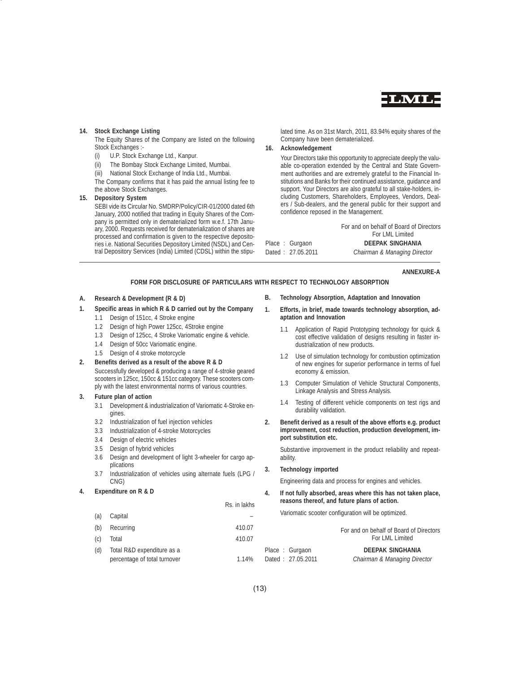

# **14. Stock Exchange Listing**

The Equity Shares of the Company are listed on the following Stock Exchanges :-

- (i) U.P. Stock Exchange Ltd., Kanpur.
- (ii) The Bombay Stock Exchange Limited, Mumbai.
- (iii) National Stock Exchange of India Ltd., Mumbai.

The Company confirms that it has paid the annual listing fee to the above Stock Exchanges.

# **15. Depository System**

SEBI vide its Circular No. SMDRP/Policy/CIR-01/2000 dated 6th January, 2000 notified that trading in Equity Shares of the Company is permitted only in dematerialized form w.e.f. 17th January, 2000. Requests received for dematerialization of shares are processed and confirmation is given to the respective depositories i.e. National Securities Depository Limited (NSDL) and Central Depository Services (India) Limited (CDSL) within the stipulated time. As on 31st March, 2011, 83.94% equity shares of the Company have been dematerialized.

# **16. Acknowledgement**

Your Directors take this opportunity to appreciate deeply the valuable co-operation extended by the Central and State Government authorities and are extremely grateful to the Financial Institutions and Banks for their continued assistance, guidance and support. Your Directors are also grateful to all stake-holders, including Customers, Shareholders, Employees, Vendors, Dealers / Sub-dealers, and the general public for their support and confidence reposed in the Management.

For and on behalf of Board of Directors For LML Limited Place : Gurgaon **DEEPAK SINGHANIA** Dated : 27.05.2011 *Chairman & Managing Director*

**ANNEXURE-A**

# **FORM FOR DISCLOSURE OF PARTICULARS WITH RESPECT TO TECHNOLOGY ABSORPTION**

### **A. Research & Development (R & D)**

# **1. Specific areas in which R & D carried out by the Company**

- 1.1 Design of 151cc, 4 Stroke engine
- 1.2 Design of high Power 125cc, 4Stroke engine
- 1.3 Design of 125cc, 4 Stroke Variomatic engine & vehicle.
- 1.4 Design of 50cc Variomatic engine.
- 1.5 Design of 4 stroke motorcycle
- **2. Benefits derived as a result of the above R & D** Successfully developed & producing a range of 4-stroke geared scooters in 125cc, 150cc & 151cc category. These scooters comply with the latest environmental norms of various countries.

### **3. Future plan of action**

- 3.1 Development & industrialization of Variomatic 4-Stroke engines.
- 3.2 Industrialization of fuel injection vehicles
- 3.3 Industrialization of 4-stroke Motorcycles
- 3.4 Design of electric vehicles
- 3.5 Design of hybrid vehicles
- 3.6 Design and development of light 3-wheeler for cargo applications
- 3.7 Industrialization of vehicles using alternate fuels (LPG / CNG)

# **4. Expenditure on R & D**

Rs. in lakhs

- (a) Capital (b) Recurring
- (c) Total 410.07
- (d) Total R&D expenditure as a

percentage of total turnover

- **B. Technology Absorption, Adaptation and Innovation**
- **1. Efforts, in brief, made towards technology absorption, adaptation and Innovation**
	- 1.1 Application of Rapid Prototyping technology for quick & cost effective validation of designs resulting in faster industrialization of new products.
	- 1.2 Use of simulation technology for combustion optimization of new engines for superior performance in terms of fuel economy & emission.
	- 1.3 Computer Simulation of Vehicle Structural Components, Linkage Analysis and Stress Analysis.
	- 1.4 Testing of different vehicle components on test rigs and durability validation.
- **2. Benefit derived as a result of the above efforts e.g. product improvement, cost reduction, production development, import substitution etc.**

Substantive improvement in the product reliability and repeatability.

**3. Technology imported**

Engineering data and process for engines and vehicles.

**4. If not fully absorbed, areas where this has not taken place, reasons thereof, and future plans of action.**

Variomatic scooter configuration will be optimized.

| 410.07 |                   | For and on behalf of Board of Directors |
|--------|-------------------|-----------------------------------------|
| 410.07 |                   | For LML Limited                         |
|        | Place: Gurgaon    | <b>DEEPAK SINGHANIA</b>                 |
| 1.14%  | Dated: 27.05.2011 | Chairman & Managing Director            |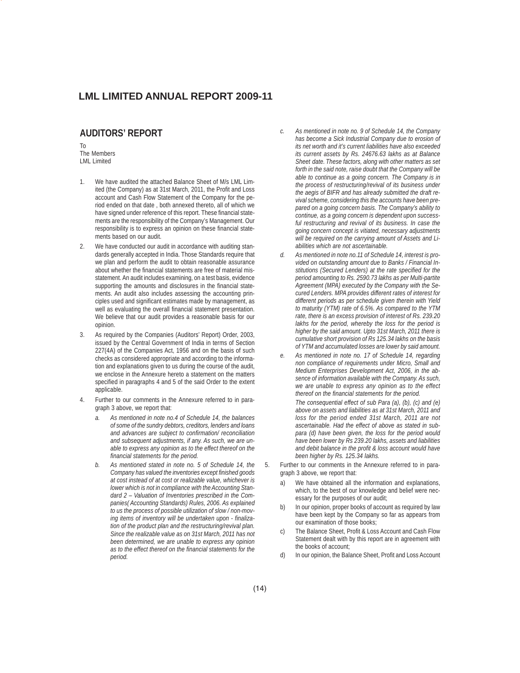# **AUDITORS' REPORT**

To The Members LML Limited

- 1. We have audited the attached Balance Sheet of M/s LML Limited (the Company) as at 31st March, 2011, the Profit and Loss account and Cash Flow Statement of the Company for the period ended on that date , both annexed thereto, all of which we have signed under reference of this report. These financial statements are the responsibility of the Company's Management. Our responsibility is to express an opinion on these financial statements based on our audit.
- 2. We have conducted our audit in accordance with auditing standards generally accepted in India. Those Standards require that we plan and perform the audit to obtain reasonable assurance about whether the financial statements are free of material misstatement. An audit includes examining, on a test basis, evidence supporting the amounts and disclosures in the financial statements. An audit also includes assessing the accounting principles used and significant estimates made by management, as well as evaluating the overall financial statement presentation. We believe that our audit provides a reasonable basis for our opinion.
- 3. As required by the Companies (Auditors' Report) Order, 2003, issued by the Central Government of India in terms of Section 227(4A) of the Companies Act, 1956 and on the basis of such checks as considered appropriate and according to the information and explanations given to us during the course of the audit, we enclose in the Annexure hereto a statement on the matters specified in paragraphs 4 and 5 of the said Order to the extent applicable.
- 4. Further to our comments in the Annexure referred to in paragraph 3 above, we report that:
	- *a. As mentioned in note no.4 of Schedule 14, the balances of some of the sundry debtors, creditors, lenders and loans and advances are subject to confirmation/ reconciliation and subsequent adjustments, if any. As such, we are unable to express any opinion as to the effect thereof on the financial statements for the period.*
	- *b. As mentioned stated in note no. 5 of Schedule 14, the Company has valued the inventories except finished goods at cost instead of at cost or realizable value, whichever is lower which is not in compliance with the Accounting Standard 2 – Valuation of Inventories prescribed in the Companies( Accounting Standards) Rules, 2006. As explained to us the process of possible utilization of slow / non-moving items of inventory will be undertaken upon - finalization of the product plan and the restructuring/revival plan. Since the realizable value as on 31st March, 2011 has not been determined, we are unable to express any opinion as to the effect thereof on the financial statements for the period.*
- *c. As mentioned in note no. 9 of Schedule 14, the Company has become a Sick Industrial Company due to erosion of its net worth and it's current liabilities have also exceeded its current assets by Rs. 24676.63 lakhs as at Balance Sheet date. These factors, along with other matters as set forth in the said note, raise doubt that the Company will be able to continue as a going concern. The Company is in the process of restructuring/revival of its business under the aegis of BIFR and has already submitted the draft revival scheme, considering this the accounts have been prepared on a going concern basis. The Company's ability to continue, as a going concern is dependent upon successful restructuring and revival of its business. In case the going concern concept is vitiated, necessary adjustments will be required on the carrying amount of Assets and Liabilities which are not ascertainable.*
- *d. As mentioned in note no.11 of Schedule 14, interest is provided on outstanding amount due to Banks / Financial Institutions (Secured Lenders) at the rate specified for the period amounting to Rs. 2590.73 lakhs as per Multi-partite Agreement (MPA) executed by the Company with the Secured Lenders. MPA provides different rates of interest for different periods as per schedule given therein with Yield to maturity (YTM) rate of 6.5%. As compared to the YTM rate, there is an excess provision of interest of Rs. 239.20 lakhs for the period, whereby the loss for the period is higher by the said amount. Upto 31st March, 2011 there is cumulative short provision of Rs 125.34 lakhs on the basis of YTM and accumulated losses are lower by said amount.*
- *e. As mentioned in note no. 17 of Schedule 14, regarding non compliance of requirements under Micro, Small and Medium Enterprises Development Act, 2006, in the absence of information available with the Company. As such, we are unable to express any opinion as to the effect thereof on the financial statements for the period.*

*The consequential effect of sub Para (a), (b), (c) and (e) above on assets and liabilities as at 31st March, 2011 and loss for the period ended 31st March, 2011 are not ascertainable. Had the effect of above as stated in subpara (d) have been given, the loss for the period would have been lower by Rs 239.20 lakhs, assets and liabilities and debit balance in the profit & loss account would have been higher by Rs. 125.34 lakhs.*

5. Further to our comments in the Annexure referred to in paragraph 3 above, we report that:

- a) We have obtained all the information and explanations, which, to the best of our knowledge and belief were necessary for the purposes of our audit;
- In our opinion, proper books of account as required by law have been kept by the Company so far as appears from our examination of those books;
- c) The Balance Sheet, Profit & Loss Account and Cash Flow Statement dealt with by this report are in agreement with the books of account;
- d) In our opinion, the Balance Sheet, Profit and Loss Account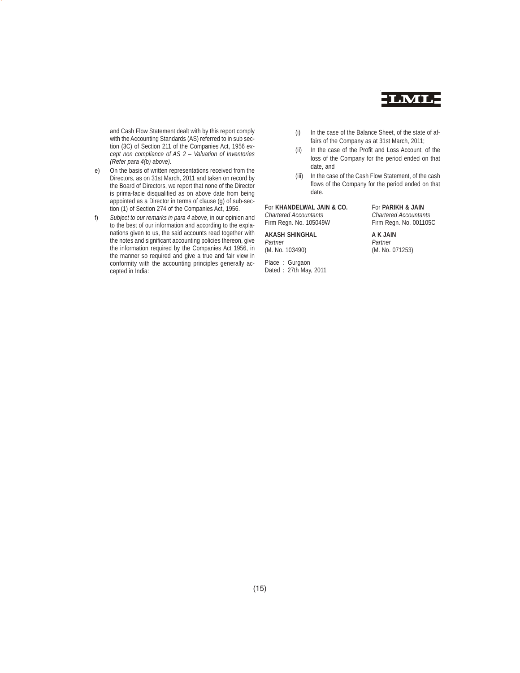

and Cash Flow Statement dealt with by this report comply with the Accounting Standards (AS) referred to in sub section (3C) of Section 211 of the Companies Act, 1956 *except non compliance of AS 2 – Valuation of Inventories (Refer para 4(b) above).*

e) On the basis of written representations received from the Directors, as on 31st March, 2011 and taken on record by the Board of Directors, we report that none of the Director is prima-facie disqualified as on above date from being appointed as a Director in terms of clause (g) of sub-section (1) of Section 274 of the Companies Act, 1956.

f) *Subject to our remarks in para 4 above*, in our opinion and to the best of our information and according to the explanations given to us, the said accounts read together with the notes and significant accounting policies thereon, give the information required by the Companies Act 1956, in the manner so required and give a true and fair view in conformity with the accounting principles generally accepted in India:

- (i) In the case of the Balance Sheet, of the state of affairs of the Company as at 31st March, 2011;
- (ii) In the case of the Profit and Loss Account, of the loss of the Company for the period ended on that date, and
- (iii) In the case of the Cash Flow Statement, of the cash flows of the Company for the period ended on that date.

# For **KHANDELWAL JAIN & CO.** For **PARIKH & JAIN**

Firm Regn. No. 105049W

# **AKASH SHINGHAL A K JAIN**<br>Partner *Partner*

*Partner*<br>(M. No. 103490)

Place : Gurgaon Dated : 27th May, 2011

*Chartered Accountants Chartered Accountants*

(M. No. 071253)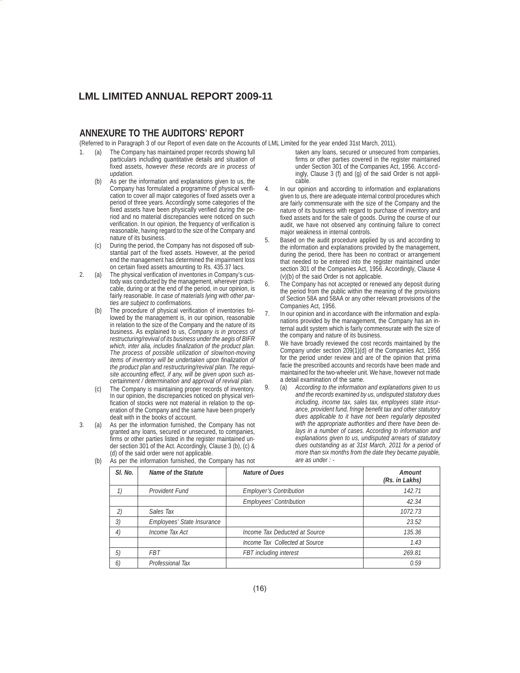# **ANNEXURE TO THE AUDITORS' REPORT**

(Referred to in Paragraph 3 of our Report of even date on the Accounts of LML Limited for the year ended 31st March, 2011).

- 1. (a) The Company has maintained proper records showing full particulars including quantitative details and situation of fixed assets, *however these records are in process of updation.*
	- As per the information and explanations given to us, the Company has formulated a programme of physical verification to cover all major categories of fixed assets over a period of three years. Accordingly some categories of the fixed assets have been physically verified during the period and no material discrepancies were noticed on such verification. In our opinion, the frequency of verification is reasonable, having regard to the size of the Company and nature of its business.
	- (c) During the period, the Company has not disposed off substantial part of the fixed assets. However, at the period end the management has determined the impairment loss on certain fixed assets amounting to Rs. 435.37 lacs.
- 2. (a) The physical verification of inventories in Company's custody was conducted by the management, wherever practicable, during or at the end of the period, in our opinion, is fairly reasonable. *In case of materials lying with other parties are subject to confirmations.*
	- (b) The procedure of physical verification of inventories followed by the management is, in our opinion, reasonable in relation to the size of the Company and the nature of its business. As explained to us, *Company is in process of restructuring/revival of its business under the aegis of BIFR which, inter alia, includes finalization of the product plan. The process of possible utilization of slow/non-moving items of inventory will be undertaken upon finalization of the product plan and restructuring/revival plan. The requisite accounting effect, if any, will be given upon such ascertainment / determination and approval of revival plan.*
	- (c) The Company is maintaining proper records of inventory. In our opinion, the discrepancies noticed on physical verification of stocks were not material in relation to the operation of the Company and the same have been properly dealt with in the books of account.
- 3. (a) As per the information furnished, the Company has not granted any loans, secured or unsecured, to companies, firms or other parties listed in the register maintained under section 301 of the Act. Accordingly, Clause 3 (b), (c) & (d) of the said order were not applicable.
- taken any loans, secured or unsecured from companies, firms or other parties covered in the register maintained under Section 301 of the Companies Act, 1956. Accordingly, Clause 3 (f) and (g) of the said Order is not applicable.
- 4. In our opinion and according to information and explanations given to us, there are adequate internal control procedures which are fairly commensurate with the size of the Company and the nature of its business with regard to purchase of inventory and fixed assets and for the sale of goods. During the course of our audit, we have not observed any continuing failure to correct major weakness in internal controls.
- 5. Based on the audit procedure applied by us and according to the information and explanations provided by the management, during the period, there has been no contract or arrangement that needed to be entered into the register maintained under section 301 of the Companies Act, 1956. Accordingly, Clause 4 (v)(b) of the said Order is not applicable.
- The Company has not accepted or renewed any deposit during the period from the public within the meaning of the provisions of Section 58A and 58AA or any other relevant provisions of the Companies Act, 1956.
- 7. In our opinion and in accordance with the information and explanations provided by the management, the Company has an internal audit system which is fairly commensurate with the size of the company and nature of its business.
- 8. We have broadly reviewed the cost records maintained by the Company under section 209(1)(d) of the Companies Act, 1956 for the period under review and are of the opinion that prima facie the prescribed accounts and records have been made and maintained for the two-wheeler unit. We have, however not made a detail examination of the same.
- 9. (a) *According to the information and explanations given to us and the records examined by us, undisputed statutory dues including, income tax, sales tax, employees state insurance, provident fund, fringe benefit tax and other statutory dues applicable to it have not been regularly deposited with the appropriate authorities and there have been delays in a number of cases. According to information and explanations given to us, undisputed arrears of statutory dues outstanding as at 31st March, 2011 for a period of more than six months from the date they became payable, are as under : -*

| SI. No. | <b>Name of the Statute</b> | <b>Nature of Dues</b>          | Amount<br>(Rs. in Lakhs) |
|---------|----------------------------|--------------------------------|--------------------------|
| 1)      | Provident Fund             | <b>Employer's Contribution</b> | 142.71                   |
|         |                            | <b>Employees' Contribution</b> | 42.34                    |
| 2)      | Sales Tax                  |                                | 1072.73                  |
| 3)      | Employees' State Insurance |                                | 23.52                    |
| 4)      | Income Tax Act             | Income Tax Deducted at Source  | 135.36                   |
|         |                            | Income Tax Collected at Source | 1.43                     |
| 5)      | <b>FBT</b>                 | FBT including interest         | 269.81                   |
| 6)      | Professional Tax           |                                | 0.59                     |

(b) As per the information furnished, the Company has not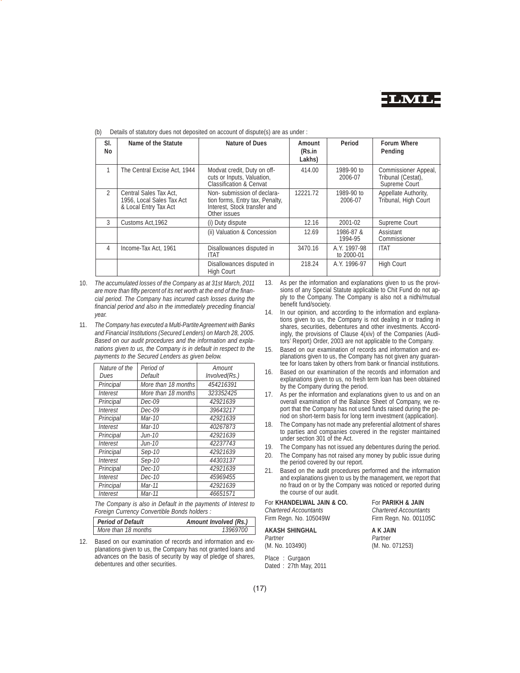

| SI.<br>No      | Name of the Statute                                                          | Nature of Dues                                                                                                | Amount<br>(Rs.in<br>Lakhs) | Period                     | <b>Forum Where</b><br>Pending                               |
|----------------|------------------------------------------------------------------------------|---------------------------------------------------------------------------------------------------------------|----------------------------|----------------------------|-------------------------------------------------------------|
| 1              | The Central Excise Act, 1944                                                 | Modvat credit, Duty on off-<br>cuts or Inputs, Valuation,<br><b>Classification &amp; Cenvat</b>               | 414.00                     | 1989-90 to<br>2006-07      | Commissioner Appeal,<br>Tribunal (Cestat),<br>Supreme Court |
| $\mathfrak{D}$ | Central Sales Tax Act.<br>1956. Local Sales Tax Act<br>& Local Entry Tax Act | Non-submission of declara-<br>tion forms, Entry tax, Penalty,<br>Interest, Stock transfer and<br>Other issues | 12221.72                   | 1989-90 to<br>2006-07      | Appellate Authority,<br>Tribunal, High Court                |
| 3              | Customs Act, 1962                                                            | (i) Duty dispute                                                                                              | 12.16                      | 2001-02                    | Supreme Court                                               |
|                |                                                                              | (ii) Valuation & Concession                                                                                   | 12.69                      | 1986-87 &<br>1994-95       | Assistant<br>Commissioner                                   |
| 4              | Income-Tax Act, 1961                                                         | Disallowances disputed in<br><b>ITAT</b>                                                                      | 3470.16                    | A.Y. 1997-98<br>to 2000-01 | <b>ITAT</b>                                                 |
|                |                                                                              | Disallowances disputed in<br><b>High Court</b>                                                                | 218.24                     | A.Y. 1996-97               | <b>High Court</b>                                           |

Details of statutory dues not deposited on account of dispute(s) are as under :

10. *The accumulated losses of the Company as at 31st March, 2011 are more than fifty percent of its net worth at the end of the financial period. The Company has incurred cash losses during the financial period and also in the immediately preceding financial year.*

11. *The Company has executed a Multi-Partite Agreement with Banks and Financial Institutions (Secured Lenders) on March 28, 2005. Based on our audit procedures and the information and explanations given to us, the Company is in default in respect to the payments to the Secured Lenders as given below.*

| Nature of the   | Period of           | Amount        |
|-----------------|---------------------|---------------|
| Dues            | Default             | Involved(Rs.) |
| Principal       | More than 18 months | 454216391     |
| <b>Interest</b> | More than 18 months | 323352425     |
| Principal       | Dec-09              | 42921639      |
| <b>Interest</b> | Dec-09              | 39643217      |
| Principal       | Mar-10              | 42921639      |
| <i>Interest</i> | Mar-10              | 40267873      |
| Principal       | Jun-10              | 42921639      |
| <i>Interest</i> | Jun-10              | 42237743      |
| Principal       | Sep-10              | 42921639      |
| <b>Interest</b> | Sep-10              | 44303137      |
| Principal       | Dec-10              | 42921639      |
| <i>Interest</i> | <i>Dec-10</i>       | 45969455      |
| Principal       | Mar-11              | 42921639      |
| <b>Interest</b> | Mar-11              | 46651571      |

*The Company is also in Default in the payments of Interest to Foreign Currency Convertible Bonds holders :*

| <b>Period of Default</b> | Amount Involved (Rs.) |
|--------------------------|-----------------------|
| More than 18 months      | 13969700              |

12. Based on our examination of records and information and explanations given to us, the Company has not granted loans and advances on the basis of security by way of pledge of shares, debentures and other securities.

- 13. As per the information and explanations given to us the provisions of any Special Statute applicable to Chit Fund do not apply to the Company. The Company is also not a nidhi/mutual benefit fund/society.
- 14. In our opinion, and according to the information and explanations given to us, the Company is not dealing in or trading in shares, securities, debentures and other investments. Accordingly, the provisions of Clause 4(xiv) of the Companies (Auditors' Report) Order, 2003 are not applicable to the Company.
- 15. Based on our examination of records and information and explanations given to us, the Company has not given any guarantee for loans taken by others from bank or financial institutions.
- 16. Based on our examination of the records and information and explanations given to us, no fresh term loan has been obtained by the Company during the period.
- 17. As per the information and explanations given to us and on an overall examination of the Balance Sheet of Company, we report that the Company has not used funds raised during the period on short-term basis for long term investment (application).
- 18. The Company has not made any preferential allotment of shares to parties and companies covered in the register maintained under section 301 of the Act.
- 19. The Company has not issued any debentures during the period.
- 20. The Company has not raised any money by public issue during the period covered by our report.
- 21. Based on the audit procedures performed and the information and explanations given to us by the management, we report that no fraud on or by the Company was noticed or reported during the course of our audit.

For **KHANDELWAL JAIN & CO.** For **PARIKH & JAIN** *Chartered Accountants Chartered Accountants* Firm Regn. No. 105049W

# **AKASH SHINGHAL A K JAIN**<br>Partner *Partner*

*Partner*<br>(M. No. 103490)

Place : Gurgaon Dated : 27th May, 2011

(M. No. 071253)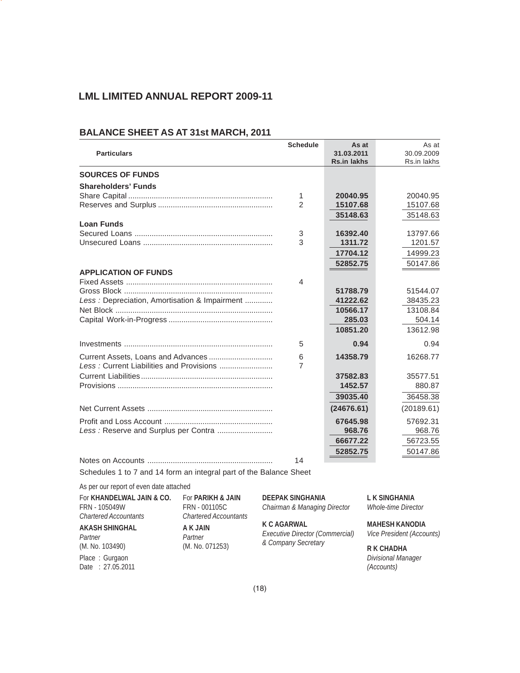# **BALANCE SHEET AS AT 31st MARCH, 2011**

| <b>Particulars</b>                            | <b>Schedule</b> | As at<br>31.03.2011<br><b>Rs.in lakhs</b> | As at<br>30.09.2009<br>Rs.in lakhs |
|-----------------------------------------------|-----------------|-------------------------------------------|------------------------------------|
| <b>SOURCES OF FUNDS</b>                       |                 |                                           |                                    |
| <b>Shareholders' Funds</b>                    |                 |                                           |                                    |
|                                               | 1               | 20040.95                                  | 20040.95                           |
|                                               | $\overline{2}$  | 15107.68                                  | 15107.68                           |
|                                               |                 | 35148.63                                  | 35148.63                           |
| <b>Loan Funds</b>                             |                 |                                           |                                    |
|                                               | 3               | 16392.40                                  | 13797.66                           |
|                                               | 3               | 1311.72                                   | 1201.57                            |
|                                               |                 | 17704.12                                  | 14999.23                           |
|                                               |                 | 52852.75                                  | 50147.86                           |
| <b>APPLICATION OF FUNDS</b>                   |                 |                                           |                                    |
|                                               | 4               |                                           |                                    |
| Less: Depreciation, Amortisation & Impairment |                 | 51788.79<br>41222.62                      | 51544.07<br>38435.23               |
|                                               |                 | 10566.17                                  | 13108.84                           |
|                                               |                 | 285.03                                    | 504.14                             |
|                                               |                 | 10851.20                                  | 13612.98                           |
|                                               |                 |                                           |                                    |
|                                               | 5               | 0.94                                      | 0.94                               |
|                                               | 6               | 14358.79                                  | 16268.77                           |
|                                               | 7               |                                           |                                    |
|                                               |                 | 37582.83                                  | 35577.51                           |
|                                               |                 | 1452.57                                   | 880.87                             |
|                                               |                 | 39035.40                                  | 36458.38                           |
|                                               |                 | (24676.61)                                | (20189.61)                         |
|                                               |                 | 67645.98                                  | 57692.31                           |
| Less : Reserve and Surplus per Contra         |                 | 968.76                                    | 968.76                             |
|                                               |                 | 66677.22                                  | 56723.55                           |
|                                               |                 | 52852.75                                  | 50147.86                           |
|                                               | 14              |                                           |                                    |

Schedules 1 to 7 and 14 form an integral part of the Balance Sheet

As per our report of even date attached

| For KHANDELWAL JAIN & CO.    | For PARIKH & JAIN            | <b>DEEPAK SINGHANIA</b>         | L K SINGHANIA              |
|------------------------------|------------------------------|---------------------------------|----------------------------|
| FRN - 105049W                | FRN - 001105C                | Chairman & Managing Director    | <b>Whole-time Director</b> |
| <b>Chartered Accountants</b> | <b>Chartered Accountants</b> |                                 |                            |
| <b>AKASH SHINGHAL</b>        | A K JAIN                     | <b>K C AGARWAL</b>              | <b>MAHESH KANODIA</b>      |
| Partner                      | Partner                      | Executive Director (Commercial) | Vice President (Accounts)  |
| (M. No. 103490)              | (M. No. 071253)              | & Company Secretary             | <b>R K CHADHA</b>          |
| Place: Gurgaon               |                              |                                 | Divisional Manager         |
| Date: 27.05.2011             |                              |                                 | (Accounts)                 |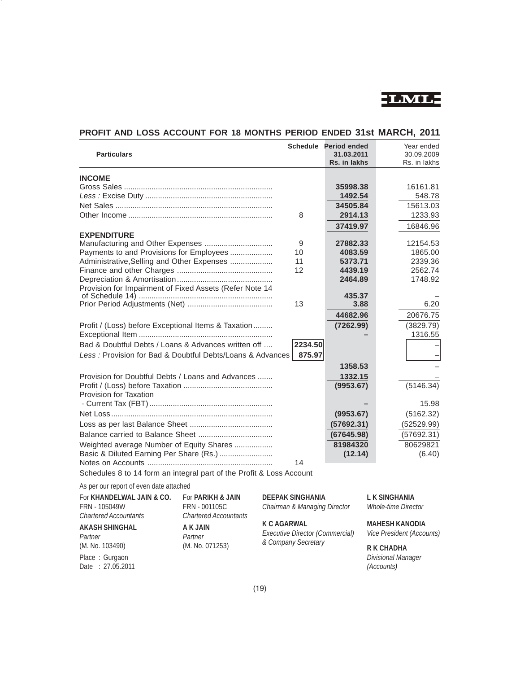

| <b>Particulars</b>                                                   |         | Schedule Period ended<br>31.03.2011<br>Rs. in lakhs | Year ended<br>30.09.2009<br>Rs. in lakhs |
|----------------------------------------------------------------------|---------|-----------------------------------------------------|------------------------------------------|
|                                                                      |         |                                                     |                                          |
| <b>INCOME</b>                                                        |         |                                                     |                                          |
|                                                                      |         | 35998.38                                            | 16161.81                                 |
|                                                                      |         | 1492.54                                             | 548.78                                   |
|                                                                      |         | 34505.84                                            | 15613.03                                 |
|                                                                      | 8       | 2914.13                                             | 1233.93                                  |
|                                                                      |         | 37419.97                                            | 16846.96                                 |
| <b>EXPENDITURE</b>                                                   |         |                                                     |                                          |
|                                                                      | 9       | 27882.33                                            | 12154.53                                 |
| Payments to and Provisions for Employees                             | 10      | 4083.59                                             | 1865.00                                  |
| Administrative, Selling and Other Expenses                           | 11      | 5373.71                                             | 2339.36                                  |
|                                                                      | 12      | 4439.19                                             | 2562.74                                  |
| Provision for Impairment of Fixed Assets (Refer Note 14              |         | 2464.89                                             | 1748.92                                  |
|                                                                      |         | 435.37                                              |                                          |
|                                                                      | 13      | 3.88                                                | 6.20                                     |
|                                                                      |         | 44682.96                                            | 20676.75                                 |
| Profit / (Loss) before Exceptional Items & Taxation                  |         | (7262.99)                                           | (3829.79)                                |
|                                                                      |         |                                                     | 1316.55                                  |
| Bad & Doubtful Debts / Loans & Advances written off                  | 2234.50 |                                                     |                                          |
| Less: Provision for Bad & Doubtful Debts/Loans & Advances            | 875.97  |                                                     |                                          |
|                                                                      |         | 1358.53                                             |                                          |
| Provision for Doubtful Debts / Loans and Advances                    |         | 1332.15                                             |                                          |
|                                                                      |         | (9953.67)                                           | (5146.34)                                |
| Provision for Taxation                                               |         |                                                     |                                          |
|                                                                      |         |                                                     | 15.98                                    |
|                                                                      |         | (9953.67)                                           | (5162.32)                                |
|                                                                      |         | (57692.31)                                          | (52529.99)                               |
|                                                                      |         | (67645.98)                                          | (57692.31)                               |
| Weighted average Number of Equity Shares                             |         | 81984320                                            | 80629821                                 |
| Basic & Diluted Earning Per Share (Rs.)                              |         | (12.14)                                             | (6.40)                                   |
|                                                                      | 14      |                                                     |                                          |
| Schedules 8 to 14 form an integral part of the Profit & Loss Account |         |                                                     |                                          |

# **PROFIT AND LOSS ACCOUNT FOR 18 MONTHS PERIOD ENDED 31st MARCH, 2011**

As per our report of even date attached

| For KHANDELWAL JAIN & CO.<br>FRN - 105049W<br><b>Chartered Accountants</b> | For <b>PARIKH &amp; JAIN</b><br>FRN - 001105C<br><b>Chartered Accountants</b> | <b>DEEPAK SINGHANIA</b><br>Chairman & Managing Director | L K SINGHANIA<br><b>Whole-time Director</b>        |
|----------------------------------------------------------------------------|-------------------------------------------------------------------------------|---------------------------------------------------------|----------------------------------------------------|
| <b>AKASH SHINGHAL</b><br>Partner                                           | A K JAIN<br>Partner                                                           | <b>K C AGARWAL</b><br>Executive Director (Commercial)   | <b>MAHESH KANODIA</b><br>Vice President (Accounts) |
| (M. No. 103490)                                                            | (M. No. 071253)                                                               | & Company Secretary                                     | <b>R K CHADHA</b>                                  |
| Place: Gurgaon                                                             |                                                                               |                                                         | Divisional Manager                                 |
| Date: 27.05.2011                                                           |                                                                               |                                                         | (Accounts)                                         |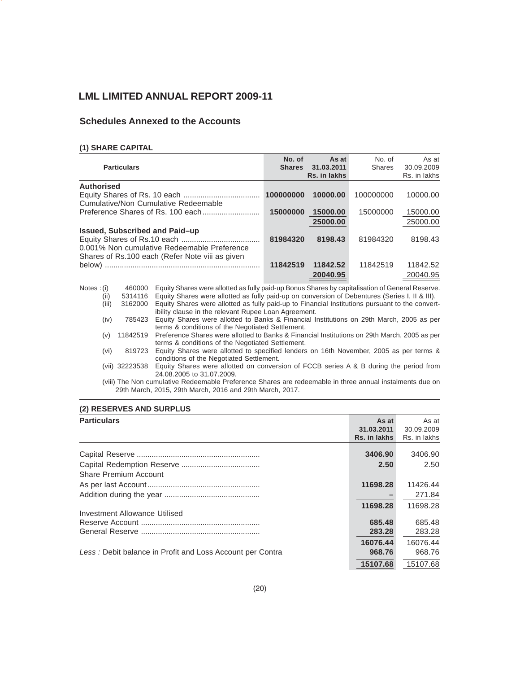# **Schedules Annexed to the Accounts**

# **(1) SHARE CAPITAL**

| <b>Particulars</b>                              | No. of<br><b>Shares</b> | As at<br>31.03.2011<br>Rs. in lakhs | No. of<br><b>Shares</b> | As at<br>30.09.2009<br>Rs. in lakhs |
|-------------------------------------------------|-------------------------|-------------------------------------|-------------------------|-------------------------------------|
| <b>Authorised</b>                               |                         |                                     |                         |                                     |
|                                                 | 100000000               | 10000.00                            | 100000000               | 10000.00                            |
| Cumulative/Non Cumulative Redeemable            |                         |                                     |                         |                                     |
|                                                 | 15000000                | 15000.00                            | 15000000                | 15000.00                            |
|                                                 |                         | 25000.00                            |                         | 25000.00                            |
| Issued, Subscribed and Paid-up                  |                         |                                     |                         |                                     |
|                                                 | 81984320                | 8198.43                             | 81984320                | 8198.43                             |
| 0.001% Non cumulative Redeemable Preference     |                         |                                     |                         |                                     |
| Shares of Rs.100 each (Refer Note viii as given |                         |                                     |                         |                                     |
|                                                 | 11842519                | 11842.52                            | 11842519                | 11842.52                            |
|                                                 |                         | 20040.95                            |                         | 20040.95                            |

| Notes $:(i)$ | 460000         | Equity Shares were allotted as fully paid-up Bonus Shares by capitalisation of General Reserve.          |
|--------------|----------------|----------------------------------------------------------------------------------------------------------|
| (ii)         | 5314116        | Equity Shares were allotted as fully paid-up on conversion of Debentures (Series I, II & III).           |
| (iii)        | 3162000        | Equity Shares were allotted as fully paid-up to Financial Institutions pursuant to the convert-          |
|              |                | ibility clause in the relevant Rupee Loan Agreement.                                                     |
| (iv)         | 785423         | Equity Shares were allotted to Banks & Financial Institutions on 29th March, 2005 as per                 |
|              |                | terms & conditions of the Negotiated Settlement.                                                         |
| (v)          | 11842519       | Preference Shares were allotted to Banks & Financial Institutions on 29th March, 2005 as per             |
|              |                | terms & conditions of the Negotiated Settlement.                                                         |
| (vi)         | 819723         | Equity Shares were allotted to specified lenders on 16th November, 2005 as per terms &                   |
|              |                | conditions of the Negotiated Settlement.                                                                 |
|              | (vii) 32223538 | Equity Shares were allotted on conversion of FCCB series A & B during the period from                    |
|              |                | 24.08.2005 to 31.07.2009.                                                                                |
|              |                | (viii) The Non cumulative Redeemable Preference Shares are redeemable in three annual instalments due on |
|              |                | 29th March, 2015, 29th March, 2016 and 29th March, 2017.                                                 |
|              |                |                                                                                                          |

# **(2) RESERVES AND SURPLUS**

| <b>Particulars</b>                                        | As at        | As at        |
|-----------------------------------------------------------|--------------|--------------|
|                                                           | 31.03.2011   | 30.09.2009   |
|                                                           | Rs. in lakhs | Rs. in lakhs |
|                                                           | 3406.90      | 3406.90      |
|                                                           | 2.50         | 2.50         |
| Share Premium Account                                     |              |              |
|                                                           | 11698.28     | 11426.44     |
|                                                           |              | 271.84       |
|                                                           | 11698.28     | 11698.28     |
| Investment Allowance Utilised                             |              |              |
|                                                           | 685.48       | 685.48       |
|                                                           | 283.28       | 283.28       |
|                                                           | 16076.44     | 16076.44     |
| Less: Debit balance in Profit and Loss Account per Contra | 968.76       | 968.76       |
|                                                           | 15107.68     | 15107.68     |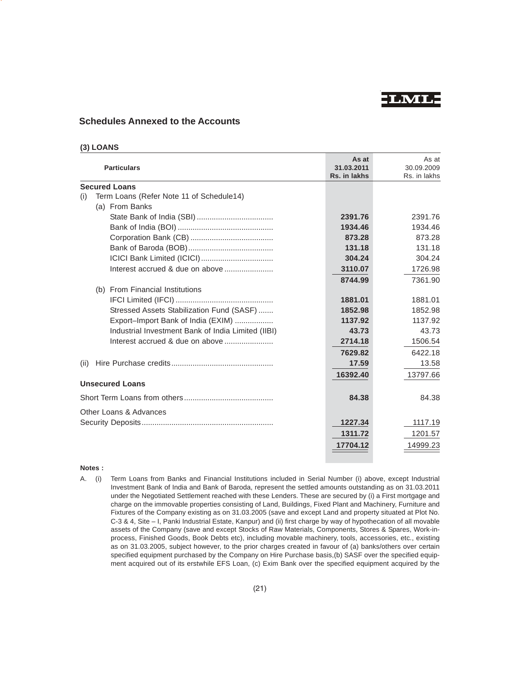**LML**

# **Schedules Annexed to the Accounts**

| (3) LOANS |
|-----------|
|-----------|

| <b>Particulars</b>                                 | As at<br>31.03.2011<br>Rs. in lakhs | As at<br>30.09.2009<br>Rs. in lakhs |
|----------------------------------------------------|-------------------------------------|-------------------------------------|
| <b>Secured Loans</b>                               |                                     |                                     |
| Term Loans (Refer Note 11 of Schedule14)<br>(i)    |                                     |                                     |
| (a) From Banks                                     |                                     |                                     |
|                                                    | 2391.76                             | 2391.76                             |
|                                                    | 1934.46                             | 1934.46                             |
|                                                    | 873.28                              | 873.28                              |
|                                                    | 131.18                              | 131.18                              |
|                                                    | 304.24                              | 304.24                              |
|                                                    | 3110.07                             | 1726.98                             |
|                                                    | 8744.99                             | 7361.90                             |
| (b) From Financial Institutions                    |                                     |                                     |
|                                                    | 1881.01                             | 1881.01                             |
| Stressed Assets Stabilization Fund (SASF)          | 1852.98                             | 1852.98                             |
| Export-Import Bank of India (EXIM)                 | 1137.92                             | 1137.92                             |
| Industrial Investment Bank of India Limited (IIBI) | 43.73                               | 43.73                               |
|                                                    | 2714.18                             | 1506.54                             |
|                                                    | 7629.82                             | 6422.18                             |
| (ii)                                               | 17.59                               | 13.58                               |
|                                                    | 16392.40                            | 13797.66                            |
| <b>Unsecured Loans</b>                             |                                     |                                     |
|                                                    | 84.38                               | 84.38                               |
| Other Loans & Advances                             |                                     |                                     |
|                                                    | 1227.34                             | 1117.19                             |
|                                                    | 1311.72                             | 1201.57                             |
|                                                    | 17704.12                            | 14999.23                            |
|                                                    |                                     |                                     |

# **Notes :**

A. (i) Term Loans from Banks and Financial Institutions included in Serial Number (i) above, except Industrial Investment Bank of India and Bank of Baroda, represent the settled amounts outstanding as on 31.03.2011 under the Negotiated Settlement reached with these Lenders. These are secured by (i) a First mortgage and charge on the immovable properties consisting of Land, Buildings, Fixed Plant and Machinery, Furniture and Fixtures of the Company existing as on 31.03.2005 (save and except Land and property situated at Plot No. C-3 & 4, Site – I, Panki Industrial Estate, Kanpur) and (ii) first charge by way of hypothecation of all movable assets of the Company (save and except Stocks of Raw Materials, Components, Stores & Spares, Work-inprocess, Finished Goods, Book Debts etc), including movable machinery, tools, accessories, etc., existing as on 31.03.2005, subject however, to the prior charges created in favour of (a) banks/others over certain specified equipment purchased by the Company on Hire Purchase basis,(b) SASF over the specified equipment acquired out of its erstwhile EFS Loan, (c) Exim Bank over the specified equipment acquired by the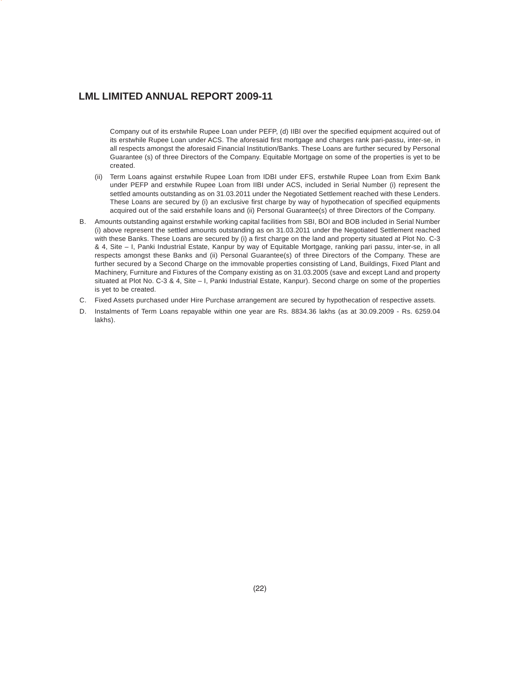Company out of its erstwhile Rupee Loan under PEFP, (d) IIBI over the specified equipment acquired out of its erstwhile Rupee Loan under ACS. The aforesaid first mortgage and charges rank pari-passu, inter-se, in all respects amongst the aforesaid Financial Institution/Banks. These Loans are further secured by Personal Guarantee (s) of three Directors of the Company. Equitable Mortgage on some of the properties is yet to be created.

- (ii) Term Loans against erstwhile Rupee Loan from IDBI under EFS, erstwhile Rupee Loan from Exim Bank under PEFP and erstwhile Rupee Loan from IIBI under ACS, included in Serial Number (i) represent the settled amounts outstanding as on 31.03.2011 under the Negotiated Settlement reached with these Lenders. These Loans are secured by (i) an exclusive first charge by way of hypothecation of specified equipments acquired out of the said erstwhile loans and (ii) Personal Guarantee(s) of three Directors of the Company.
- B. Amounts outstanding against erstwhile working capital facilities from SBI, BOI and BOB included in Serial Number (i) above represent the settled amounts outstanding as on 31.03.2011 under the Negotiated Settlement reached with these Banks. These Loans are secured by (i) a first charge on the land and property situated at Plot No. C-3 & 4, Site – I, Panki Industrial Estate, Kanpur by way of Equitable Mortgage, ranking pari passu, inter-se, in all respects amongst these Banks and (ii) Personal Guarantee(s) of three Directors of the Company. These are further secured by a Second Charge on the immovable properties consisting of Land, Buildings, Fixed Plant and Machinery, Furniture and Fixtures of the Company existing as on 31.03.2005 (save and except Land and property situated at Plot No. C-3 & 4, Site – I, Panki Industrial Estate, Kanpur). Second charge on some of the properties is yet to be created.
- C. Fixed Assets purchased under Hire Purchase arrangement are secured by hypothecation of respective assets.
- D. Instalments of Term Loans repayable within one year are Rs. 8834.36 lakhs (as at 30.09.2009 Rs. 6259.04 lakhs).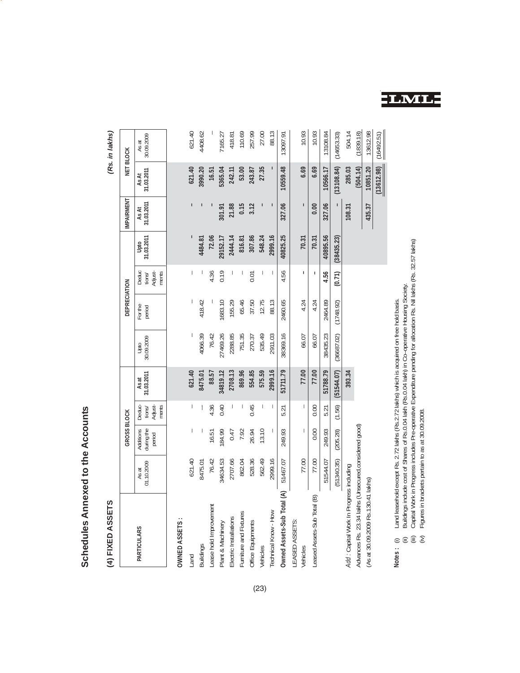# Schedules Annexed to the Accounts **Schedules Annexed to the Accounts**

# **(4) FIXED ASSETS** *(Rs. in lakhs)* (4) FIXED ASSETS

(Rs. in lakhs)

|                                                                    |                     | GROSS BLOCK                       |                                      |                     |                                                                                                                                                                                                                                                                                                                      | DEPRECIATION     |                                     |                    | <b>IMPAIRMENT</b>   |                            | <b>NET BLOCK</b>    |
|--------------------------------------------------------------------|---------------------|-----------------------------------|--------------------------------------|---------------------|----------------------------------------------------------------------------------------------------------------------------------------------------------------------------------------------------------------------------------------------------------------------------------------------------------------------|------------------|-------------------------------------|--------------------|---------------------|----------------------------|---------------------|
| PARTICULARS                                                        | 01.10.2009<br>As at | during the<br>Additions<br>period | Deduc-<br>Adjust-<br>ments<br>tions/ | 31.03.2011<br>As at | 30.09.2009<br>Upto                                                                                                                                                                                                                                                                                                   | Forthe<br>period | Adjust-<br>Deduc<br>ments<br>tions/ | 31.03.2011<br>Upto | As At<br>31.03.2011 | 31.03.2011<br><b>As At</b> | 30.09.2009<br>As at |
| <b>OWNED ASSETS:</b>                                               |                     |                                   |                                      |                     |                                                                                                                                                                                                                                                                                                                      |                  |                                     |                    |                     |                            |                     |
| Land                                                               | 621.40              |                                   |                                      | 621.40              |                                                                                                                                                                                                                                                                                                                      |                  | I                                   |                    |                     | 621.40                     | 621.40              |
| Buildings                                                          | 8475.01             |                                   |                                      | 8475.01             | 4066.39                                                                                                                                                                                                                                                                                                              | 418.42           |                                     | 4484.81            |                     | 3990.20                    | 1408.62             |
| ease hold Improvement                                              | 76.42               | 16.51                             | 4.36                                 | 88.57               | 76.42                                                                                                                                                                                                                                                                                                                |                  | 4.36                                | 72.06              |                     | 16.51                      |                     |
| Plant & Machinery                                                  | 34634.53            | 84.99                             | 0.40                                 | 34819.12            | 27469.26                                                                                                                                                                                                                                                                                                             | 1683.10          | 0.19                                | 29152.17           | 301.91              | 5365.04                    | '165.27             |
| Electric Installations                                             | 2707.66             | 0.47                              |                                      | 2708.13             | 2288.85                                                                                                                                                                                                                                                                                                              | 155.29           |                                     | 2444.14            | 21.88               | 242.11                     | 418.81              |
| Furniture and Fixtures                                             | 862.04              | 7.92                              |                                      | 869.96              | 751.35                                                                                                                                                                                                                                                                                                               | 65.46            |                                     | 816.81             | 0.15                | 53.00                      | 110.69              |
| Office Equipments                                                  | 528.36              | 26.94                             | 0.45                                 | 554.85              | 270.37                                                                                                                                                                                                                                                                                                               | 37.50            | 0.01                                | 307.86             | 3.12                | 243.87                     | 257.99              |
| <b>Jehicles</b>                                                    | 562.49              | 13.10                             |                                      | 575.59              | 535.49                                                                                                                                                                                                                                                                                                               | 12.75            |                                     | 548.24             |                     | 27.35                      | 27.00               |
| echnical Know - How                                                | 2999.16             |                                   |                                      | 2999.16             | 2911.03                                                                                                                                                                                                                                                                                                              | 88.13            |                                     | 2999.16            |                     |                            | 88.13               |
| Owned Assets-Sub Total (A)                                         | 51467.07            | 249.93                            | 5.21                                 | 51711.79            | 38369.16                                                                                                                                                                                                                                                                                                             | 2460.65          | 4.56                                | 40825.25           | 327.06              | 10559.48                   | 13097.91            |
| <b>EASED ASSETS:</b><br><b>Jehicles</b>                            | 77.00               |                                   | I.                                   | 77.00               | 66.07                                                                                                                                                                                                                                                                                                                | 4.24             | ı                                   | 70.31              | $\mathbf{I}$        | 6.69                       | 10.93               |
| Leased Assets-Sub Total (B)                                        | 77.00               | 0.00                              | 0.00                                 | 77.00               | 66.07                                                                                                                                                                                                                                                                                                                | 4.24             |                                     | 70.31              | 0.00                | 6.69                       | 10.93               |
|                                                                    | 51544.07            | 249.93                            | 5.21                                 | 51788.79            | 38435.23                                                                                                                                                                                                                                                                                                             | 2464.89          | 4.56                                | 40895.56           | 327.06              | 10566.17                   | 13108.84            |
|                                                                    | (51340.35)          | (205.28)                          | (1.56)                               | (51544.07)          | (36687.02)                                                                                                                                                                                                                                                                                                           | (1748.92)        | (0.71)                              | (38435.23)         |                     | (13108.84)                 | (14653.33)          |
| Add: Capital Work In Progress including                            |                     |                                   |                                      | 393.34              |                                                                                                                                                                                                                                                                                                                      |                  |                                     |                    | 108.31              | 285.03                     | 504.14              |
| Advances Rs. 23.34 lakhs (Unsecured, considered good)              |                     |                                   |                                      |                     |                                                                                                                                                                                                                                                                                                                      |                  |                                     |                    |                     | (504.14)                   | (1839.18)           |
| (As at 30.09.2009 Rs.130.41 lakhs)                                 |                     |                                   |                                      |                     |                                                                                                                                                                                                                                                                                                                      |                  |                                     |                    | 435.37              | 10851.20                   | 13612.98            |
|                                                                    |                     |                                   |                                      |                     |                                                                                                                                                                                                                                                                                                                      |                  |                                     |                    |                     | $\frac{(13612.98)}{2}$     | (16492.51)          |
| Figures in brackets pertain to as at 30.09.2008.<br>eeta<br>Notes: |                     |                                   |                                      |                     | Capital Work in Progress includes Pre-operative Expenditure pending for allocation Rs. Nil lakhs (Rs. 32.57 lakhs)<br>Buildings include cost of Shares of Rs.0.04 lakh (Rs.0.04 lakh) in Co-operative Housing Society.<br>Land leasehold except Rs. 2.72 lakhs (Rs.2.72 lakhs) which is acquired on free hold basis. |                  |                                     |                    |                     |                            |                     |

**LML**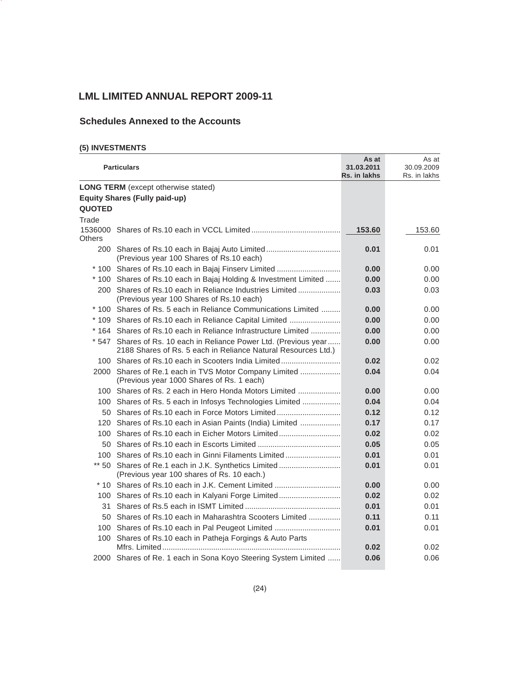# **Schedules Annexed to the Accounts**

# **(5) INVESTMENTS**

|                   | <b>Particulars</b>                                                                                                                 | As at<br>31.03.2011<br>Rs. in lakhs | As at<br>30.09.2009<br>Rs. in lakhs |
|-------------------|------------------------------------------------------------------------------------------------------------------------------------|-------------------------------------|-------------------------------------|
|                   | <b>LONG TERM</b> (except otherwise stated)                                                                                         |                                     |                                     |
|                   | <b>Equity Shares (Fully paid-up)</b>                                                                                               |                                     |                                     |
| <b>QUOTED</b>     |                                                                                                                                    |                                     |                                     |
| Trade             |                                                                                                                                    |                                     |                                     |
| 1536000<br>Others |                                                                                                                                    | 153.60                              | 153.60                              |
| 200               | (Previous year 100 Shares of Rs.10 each)                                                                                           | 0.01                                | 0.01                                |
|                   | * 100 Shares of Rs.10 each in Bajaj Finserv Limited                                                                                | 0.00                                | 0.00                                |
|                   | * 100 Shares of Rs.10 each in Bajaj Holding & Investment Limited                                                                   | 0.00                                | 0.00                                |
|                   | 200 Shares of Rs.10 each in Reliance Industries Limited<br>(Previous year 100 Shares of Rs.10 each)                                | 0.03                                | 0.03                                |
|                   | * 100 Shares of Rs. 5 each in Reliance Communications Limited                                                                      | 0.00                                | 0.00                                |
|                   | * 109 Shares of Rs.10 each in Reliance Capital Limited                                                                             | 0.00                                | 0.00                                |
|                   | * 164 Shares of Rs.10 each in Reliance Infrastructure Limited                                                                      | 0.00                                | 0.00                                |
|                   | * 547 Shares of Rs. 10 each in Reliance Power Ltd. (Previous year<br>2188 Shares of Rs. 5 each in Reliance Natural Resources Ltd.) | 0.00                                | 0.00                                |
|                   | 100 Shares of Rs.10 each in Scooters India Limited                                                                                 | 0.02                                | 0.02                                |
| 2000              | Shares of Re.1 each in TVS Motor Company Limited<br>(Previous year 1000 Shares of Rs. 1 each)                                      | 0.04                                | 0.04                                |
|                   | 100 Shares of Rs. 2 each in Hero Honda Motors Limited                                                                              | 0.00                                | 0.00                                |
| 100               | Shares of Rs. 5 each in Infosys Technologies Limited                                                                               | 0.04                                | 0.04                                |
| 50                |                                                                                                                                    | 0.12                                | 0.12                                |
| $120 -$           | Shares of Rs.10 each in Asian Paints (India) Limited                                                                               | 0.17                                | 0.17                                |
| 100               |                                                                                                                                    | 0.02                                | 0.02                                |
|                   |                                                                                                                                    | 0.05                                | 0.05                                |
| 100               | Shares of Rs.10 each in Ginni Filaments Limited                                                                                    | 0.01                                | 0.01                                |
|                   | ** 50 Shares of Re.1 each in J.K. Synthetics Limited<br>(Previous year 100 shares of Rs. 10 each.)                                 | 0.01                                | 0.01                                |
|                   | * 10 Shares of Rs.10 each in J.K. Cement Limited                                                                                   | 0.00                                | 0.00                                |
| 100               |                                                                                                                                    | 0.02                                | 0.02                                |
| 31                |                                                                                                                                    | 0.01                                | 0.01                                |
| 50                | Shares of Rs.10 each in Maharashtra Scooters Limited                                                                               | 0.11                                | 0.11                                |
|                   | 100 Shares of Rs.10 each in Pal Peugeot Limited                                                                                    | 0.01                                | 0.01                                |
|                   | 100 Shares of Rs.10 each in Patheja Forgings & Auto Parts                                                                          | 0.02                                | 0.02                                |
|                   | 2000 Shares of Re. 1 each in Sona Koyo Steering System Limited                                                                     | 0.06                                | 0.06                                |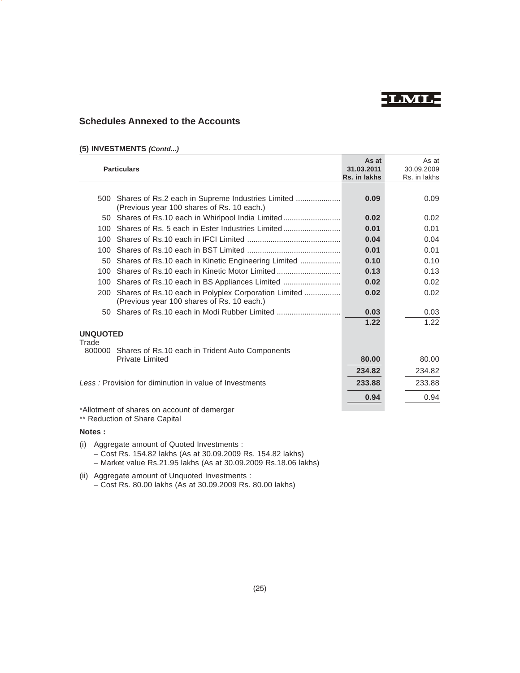**LML**

# **Schedules Annexed to the Accounts**

# **(5) INVESTMENTS** *(Contd...)*

|                 | <b>Particulars</b>                                                                                 | As at<br>31.03.2011<br>Rs. in lakhs | As at<br>30.09.2009<br>Rs. in lakhs |
|-----------------|----------------------------------------------------------------------------------------------------|-------------------------------------|-------------------------------------|
|                 |                                                                                                    |                                     |                                     |
| 500             | (Previous year 100 shares of Rs. 10 each.)                                                         | 0.09                                | 0.09                                |
|                 | 50 Shares of Rs.10 each in Whirlpool India Limited                                                 | 0.02                                | 0.02                                |
| 100             | Shares of Rs. 5 each in Ester Industries Limited                                                   | 0.01                                | 0.01                                |
| 100             |                                                                                                    | 0.04                                | 0.04                                |
| 100             |                                                                                                    | 0.01                                | 0.01                                |
| 50              |                                                                                                    | 0.10                                | 0.10                                |
| 100             | Shares of Rs.10 each in Kinetic Motor Limited                                                      | 0.13                                | 0.13                                |
| 100             |                                                                                                    | 0.02                                | 0.02                                |
| 200             | Shares of Rs.10 each in Polyplex Corporation Limited<br>(Previous year 100 shares of Rs. 10 each.) | 0.02                                | 0.02                                |
|                 | 50 Shares of Rs.10 each in Modi Rubber Limited                                                     | 0.03                                | 0.03                                |
|                 |                                                                                                    | 1.22                                | 1.22                                |
| <b>UNQUOTED</b> |                                                                                                    |                                     |                                     |
| Trade<br>800000 | Shares of Rs.10 each in Trident Auto Components                                                    |                                     |                                     |
|                 | <b>Private Limited</b>                                                                             | 80.00                               | 80.00                               |
|                 |                                                                                                    | 234.82                              | 234.82                              |
|                 | Less: Provision for diminution in value of Investments                                             | 233.88                              | 233.88                              |
|                 |                                                                                                    | 0.94                                | 0.94                                |
|                 | *Allotment of shares on account of demerger                                                        |                                     |                                     |

\*\* Reduction of Share Capital

# **Notes :**

- (i) Aggregate amount of Quoted Investments :
	- Cost Rs. 154.82 lakhs (As at 30.09.2009 Rs. 154.82 lakhs)
	- Market value Rs.21.95 lakhs (As at 30.09.2009 Rs.18.06 lakhs)
- (ii) Aggregate amount of Unquoted Investments :
	- Cost Rs. 80.00 lakhs (As at 30.09.2009 Rs. 80.00 lakhs)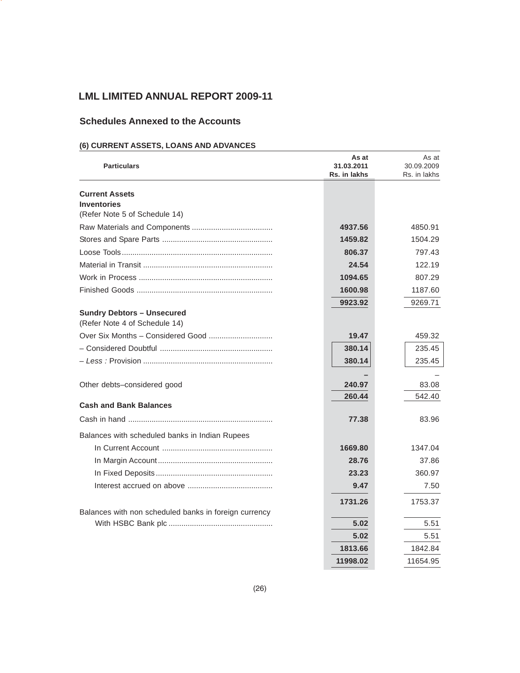# **Schedules Annexed to the Accounts**

# **(6) CURRENT ASSETS, LOANS AND ADVANCES**

| <b>Particulars</b>                                                 | As at<br>31.03.2011<br>Rs. in lakhs | As at<br>30.09.2009<br>Rs. in lakhs |
|--------------------------------------------------------------------|-------------------------------------|-------------------------------------|
| <b>Current Assets</b>                                              |                                     |                                     |
| <b>Inventories</b>                                                 |                                     |                                     |
| (Refer Note 5 of Schedule 14)                                      |                                     |                                     |
|                                                                    | 4937.56                             | 4850.91                             |
|                                                                    | 1459.82                             | 1504.29                             |
|                                                                    | 806.37                              | 797.43                              |
|                                                                    | 24.54                               | 122.19                              |
|                                                                    | 1094.65                             | 807.29                              |
|                                                                    | 1600.98                             | 1187.60                             |
|                                                                    | 9923.92                             | 9269.71                             |
| <b>Sundry Debtors - Unsecured</b><br>(Refer Note 4 of Schedule 14) |                                     |                                     |
|                                                                    | 19.47                               | 459.32                              |
|                                                                    | 380.14                              | 235.45                              |
|                                                                    | 380.14                              | 235.45                              |
|                                                                    |                                     |                                     |
| Other debts-considered good                                        | 240.97                              | 83.08                               |
| <b>Cash and Bank Balances</b>                                      | 260.44                              | 542.40                              |
|                                                                    | 77.38                               | 83.96                               |
| Balances with scheduled banks in Indian Rupees                     |                                     |                                     |
|                                                                    | 1669.80                             | 1347.04                             |
|                                                                    | 28.76                               | 37.86                               |
|                                                                    | 23.23                               | 360.97                              |
|                                                                    | 9.47                                | 7.50                                |
|                                                                    | 1731.26                             | 1753.37                             |
| Balances with non scheduled banks in foreign currency              |                                     |                                     |
|                                                                    | 5.02                                | 5.51                                |
|                                                                    | 5.02                                | 5.51                                |
|                                                                    | 1813.66                             | 1842.84                             |
|                                                                    | 11998.02                            | 11654.95                            |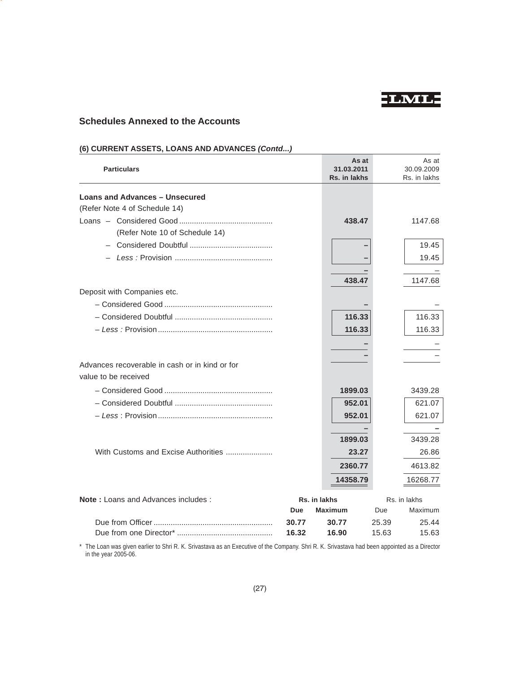

# **Schedules Annexed to the Accounts**

| <b>Particulars</b>                             |            | As at<br>31.03.2011 |       | As at<br>30.09.2009 |
|------------------------------------------------|------------|---------------------|-------|---------------------|
|                                                |            | Rs. in lakhs        |       | Rs. in lakhs        |
| <b>Loans and Advances - Unsecured</b>          |            |                     |       |                     |
| (Refer Note 4 of Schedule 14)                  |            |                     |       |                     |
|                                                |            | 438.47              |       | 1147.68             |
| (Refer Note 10 of Schedule 14)                 |            |                     |       |                     |
|                                                |            |                     |       | 19.45               |
|                                                |            |                     |       | 19.45               |
|                                                |            |                     |       |                     |
|                                                |            | 438.47              |       | 1147.68             |
| Deposit with Companies etc.                    |            |                     |       |                     |
|                                                |            |                     |       |                     |
|                                                |            | 116.33              |       | 116.33              |
|                                                |            | 116.33              |       | 116.33              |
|                                                |            |                     |       |                     |
|                                                |            |                     |       |                     |
| Advances recoverable in cash or in kind or for |            |                     |       |                     |
| value to be received                           |            |                     |       |                     |
|                                                |            |                     |       |                     |
|                                                |            | 1899.03             |       | 3439.28             |
|                                                |            | 952.01              |       | 621.07              |
|                                                |            | 952.01              |       | 621.07              |
|                                                |            |                     |       |                     |
|                                                |            | 1899.03             |       | 3439.28             |
| With Customs and Excise Authorities            |            | 23.27               |       | 26.86               |
|                                                |            | 2360.77             |       | 4613.82             |
|                                                |            | 14358.79            |       | 16268.77            |
| <b>Note:</b> Loans and Advances includes:      |            | Rs. in lakhs        |       | Rs. in lakhs        |
|                                                | <b>Due</b> | <b>Maximum</b>      | Due   | Maximum             |
|                                                | 30.77      | 30.77               | 25.39 | 25.44               |
|                                                | 16.32      | 16.90               | 15.63 | 15.63               |

# **(6) CURRENT ASSETS, LOANS AND ADVANCES** *(Contd...)*

\* The Loan was given earlier to Shri R. K. Srivastava as an Executive of the Company. Shri R. K. Srivastava had been appointed as a Director in the year 2005-06.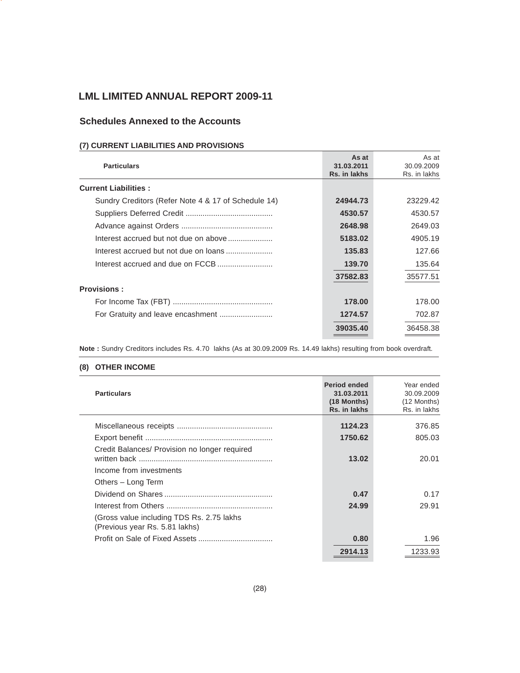# **Schedules Annexed to the Accounts**

# **(7) CURRENT LIABILITIES AND PROVISIONS**

| <b>Particulars</b>                                  | As at<br>31.03.2011<br>Rs. in lakhs | As at<br>30.09.2009<br>Rs. in lakhs |
|-----------------------------------------------------|-------------------------------------|-------------------------------------|
| <b>Current Liabilities:</b>                         |                                     |                                     |
| Sundry Creditors (Refer Note 4 & 17 of Schedule 14) | 24944.73                            | 23229.42                            |
|                                                     | 4530.57                             | 4530.57                             |
|                                                     | 2648.98                             | 2649.03                             |
| Interest accrued but not due on above               | 5183.02                             | 4905.19                             |
| Interest accrued but not due on loans               | 135.83                              | 127.66                              |
|                                                     | 139.70                              | 135.64                              |
|                                                     | 37582.83                            | 35577.51                            |
| <b>Provisions:</b>                                  |                                     |                                     |
|                                                     | 178.00                              | 178.00                              |
|                                                     | 1274.57                             | 702.87                              |
|                                                     | 39035.40                            | 36458.38                            |
|                                                     |                                     |                                     |

**Note :** Sundry Creditors includes Rs. 4.70 lakhs (As at 30.09.2009 Rs. 14.49 lakhs) resulting from book overdraft.

# **(8) OTHER INCOME**

| <b>Particulars</b>                                                           | <b>Period ended</b><br>31.03.2011<br>(18 Months)<br>Rs. in lakhs | Year ended<br>30.09.2009<br>(12 Months)<br>Rs. in lakhs |
|------------------------------------------------------------------------------|------------------------------------------------------------------|---------------------------------------------------------|
|                                                                              | 1124.23                                                          | 376.85                                                  |
|                                                                              | 1750.62                                                          | 805.03                                                  |
| Credit Balances/ Provision no longer required                                | 13.02                                                            | 20.01                                                   |
| Income from investments                                                      |                                                                  |                                                         |
| Others - Long Term                                                           |                                                                  |                                                         |
|                                                                              | 0.47                                                             | 0.17                                                    |
|                                                                              | 24.99                                                            | 29.91                                                   |
| (Gross value including TDS Rs. 2.75 lakhs)<br>(Previous year Rs. 5.81 lakhs) |                                                                  |                                                         |
|                                                                              | 0.80                                                             | 1.96                                                    |
|                                                                              | 2914.13                                                          | 1233.93                                                 |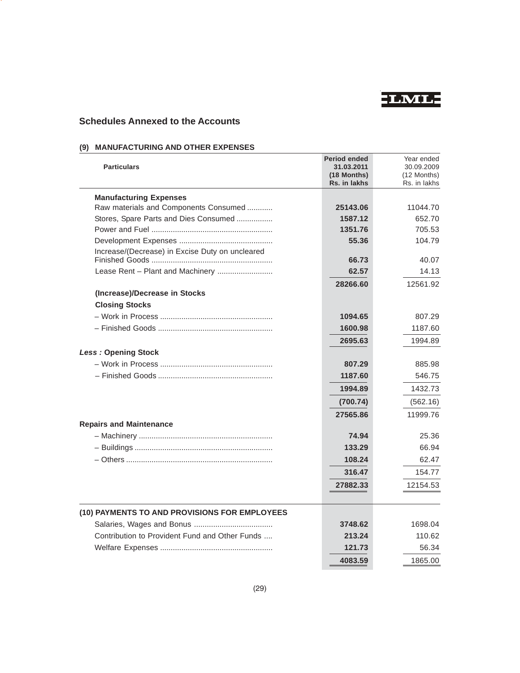

# **Schedules Annexed to the Accounts**

# **(9) MANUFACTURING AND OTHER EXPENSES**

| <b>Particulars</b>                              | <b>Period ended</b><br>31.03.2011<br>(18 Months)<br>Rs. in lakhs | Year ended<br>30.09.2009<br>(12 Months)<br>Rs. in lakhs |
|-------------------------------------------------|------------------------------------------------------------------|---------------------------------------------------------|
| <b>Manufacturing Expenses</b>                   |                                                                  |                                                         |
| Raw materials and Components Consumed           | 25143.06                                                         | 11044.70                                                |
| Stores, Spare Parts and Dies Consumed           | 1587.12                                                          | 652.70                                                  |
|                                                 | 1351.76                                                          | 705.53                                                  |
|                                                 | 55.36                                                            | 104.79                                                  |
| Increase/(Decrease) in Excise Duty on uncleared | 66.73                                                            | 40.07                                                   |
| Lease Rent - Plant and Machinery                | 62.57                                                            | 14.13                                                   |
|                                                 |                                                                  |                                                         |
| (Increase)/Decrease in Stocks                   | 28266.60                                                         | 12561.92                                                |
| <b>Closing Stocks</b>                           |                                                                  |                                                         |
|                                                 | 1094.65                                                          | 807.29                                                  |
|                                                 | 1600.98                                                          | 1187.60                                                 |
|                                                 | 2695.63                                                          | 1994.89                                                 |
| <b>Less: Opening Stock</b>                      |                                                                  |                                                         |
|                                                 | 807.29                                                           | 885.98                                                  |
|                                                 | 1187.60                                                          | 546.75                                                  |
|                                                 | 1994.89                                                          | 1432.73                                                 |
|                                                 |                                                                  |                                                         |
|                                                 | (700.74)                                                         | (562.16)                                                |
| <b>Repairs and Maintenance</b>                  | 27565.86                                                         | 11999.76                                                |
|                                                 | 74.94                                                            | 25.36                                                   |
|                                                 | 133.29                                                           | 66.94                                                   |
|                                                 | 108.24                                                           | 62.47                                                   |
|                                                 | 316.47                                                           | 154.77                                                  |
|                                                 |                                                                  |                                                         |
|                                                 | 27882.33                                                         | 12154.53                                                |
| (10) PAYMENTS TO AND PROVISIONS FOR EMPLOYEES   |                                                                  |                                                         |
|                                                 | 3748.62                                                          | 1698.04                                                 |
| Contribution to Provident Fund and Other Funds  | 213.24                                                           | 110.62                                                  |
|                                                 | 121.73                                                           | 56.34                                                   |
|                                                 | 4083.59                                                          | 1865.00                                                 |
|                                                 |                                                                  |                                                         |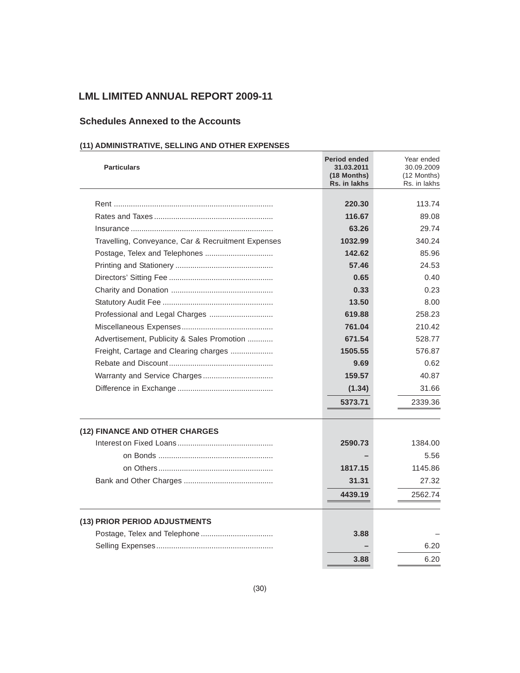# **Schedules Annexed to the Accounts**

# **(11) ADMINISTRATIVE, SELLING AND OTHER EXPENSES**

| <b>Particulars</b>                                 | <b>Period ended</b><br>31.03.2011<br>(18 Months)<br>Rs. in lakhs | Year ended<br>30.09.2009<br>(12 Months)<br>Rs. in lakhs |
|----------------------------------------------------|------------------------------------------------------------------|---------------------------------------------------------|
|                                                    | 220.30                                                           | 113.74                                                  |
|                                                    | 116.67                                                           | 89.08                                                   |
|                                                    | 63.26                                                            | 29.74                                                   |
| Travelling, Conveyance, Car & Recruitment Expenses | 1032.99                                                          | 340.24                                                  |
| Postage, Telex and Telephones                      | 142.62                                                           | 85.96                                                   |
|                                                    | 57.46                                                            | 24.53                                                   |
|                                                    | 0.65                                                             | 0.40                                                    |
|                                                    | 0.33                                                             | 0.23                                                    |
|                                                    | 13.50                                                            | 8.00                                                    |
|                                                    | 619.88                                                           | 258.23                                                  |
|                                                    | 761.04                                                           | 210.42                                                  |
| Advertisement, Publicity & Sales Promotion         | 671.54                                                           | 528.77                                                  |
| Freight, Cartage and Clearing charges              | 1505.55                                                          | 576.87                                                  |
|                                                    | 9.69                                                             | 0.62                                                    |
|                                                    | 159.57                                                           | 40.87                                                   |
|                                                    | (1.34)                                                           | 31.66                                                   |
|                                                    | 5373.71                                                          | 2339.36                                                 |
| (12) FINANCE AND OTHER CHARGES                     |                                                                  |                                                         |
|                                                    | 2590.73                                                          | 1384.00                                                 |
|                                                    |                                                                  | 5.56                                                    |
|                                                    | 1817.15                                                          | 1145.86                                                 |
|                                                    | 31.31                                                            | 27.32                                                   |
|                                                    | 4439.19                                                          | 2562.74                                                 |
| (13) PRIOR PERIOD ADJUSTMENTS                      |                                                                  |                                                         |
|                                                    | 3.88                                                             |                                                         |
|                                                    |                                                                  | 6.20                                                    |
|                                                    | 3.88                                                             | 6.20                                                    |
|                                                    |                                                                  |                                                         |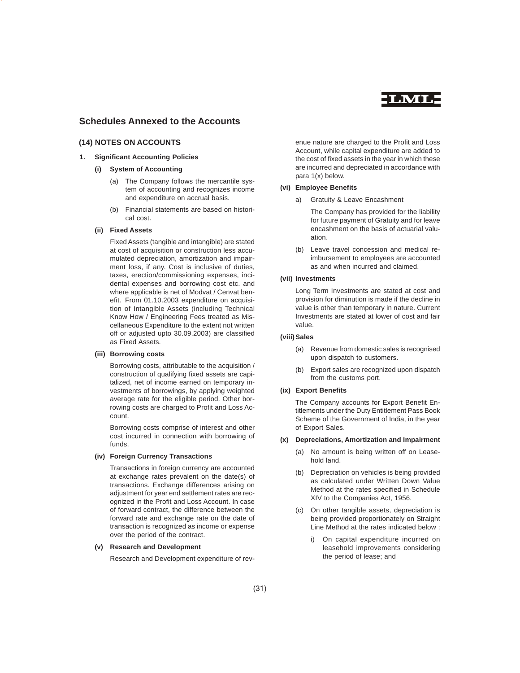

# **Schedules Annexed to the Accounts**

# **(14) NOTES ON ACCOUNTS**

# **1. Significant Accounting Policies**

# **(i) System of Accounting**

- (a) The Company follows the mercantile system of accounting and recognizes income and expenditure on accrual basis.
- (b) Financial statements are based on historical cost.

# **(ii) Fixed Assets**

Fixed Assets (tangible and intangible) are stated at cost of acquisition or construction less accumulated depreciation, amortization and impairment loss, if any. Cost is inclusive of duties, taxes, erection/commissioning expenses, incidental expenses and borrowing cost etc. and where applicable is net of Modvat / Cenvat benefit. From 01.10.2003 expenditure on acquisition of Intangible Assets (including Technical Know How / Engineering Fees treated as Miscellaneous Expenditure to the extent not written off or adjusted upto 30.09.2003) are classified as Fixed Assets.

### **(iii) Borrowing costs**

Borrowing costs, attributable to the acquisition / construction of qualifying fixed assets are capitalized, net of income earned on temporary investments of borrowings, by applying weighted average rate for the eligible period. Other borrowing costs are charged to Profit and Loss Account.

Borrowing costs comprise of interest and other cost incurred in connection with borrowing of funds.

### **(iv) Foreign Currency Transactions**

Transactions in foreign currency are accounted at exchange rates prevalent on the date(s) of transactions. Exchange differences arising on adjustment for year end settlement rates are recognized in the Profit and Loss Account. In case of forward contract, the difference between the forward rate and exchange rate on the date of transaction is recognized as income or expense over the period of the contract.

### **(v) Research and Development**

Research and Development expenditure of rev-

enue nature are charged to the Profit and Loss Account, while capital expenditure are added to the cost of fixed assets in the year in which these are incurred and depreciated in accordance with para 1(x) below.

# **(vi) Employee Benefits**

a) Gratuity & Leave Encashment

The Company has provided for the liability for future payment of Gratuity and for leave encashment on the basis of actuarial valuation.

(b) Leave travel concession and medical reimbursement to employees are accounted as and when incurred and claimed.

# **(vii) Investments**

Long Term Investments are stated at cost and provision for diminution is made if the decline in value is other than temporary in nature. Current Investments are stated at lower of cost and fair value.

# **(viii)Sales**

- (a) Revenue from domestic sales is recognised upon dispatch to customers.
- (b) Export sales are recognized upon dispatch from the customs port.

### **(ix) Export Benefits**

The Company accounts for Export Benefit Entitlements under the Duty Entitlement Pass Book Scheme of the Government of India, in the year of Export Sales.

# **(x) Depreciations, Amortization and Impairment**

- (a) No amount is being written off on Leasehold land.
- (b) Depreciation on vehicles is being provided as calculated under Written Down Value Method at the rates specified in Schedule XIV to the Companies Act, 1956.
- (c) On other tangible assets, depreciation is being provided proportionately on Straight Line Method at the rates indicated below :
	- i) On capital expenditure incurred on leasehold improvements considering the period of lease; and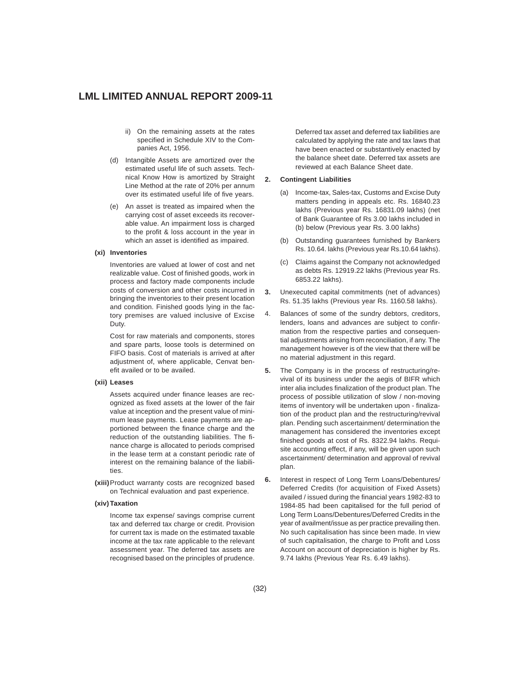- ii) On the remaining assets at the rates specified in Schedule XIV to the Companies Act, 1956.
- (d) Intangible Assets are amortized over the estimated useful life of such assets. Technical Know How is amortized by Straight Line Method at the rate of 20% per annum over its estimated useful life of five years.
- (e) An asset is treated as impaired when the carrying cost of asset exceeds its recoverable value. An impairment loss is charged to the profit & loss account in the year in which an asset is identified as impaired.

# **(xi) Inventories**

Inventories are valued at lower of cost and net realizable value. Cost of finished goods, work in process and factory made components include costs of conversion and other costs incurred in bringing the inventories to their present location and condition. Finished goods lying in the factory premises are valued inclusive of Excise Duty.

Cost for raw materials and components, stores and spare parts, loose tools is determined on FIFO basis. Cost of materials is arrived at after adjustment of, where applicable, Cenvat benefit availed or to be availed.

# **(xii) Leases**

Assets acquired under finance leases are recognized as fixed assets at the lower of the fair value at inception and the present value of minimum lease payments. Lease payments are apportioned between the finance charge and the reduction of the outstanding liabilities. The finance charge is allocated to periods comprised in the lease term at a constant periodic rate of interest on the remaining balance of the liabilities.

**(xiii)**Product warranty costs are recognized based on Technical evaluation and past experience.

### **(xiv) Taxation**

Income tax expense/ savings comprise current tax and deferred tax charge or credit. Provision for current tax is made on the estimated taxable income at the tax rate applicable to the relevant assessment year. The deferred tax assets are recognised based on the principles of prudence.

Deferred tax asset and deferred tax liabilities are calculated by applying the rate and tax laws that have been enacted or substantively enacted by the balance sheet date. Deferred tax assets are reviewed at each Balance Sheet date.

### **2. Contingent Liabilities**

- (a) Income-tax, Sales-tax, Customs and Excise Duty matters pending in appeals etc. Rs. 16840.23 lakhs (Previous year Rs. 16831.09 lakhs) (net of Bank Guarantee of Rs 3.00 lakhs included in (b) below (Previous year Rs. 3.00 lakhs)
- (b) Outstanding guarantees furnished by Bankers Rs. 10.64. lakhs (Previous year Rs.10.64 lakhs).
- (c) Claims against the Company not acknowledged as debts Rs. 12919.22 lakhs (Previous year Rs. 6853.22 lakhs).
- **3.** Unexecuted capital commitments (net of advances) Rs. 51.35 lakhs (Previous year Rs. 1160.58 lakhs).
- 4. Balances of some of the sundry debtors, creditors, lenders, loans and advances are subject to confirmation from the respective parties and consequential adjustments arising from reconciliation, if any. The management however is of the view that there will be no material adjustment in this regard.
- **5.** The Company is in the process of restructuring/revival of its business under the aegis of BIFR which inter alia includes finalization of the product plan. The process of possible utilization of slow / non-moving items of inventory will be undertaken upon - finalization of the product plan and the restructuring/revival plan. Pending such ascertainment/ determination the management has considered the inventories except finished goods at cost of Rs. 8322.94 lakhs. Requisite accounting effect, if any, will be given upon such ascertainment/ determination and approval of revival plan.
- **6.** Interest in respect of Long Term Loans/Debentures/ Deferred Credits (for acquisition of Fixed Assets) availed / issued during the financial years 1982-83 to 1984-85 had been capitalised for the full period of Long Term Loans/Debentures/Deferred Credits in the year of availment/issue as per practice prevailing then. No such capitalisation has since been made. In view of such capitalisation, the charge to Profit and Loss Account on account of depreciation is higher by Rs. 9.74 lakhs (Previous Year Rs. 6.49 lakhs).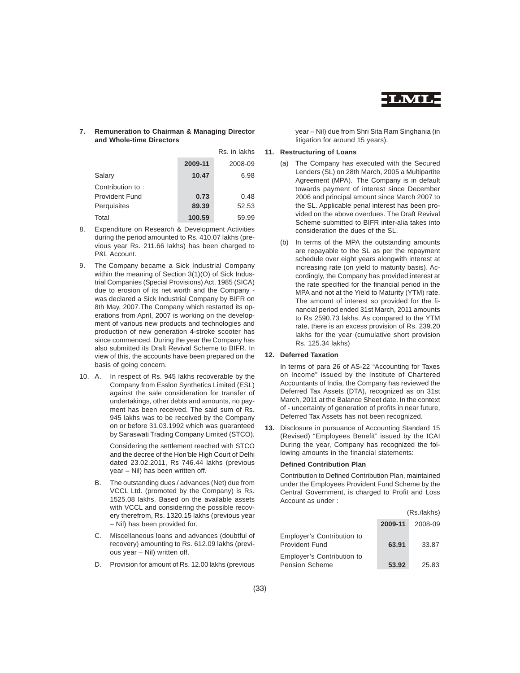

# **7. Remuneration to Chairman & Managing Director and Whole-time Directors**

|                       |         | Rs. in lakhs |
|-----------------------|---------|--------------|
|                       | 2009-11 | 2008-09      |
| Salary                | 10.47   | 6.98         |
| Contribution to:      |         |              |
| <b>Provident Fund</b> | 0.73    | 0.48         |
| Perquisites           | 89.39   | 52.53        |
| Total                 | 100.59  | 59.99        |

- 8. Expenditure on Research & Development Activities during the period amounted to Rs. 410.07 lakhs (previous year Rs. 211.66 lakhs) has been charged to P&L Account.
- 9. The Company became a Sick Industrial Company within the meaning of Section 3(1)(O) of Sick Industrial Companies (Special Provisions) Act, 1985 (SICA) due to erosion of its net worth and the Company was declared a Sick Industrial Company by BIFR on 8th May, 2007.The Company which restarted its operations from April, 2007 is working on the development of various new products and technologies and production of new generation 4-stroke scooter has since commenced. During the year the Company has also submitted its Draft Revival Scheme to BIFR. In view of this, the accounts have been prepared on the basis of going concern.
- 10. A. In respect of Rs. 945 lakhs recoverable by the Company from Esslon Synthetics Limited (ESL) against the sale consideration for transfer of undertakings, other debts and amounts, no payment has been received. The said sum of Rs. 945 lakhs was to be received by the Company on or before 31.03.1992 which was guaranteed by Saraswati Trading Company Limited (STCO).

Considering the settlement reached with STCO and the decree of the Hon'ble High Court of Delhi dated 23.02.2011, Rs 746.44 lakhs (previous year – Nil) has been written off.

- B. The outstanding dues / advances (Net) due from VCCL Ltd. (promoted by the Company) is Rs. 1525.08 lakhs. Based on the available assets with VCCL and considering the possible recovery therefrom, Rs. 1320.15 lakhs (previous year – Nil) has been provided for.
- C. Miscellaneous loans and advances (doubtful of recovery) amounting to Rs. 612.09 lakhs (previous year – Nil) written off.
- D. Provision for amount of Rs. 12.00 lakhs (previous

year – Nil) due from Shri Sita Ram Singhania (in litigation for around 15 years).

# **11. Restructuring of Loans**

- (a) The Company has executed with the Secured Lenders (SL) on 28th March, 2005 a Multipartite Agreement (MPA). The Company is in default towards payment of interest since December 2006 and principal amount since March 2007 to the SL. Applicable penal interest has been provided on the above overdues. The Draft Revival Scheme submitted to BIFR inter-alia takes into consideration the dues of the SL.
- (b) In terms of the MPA the outstanding amounts are repayable to the SL as per the repayment schedule over eight years alongwith interest at increasing rate (on yield to maturity basis). Accordingly, the Company has provided interest at the rate specified for the financial period in the MPA and not at the Yield to Maturity (YTM) rate. The amount of interest so provided for the financial period ended 31st March, 2011 amounts to Rs 2590.73 lakhs. As compared to the YTM rate, there is an excess provision of Rs. 239.20 lakhs for the year (cumulative short provision Rs. 125.34 lakhs)

### **12. Deferred Taxation**

In terms of para 26 of AS-22 "Accounting for Taxes on Income" issued by the Institute of Chartered Accountants of India, the Company has reviewed the Deferred Tax Assets (DTA), recognized as on 31st March, 2011 at the Balance Sheet date. In the context of - uncertainty of generation of profits in near future, Deferred Tax Assets has not been recognized.

**13.** Disclosure in pursuance of Accounting Standard 15 (Revised) "Employees Benefit" issued by the ICAI During the year, Company has recognized the following amounts in the financial statements:

# **Defined Contribution Plan**

Contribution to Defined Contribution Plan, maintained under the Employees Provident Fund Scheme by the Central Government, is charged to Profit and Loss Account as under :

|                                                     |         | (Rs./lakhs) |
|-----------------------------------------------------|---------|-------------|
|                                                     | 2009-11 | 2008-09     |
| Employer's Contribution to<br><b>Provident Fund</b> | 63.91   | 33.87       |
| Employer's Contribution to<br><b>Pension Scheme</b> | 53.92   | 25.83       |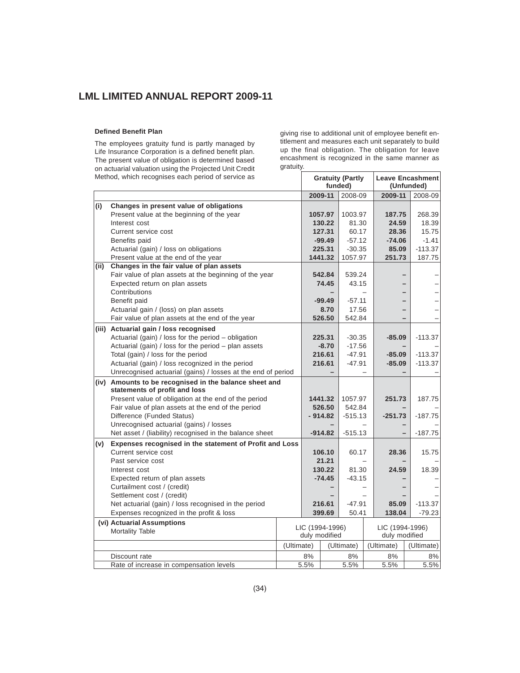# **Defined Benefit Plan**

The employees gratuity fund is partly managed by Life Insurance Corporation is a defined benefit plan. The present value of obligation is determined based on actuarial valuation using the Projected Unit Credit

giving rise to additional unit of employee benefit entitlement and measures each unit separately to build up the final obligation. The obligation for leave encashment is recognized in the same manner as gratuity.

|      | Method, which recognises each period of service as           |            | <b>Gratuity (Partly</b><br>funded) |           |            |  | Leave Encashment<br>(Unfunded) |            |
|------|--------------------------------------------------------------|------------|------------------------------------|-----------|------------|--|--------------------------------|------------|
|      |                                                              |            |                                    | 2009-11   | 2008-09    |  | 2009-11                        | 2008-09    |
| (i)  | Changes in present value of obligations                      |            |                                    |           |            |  |                                |            |
|      | Present value at the beginning of the year                   |            |                                    | 1057.97   | 1003.97    |  | 187.75                         | 268.39     |
|      | Interest cost                                                |            |                                    | 130.22    | 81.30      |  | 24.59                          | 18.39      |
|      | Current service cost                                         |            |                                    | 127.31    | 60.17      |  | 28.36                          | 15.75      |
|      | Benefits paid                                                |            |                                    | $-99.49$  | $-57.12$   |  | $-74.06$                       | $-1.41$    |
|      | Actuarial (gain) / loss on obligations                       |            |                                    | 225.31    | $-30.35$   |  | 85.09                          | $-113.37$  |
|      | Present value at the end of the year                         |            |                                    | 1441.32   | 1057.97    |  | 251.73                         | 187.75     |
| (ii) | Changes in the fair value of plan assets                     |            |                                    |           |            |  |                                |            |
|      | Fair value of plan assets at the beginning of the year       |            |                                    | 542.84    | 539.24     |  |                                |            |
|      | Expected return on plan assets                               |            |                                    | 74.45     | 43.15      |  |                                |            |
|      | Contributions                                                |            |                                    |           |            |  |                                |            |
|      | Benefit paid                                                 |            |                                    | $-99.49$  | $-57.11$   |  |                                |            |
|      | Actuarial gain / (loss) on plan assets                       |            |                                    | 8.70      | 17.56      |  |                                |            |
|      | Fair value of plan assets at the end of the year             |            |                                    | 526.50    | 542.84     |  |                                |            |
|      | (iii) Actuarial gain / loss recognised                       |            |                                    |           |            |  |                                |            |
|      | Actuarial (gain) / loss for the period - obligation          |            |                                    | 225.31    | $-30.35$   |  | $-85.09$                       | $-113.37$  |
|      | Actuarial (gain) / loss for the period - plan assets         |            |                                    | $-8.70$   | $-17.56$   |  |                                |            |
|      | Total (gain) / loss for the period                           |            |                                    | 216.61    | $-47.91$   |  | $-85.09$                       | $-113.37$  |
|      | Actuarial (gain) / loss recognized in the period             |            |                                    | 216.61    | $-47.91$   |  | $-85.09$                       | $-113.37$  |
|      | Unrecognised actuarial (gains) / losses at the end of period |            |                                    |           |            |  |                                |            |
|      | (iv) Amounts to be recognised in the balance sheet and       |            |                                    |           |            |  |                                |            |
|      | statements of profit and loss                                |            |                                    |           |            |  |                                |            |
|      | Present value of obligation at the end of the period         |            |                                    | 1441.32   | 1057.97    |  | 251.73                         | 187.75     |
|      | Fair value of plan assets at the end of the period           |            |                                    | 526.50    | 542.84     |  |                                |            |
|      | Difference (Funded Status)                                   |            |                                    | $-914.82$ | $-515.13$  |  | $-251.73$                      | $-187.75$  |
|      | Unrecognised actuarial (gains) / losses                      |            |                                    |           |            |  |                                |            |
|      | Net asset / (liability) recognised in the balance sheet      |            |                                    | $-914.82$ | $-515.13$  |  |                                | $-187.75$  |
| (v)  | Expenses recognised in the statement of Profit and Loss      |            |                                    |           |            |  |                                |            |
|      | Current service cost                                         |            |                                    | 106.10    | 60.17      |  | 28.36                          | 15.75      |
|      | Past service cost                                            |            |                                    | 21.21     |            |  |                                |            |
|      | Interest cost                                                |            |                                    | 130.22    | 81.30      |  | 24.59                          | 18.39      |
|      | Expected return of plan assets                               |            |                                    | $-74.45$  | $-43.15$   |  |                                |            |
|      | Curtailment cost / (credit)                                  |            |                                    |           |            |  |                                |            |
|      | Settlement cost / (credit)                                   |            |                                    |           |            |  |                                |            |
|      | Net actuarial (gain) / loss recognised in the period         |            |                                    | 216.61    | $-47.91$   |  | 85.09                          | $-113.37$  |
|      | Expenses recognized in the profit & loss                     |            |                                    | 399.69    | 50.41      |  | 138.04                         | $-79.23$   |
|      | (vi) Actuarial Assumptions                                   |            | LIC (1994-1996)                    |           |            |  | LIC (1994-1996)                |            |
|      | <b>Mortality Table</b>                                       |            | duly modified                      |           |            |  | duly modified                  |            |
|      |                                                              | (Ultimate) |                                    |           | (Ultimate) |  | (Ultimate)                     | (Ultimate) |
|      | Discount rate                                                |            | 8%                                 |           | 8%         |  | 8%                             | 8%         |
|      | Rate of increase in compensation levels                      |            | 5.5%                               |           | 5.5%       |  | 5.5%                           | 5.5%       |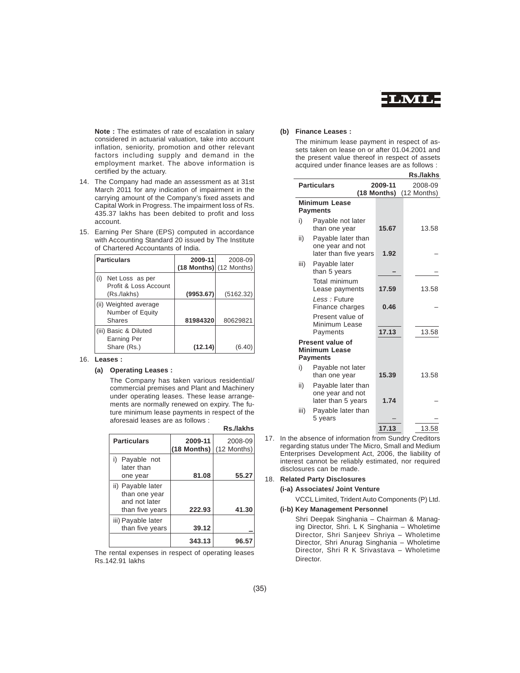

**Note :** The estimates of rate of escalation in salary considered in actuarial valuation, take into account inflation, seniority, promotion and other relevant factors including supply and demand in the employment market. The above information is certified by the actuary.

- 14. The Company had made an assessment as at 31st March 2011 for any indication of impairment in the carrying amount of the Company's fixed assets and Capital Work in Progress. The impairment loss of Rs. 435.37 lakhs has been debited to profit and loss account.
- 15. Earning Per Share (EPS) computed in accordance with Accounting Standard 20 issued by The Institute of Chartered Accountants of India.

| <b>Particulars</b>                              | 2009-11   | 2008-09                     |
|-------------------------------------------------|-----------|-----------------------------|
|                                                 |           | $(18$ Months) $(12$ Months) |
| Net Loss as per<br>(i)<br>Profit & Loss Account |           |                             |
| (Rs./lakhs)                                     | (9953.67) | (5162.32)                   |
| (ii) Weighted average<br>Number of Equity       |           |                             |
| Shares                                          | 81984320  | 80629821                    |
| (iii) Basic & Diluted<br><b>Earning Per</b>     |           |                             |
| Share (Rs.)                                     | (12.14)   |                             |

# 16. **Leases :**

### **(a) Operating Leases :**

The Company has taken various residential/ commercial premises and Plant and Machinery under operating leases. These lease arrangements are normally renewed on expiry. The future minimum lease payments in respect of the aforesaid leases are as follows :

|                                                                        |                        | Rs./lakhs              |
|------------------------------------------------------------------------|------------------------|------------------------|
| <b>Particulars</b>                                                     | 2009-11<br>(18 Months) | 2008-09<br>(12 Months) |
| i)<br>Payable not<br>later than<br>one year                            | 81.08                  | 55.27                  |
| ii) Payable later<br>than one year<br>and not later<br>than five years | 222.93                 | 41.30                  |
| iii) Payable later<br>than five years                                  | 39.12                  |                        |
|                                                                        | 343.13                 | 96.57                  |

The rental expenses in respect of operating leases Rs.142.91 lakhs

# **(b) Finance Leases :**

The minimum lease payment in respect of assets taken on lease on or after 01.04.2001 and the present value thereof in respect of assets acquired under finance leases are as follows :

|      |                                                                 |             | Rs./lakhs   |
|------|-----------------------------------------------------------------|-------------|-------------|
|      | <b>Particulars</b>                                              | 2009-11     | 2008-09     |
|      | <b>Minimum Lease</b><br><b>Payments</b>                         | (18 Months) | (12 Months) |
| i)   | Payable not later<br>than one year                              | 15.67       | 13.58       |
| ii)  | Payable later than<br>one year and not<br>later than five years | 1.92        |             |
| iii) | Payable later<br>than 5 years                                   |             |             |
|      | Total minimum<br>Lease payments                                 | 17.59       | 13.58       |
|      | Less: Future<br>Finance charges                                 | 0.46        |             |
|      | Present value of<br>Minimum Lease<br>Payments                   | 17.13       | 13.58       |
|      | Present value of<br><b>Minimum Lease</b><br><b>Payments</b>     |             |             |
| i)   | Payable not later<br>than one year                              | 15.39       | 13.58       |
| ii)  | Payable later than<br>one year and not<br>later than 5 years    | 1.74        |             |
| iii) | Payable later than<br>5 years                                   |             |             |
|      |                                                                 | 17.13       | 13.58       |

17. In the absence of information from Sundry Creditors regarding status under The Micro, Small and Medium Enterprises Development Act, 2006, the liability of interest cannot be reliably estimated, nor required disclosures can be made.

### 18. **Related Party Disclosures**

### **(i-a) Associates/ Joint Venture**

VCCL Limited, Trident Auto Components (P) Ltd.

# **(i-b) Key Management Personnel**

Shri Deepak Singhania – Chairman & Managing Director, Shri. L K Singhania – Wholetime Director, Shri Sanjeev Shriya – Wholetime Director, Shri Anurag Singhania – Wholetime Director, Shri R K Srivastava – Wholetime Director.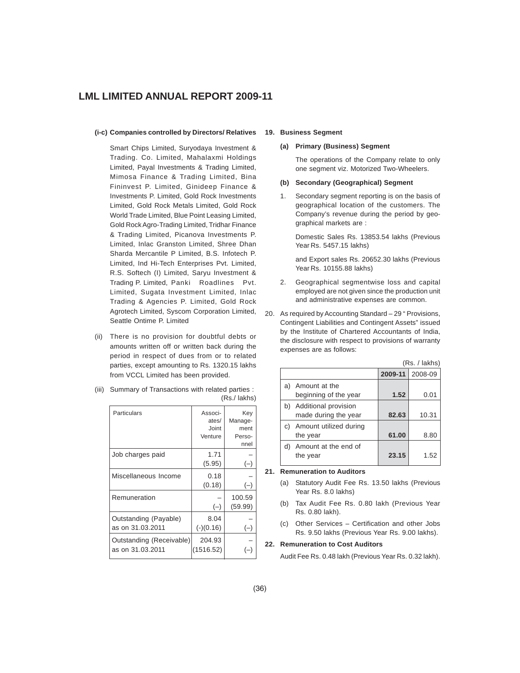### **(i-c) Companies controlled by Directors/ Relatives**

Smart Chips Limited, Suryodaya Investment & Trading. Co. Limited, Mahalaxmi Holdings Limited, Payal Investments & Trading Limited, Mimosa Finance & Trading Limited, Bina Fininvest P. Limited, Ginideep Finance & Investments P. Limited, Gold Rock Investments Limited, Gold Rock Metals Limited, Gold Rock World Trade Limited, Blue Point Leasing Limited, Gold Rock Agro-Trading Limited, Tridhar Finance & Trading Limited, Picanova Investments P. Limited, Inlac Granston Limited, Shree Dhan Sharda Mercantile P Limited, B.S. Infotech P. Limited, Ind Hi-Tech Enterprises Pvt. Limited, R.S. Softech (I) Limited, Saryu Investment & Trading P. Limited, Panki Roadlines Pvt. Limited, Sugata Investment Limited, Inlac Trading & Agencies P. Limited, Gold Rock Agrotech Limited, Syscom Corporation Limited, Seattle Ontime P. Limited

- (ii) There is no provision for doubtful debts or amounts written off or written back during the period in respect of dues from or to related parties, except amounting to Rs. 1320.15 lakhs from VCCL Limited has been provided.
- (iii) Summary of Transactions with related parties : (Rs./ lakhs)

| Particulars                                  | Associ-<br>ates/<br>Joint<br>Venture | Key<br>Manage-<br>ment<br>Perso-<br>nnel |
|----------------------------------------------|--------------------------------------|------------------------------------------|
| Job charges paid                             | 1.71<br>(5.95)                       | $(-)$                                    |
| Miscellaneous Income                         | 0.18<br>(0.18)                       |                                          |
| Remuneration                                 | $(-)$                                | 100.59<br>(59.99)                        |
| Outstanding (Payable)<br>as on 31.03.2011    | 8.04<br>$(-)(0.16)$                  | $(-)$                                    |
| Outstanding (Receivable)<br>as on 31.03.2011 | 204.93<br>(1516.52)                  |                                          |

# **19. Business Segment**

# **(a) Primary (Business) Segment**

The operations of the Company relate to only one segment viz. Motorized Two-Wheelers.

# **(b) Secondary (Geographical) Segment**

1. Secondary segment reporting is on the basis of geographical location of the customers. The Company's revenue during the period by geographical markets are :

Domestic Sales Rs. 13853.54 lakhs (Previous Year Rs. 5457.15 lakhs)

and Export sales Rs. 20652.30 lakhs (Previous Year Rs. 10155.88 lakhs)

- 2. Geographical segmentwise loss and capital employed are not given since the production unit and administrative expenses are common.
- 20. As required by Accounting Standard 29 " Provisions, Contingent Liabilities and Contingent Assets" issued by the Institute of Chartered Accountants of India, the disclosure with respect to provisions of warranty expenses are as follows:

|    |                                              |         | (Rs. / lakhs) |
|----|----------------------------------------------|---------|---------------|
|    |                                              | 2009-11 | 2008-09       |
| a) | Amount at the<br>beginning of the year       | 1.52    | 0.01          |
| b) | Additional provision<br>made during the year | 82.63   | 10.31         |
| C) | Amount utilized during<br>the year           | 61.00   | 8.80          |
| d) | Amount at the end of<br>the year             | 23.15   | 1.52          |

# **21. Remuneration to Auditors**

- (a) Statutory Audit Fee Rs. 13.50 lakhs (Previous Year Rs. 8.0 lakhs)
- (b) Tax Audit Fee Rs. 0.80 lakh (Previous Year Rs. 0.80 lakh).
- (c) Other Services Certification and other Jobs Rs. 9.50 lakhs (Previous Year Rs. 9.00 lakhs).

### **22. Remuneration to Cost Auditors**

Audit Fee Rs. 0.48 lakh (Previous Year Rs. 0.32 lakh).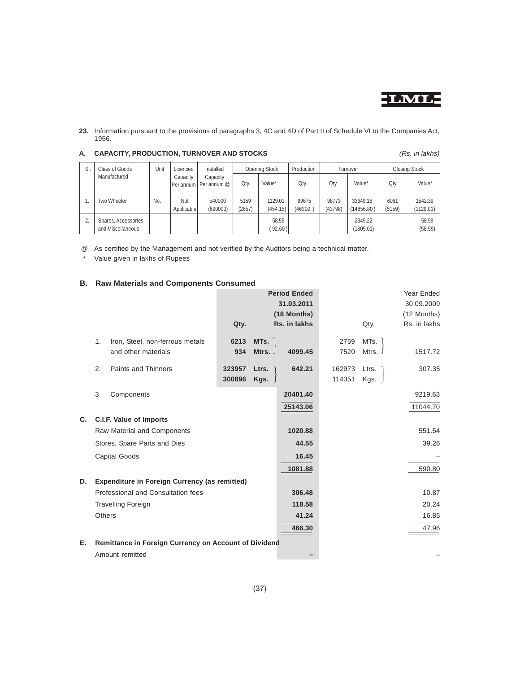

**23.** Information pursuant to the provisions of paragraphs 3, 4C and 4D of Part II of Schedule VI to the Companies Act, 1956.

| SI. | Class of Goods                           | Unit | Licenced          | Installed                            |                | <b>Opening Stock</b> | Production      |                  | Turnover               |                | <b>Closing Stock</b> |
|-----|------------------------------------------|------|-------------------|--------------------------------------|----------------|----------------------|-----------------|------------------|------------------------|----------------|----------------------|
|     | Manufactured                             |      | Capacity          | Capacity<br>IPer annum   Per annum @ | Qty.           | Value*               | Qty.            | Qty.             | Value*                 | Oty.           | Value*               |
|     | Two Wheeler                              | No.  | Not<br>Applicable | 540000<br>(690000)                   | 5159<br>(2657) | 1129.01<br>(454.15)  | 99675<br>(46300 | 98773<br>(43798) | 33649.16<br>(14856.80) | 6061<br>(5159) | 1542.39<br>(1129.01) |
| 2.  | Spares, Accessories<br>and Miscellaneous |      |                   |                                      |                | 58.59<br>(92.60)     |                 |                  | 2349.22<br>(1305.01)   |                | 58.59<br>(58.59)     |

# **A. CAPACITY, PRODUCTION, TURNOVER AND STOCKS** *(Rs. in lakhs)*

@ As certified by the Management and not verified by the Auditors being a technical matter.

\* Value given in lakhs of Rupees

# **B. Raw Materials and Components Consumed**

| (12 Months)<br>Rs. in lakhs |
|-----------------------------|
|                             |
| 1517.72                     |
| 307.35                      |
| 9219.63                     |
| 11044.70                    |
|                             |
| 551.54                      |
| 39.26                       |
|                             |
| 590.80                      |
|                             |
| 10.87                       |
| 20.24                       |
| 16.85                       |
| 47.96                       |
|                             |
|                             |
|                             |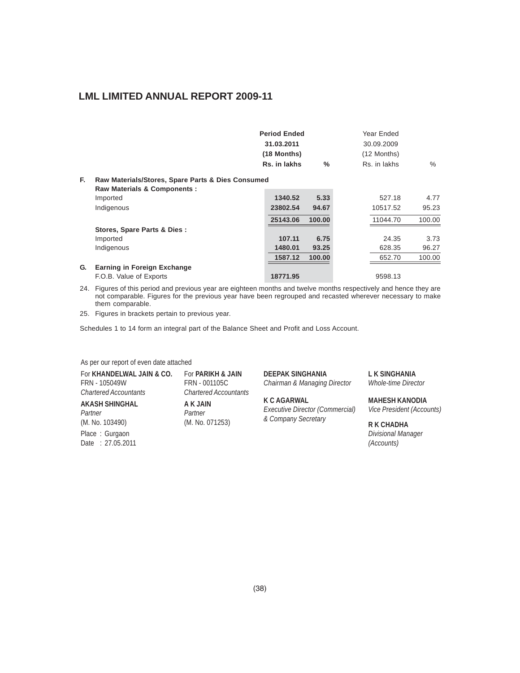|    |                                                   | <b>Period Ended</b> |               | Year Ended   |        |
|----|---------------------------------------------------|---------------------|---------------|--------------|--------|
|    |                                                   | 31.03.2011          |               | 30.09.2009   |        |
|    |                                                   | (18 Months)         |               | (12 Months)  |        |
|    |                                                   | Rs. in lakhs        | $\frac{0}{2}$ | Rs. in lakhs | $\%$   |
| F. | Raw Materials/Stores, Spare Parts & Dies Consumed |                     |               |              |        |
|    | <b>Raw Materials &amp; Components:</b>            |                     |               |              |        |
|    | Imported                                          | 1340.52             | 5.33          | 527.18       | 4.77   |
|    | Indigenous                                        | 23802.54            | 94.67         | 10517.52     | 95.23  |
|    |                                                   | 25143.06            | 100.00        | 11044.70     | 100.00 |
|    | Stores, Spare Parts & Dies :                      |                     |               |              |        |
|    | Imported                                          | 107.11              | 6.75          | 24.35        | 3.73   |
|    | Indigenous                                        | 1480.01             | 93.25         | 628.35       | 96.27  |
|    |                                                   | 1587.12             | 100.00        | 652.70       | 100.00 |
| G. | Earning in Foreign Exchange                       |                     |               |              |        |
|    | F.O.B. Value of Exports                           | 18771.95            |               | 9598.13      |        |

24. Figures of this period and previous year are eighteen months and twelve months respectively and hence they are not comparable. Figures for the previous year have been regrouped and recasted wherever necessary to make them comparable.

25. Figures in brackets pertain to previous year.

Schedules 1 to 14 form an integral part of the Balance Sheet and Profit and Loss Account.

As per our report of even date attached

| For KHANDELWAL JAIN & CO.          | For <b>PARIKH &amp; JAIN</b> | <b>DEEPAK SINGHANIA</b>                               | <b>LK SINGHANIA</b>                           |
|------------------------------------|------------------------------|-------------------------------------------------------|-----------------------------------------------|
| FRN - 105049W                      | FRN - 001105C                | Chairman & Managing Director                          | <b>Whole-time Director</b>                    |
| <b>Chartered Accountants</b>       | <b>Chartered Accountants</b> |                                                       |                                               |
| <b>AKASH SHINGHAL</b><br>Partner   | A K JAIN<br>Partner          | <b>K C AGARWAL</b><br>Executive Director (Commercial) | <b>MAHESH KANODIA</b><br>Vice President (Acco |
| (M. No. 103490)                    | (M. No. 071253)              | & Company Secretary                                   | <b>R K CHADHA</b>                             |
| Place: Gurgaon<br>Date: 27.05.2011 |                              |                                                       | Divisional Manager<br>(Accounts)              |

**FOR THANG BINGHANIA LEX SINGHANIA**<br> *Chairman & Managing Director Whole-time Director* **Chairman & Managing Director** 

*Partner Executive Director (Commercial) Vice President (Accounts)* (M. No. 103490) (M. No. 071253) *& Company Secretary* **R K CHADHA**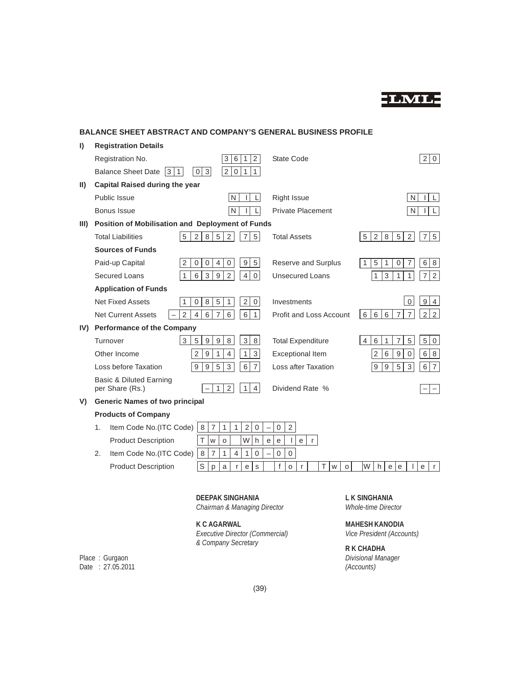

# **BALANCE SHEET ABSTRACT AND COMPANY'S GENERAL BUSINESS PROFILE**

| $\vert$        | <b>Registration Details</b>                      |                                                                                                 |                                                  |                                                                                                               |
|----------------|--------------------------------------------------|-------------------------------------------------------------------------------------------------|--------------------------------------------------|---------------------------------------------------------------------------------------------------------------|
|                | Registration No.                                 | 6<br>$\overline{2}$<br>3<br>1                                                                   | State Code                                       | 2 0                                                                                                           |
|                | 3 1<br><b>Balance Sheet Date</b>                 | 2 <sup>1</sup><br>0 1<br>0 3 <br>1                                                              |                                                  |                                                                                                               |
| $\vert \vert$  | <b>Capital Raised during the year</b>            |                                                                                                 |                                                  |                                                                                                               |
|                | Public Issue                                     | N                                                                                               | <b>Right Issue</b>                               | N                                                                                                             |
|                | Bonus Issue                                      | N                                                                                               | <b>Private Placement</b>                         | N                                                                                                             |
| $\mathbf{III}$ | Position of Mobilisation and Deployment of Funds |                                                                                                 |                                                  |                                                                                                               |
|                | <b>Total Liabilities</b><br>5                    | 8<br>5<br>$\overline{2}$<br>2<br>$\overline{7}$<br>5                                            | <b>Total Assets</b>                              | 5<br>2<br>$\overline{2}$<br>$\overline{7}$<br>5<br>8<br>5                                                     |
|                | <b>Sources of Funds</b>                          |                                                                                                 |                                                  |                                                                                                               |
|                | Paid-up Capital<br>2                             | 9<br>5<br>$\mathbf 0$<br>$\mathbf 0$<br>$\overline{4}$<br>0                                     | Reserve and Surplus                              | $\overline{7}$<br>6<br>5<br>1<br>$\mathbf 0$<br>8<br>1                                                        |
|                | Secured Loans<br>1                               | 6<br>3<br>9<br>$\overline{2}$<br>$\overline{4}$<br>$\mathbf 0$                                  | <b>Unsecured Loans</b>                           | $\mathsf 3$<br>$\mathbf{1}$<br>$\overline{7}$<br>$\overline{2}$<br>$\mathbf{1}$<br>$\mathbf{1}$               |
|                | <b>Application of Funds</b>                      |                                                                                                 |                                                  |                                                                                                               |
|                | <b>Net Fixed Assets</b><br>1                     | 8<br>5<br>1<br>$\overline{2}$<br>$\mathbf{0}$<br>$\mathbf 0$                                    | Investments                                      | 9<br>$\mathbf 0$<br>$\overline{4}$                                                                            |
|                | $\overline{2}$<br><b>Net Current Assets</b>      | 6<br>$6\phantom{a}$<br>$\overline{4}$<br>$\overline{7}$<br>6<br>$\mathbf{1}$                    | <b>Profit and Loss Account</b>                   | $\overline{7}$<br>$\overline{2}$<br>$\overline{2}$<br>6<br>6 <sup>1</sup><br>6 <sup>1</sup><br>$\overline{7}$ |
|                | IV) Performance of the Company                   |                                                                                                 |                                                  |                                                                                                               |
|                | 3<br>Turnover                                    | 8<br>3 <sup>1</sup><br>5<br>9<br>$\boldsymbol{9}$<br>8                                          | <b>Total Expenditure</b>                         | 5<br>$\overline{7}$<br>5 <sup>1</sup><br>6<br>$\mathsf{O}\xspace$<br>4<br>1                                   |
|                | Other Income                                     | $\overline{2}$<br>$\boldsymbol{9}$<br>$\mathbf{1}$<br>$\overline{4}$<br>$\mathbf{1}$<br>3       | <b>Exceptional Item</b>                          | $\,6$<br>$\overline{2}$<br>6<br>9<br>$\mathbf 0$<br>8                                                         |
|                | Loss before Taxation                             | 5<br>9<br>9<br>3<br>6<br>$\overline{7}$                                                         | Loss after Taxation                              | $9\,$<br>$9\,$<br>5<br>3<br>6<br>$\overline{7}$                                                               |
|                | Basic & Diluted Earning<br>per Share (Rs.)       | 2<br>4<br>1<br>1                                                                                | Dividend Rate %                                  |                                                                                                               |
| V)             | <b>Generic Names of two principal</b>            |                                                                                                 |                                                  |                                                                                                               |
|                | <b>Products of Company</b>                       |                                                                                                 |                                                  |                                                                                                               |
|                | Item Code No. (ITC Code)<br>1.                   | 8<br>1<br>$\overline{2}$<br>$\overline{7}$<br>$\mathbf{1}$<br>$\mathbf 0$                       | $\overline{2}$<br>0                              |                                                                                                               |
|                | <b>Product Description</b>                       | W<br>Τ<br>W<br>h<br>$\circ$<br>$\mathbf e$                                                      | $\mathsf{L}$<br>$\mathbf e$<br>$\mathsf{r}$<br>e |                                                                                                               |
|                | 2.<br>Item Code No.(ITC Code)                    | $\,8\,$<br>$\overline{7}$<br>$\overline{4}$<br>$\mathbf{1}$<br>$\mathbf{1}$<br>$\boldsymbol{0}$ | $\mathsf 0$<br>$\mathbf 0$                       |                                                                                                               |
|                | <b>Product Description</b>                       | $\mathsf S$<br>a<br>s<br>p<br>r<br>$\mathbf{e}$                                                 | f<br>т<br>O<br>r<br>$\mathsf{o}\xspace$<br>W     | lw<br>h<br>$\mathsf{e}$<br>$\mathsf{e}$<br>e<br>r.                                                            |
|                |                                                  |                                                                                                 |                                                  |                                                                                                               |
|                |                                                  | <b>DEEPAK SINGHANIA</b>                                                                         |                                                  | L K SINGHANIA                                                                                                 |

*Chairman & Managing Director Whole-time Director*

**K C AGARWAL**<br>*Executive Director (Commercial)* MAHESH KANODIA<br>*Vice President (Accounts)* **Executive Director (Commercial)** *& Company Secretary* **R K CHADHA**

Place : Gurgaon *Divisional Manager* Date : 27.05.2011 *(Accounts)*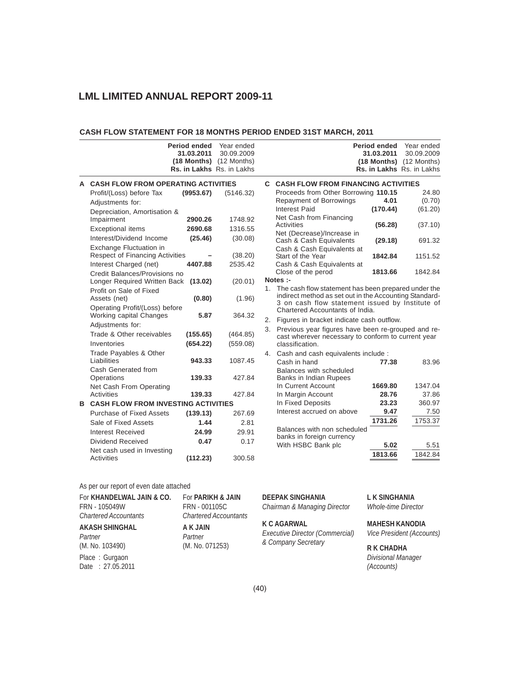# **CASH FLOW STATEMENT FOR 18 MONTHS PERIOD ENDED 31ST MARCH, 2011**

| Period ended<br>31.03.2011                                                          | Year ended<br>30.09.2009<br>(18 Months) (12 Months)<br>Rs. in Lakhs Rs. in Lakhs | <b>Period ended</b><br>Year ended<br>31.03.2011<br>30.09.2009<br>$(18$ Months) $(12$ Months)<br>Rs. in Lakhs Rs. in Lakhs                                                                              |
|-------------------------------------------------------------------------------------|----------------------------------------------------------------------------------|--------------------------------------------------------------------------------------------------------------------------------------------------------------------------------------------------------|
| A CASH FLOW FROM OPERATING ACTIVITIES                                               |                                                                                  | <b>C. CASH FLOW FROM FINANCING ACTIVITIES</b>                                                                                                                                                          |
| Profit/(Loss) before Tax<br>(9953.67)                                               | (5146.32)                                                                        | Proceeds from Other Borrowing 110.15<br>24.80                                                                                                                                                          |
| Adjustments for:                                                                    |                                                                                  | Repayment of Borrowings<br>4.01<br>(0.70)                                                                                                                                                              |
| Depreciation, Amortisation &                                                        |                                                                                  | <b>Interest Paid</b><br>(170.44)<br>(61.20)                                                                                                                                                            |
| Impairment<br>2900.26                                                               | 1748.92                                                                          | Net Cash from Financing                                                                                                                                                                                |
| <b>Exceptional items</b><br>2690.68                                                 | 1316.55                                                                          | Activities<br>(56.28)<br>(37.10)                                                                                                                                                                       |
| Interest/Dividend Income<br>(25.46)                                                 | (30.08)                                                                          | Net (Decrease)/Increase in<br>Cash & Cash Equivalents<br>(29.18)<br>691.32                                                                                                                             |
| Exchange Fluctuation in<br><b>Respect of Financing Activities</b>                   | (38.20)                                                                          | Cash & Cash Equivalents at<br>Start of the Year<br>1842.84<br>1151.52                                                                                                                                  |
| Interest Charged (net)<br>4407.88                                                   | 2535.42                                                                          | Cash & Cash Equivalents at                                                                                                                                                                             |
| Credit Balances/Provisions no                                                       |                                                                                  | Close of the perod<br>1842.84<br>1813.66                                                                                                                                                               |
| Longer Required Written Back<br>(13.02)                                             | (20.01)                                                                          | Notes :-                                                                                                                                                                                               |
| Profit on Sale of Fixed<br>(0.80)<br>Assets (net)<br>Operating Profit/(Loss) before | (1.96)                                                                           | 1. The cash flow statement has been prepared under the<br>indirect method as set out in the Accounting Standard-<br>3 on cash flow statement issued by Institute of<br>Chartered Accountants of India. |
| Working capital Changes<br>5.87                                                     | 364.32                                                                           | 2. Figures in bracket indicate cash outflow.                                                                                                                                                           |
| Adjustments for:                                                                    |                                                                                  |                                                                                                                                                                                                        |
| Trade & Other receivables<br>(155.65)                                               | (464.85)                                                                         | 3. Previous year figures have been re-grouped and re-<br>cast wherever necessary to conform to current year                                                                                            |
| Inventories<br>(654.22)                                                             | (559.08)                                                                         | classification.                                                                                                                                                                                        |
| Trade Payables & Other<br>Liabilities<br>943.33                                     | 1087.45                                                                          | 4. Cash and cash equivalents include :<br>Cash in hand<br>77.38<br>83.96                                                                                                                               |
| Cash Generated from<br>Operations<br>139.33                                         | 427.84                                                                           | Balances with scheduled<br>Banks in Indian Rupees                                                                                                                                                      |
| Net Cash From Operating                                                             |                                                                                  | In Current Account<br>1669.80<br>1347.04                                                                                                                                                               |
| <b>Activities</b><br>139.33                                                         | 427.84                                                                           | 28.76<br>37.86<br>In Margin Account                                                                                                                                                                    |
| <b>B CASH FLOW FROM INVESTING ACTIVITIES</b>                                        |                                                                                  | In Fixed Deposits<br>23.23<br>360.97                                                                                                                                                                   |
| <b>Purchase of Fixed Assets</b><br>(139.13)                                         | 267.69                                                                           | Interest accrued on above<br>9.47<br>7.50                                                                                                                                                              |
| Sale of Fixed Assets<br>1.44                                                        | 2.81                                                                             | 1753.37<br>1731.26                                                                                                                                                                                     |
| <b>Interest Received</b><br>24.99                                                   | 29.91                                                                            | Balances with non scheduled<br>banks in foreign currency                                                                                                                                               |
| Dividend Received<br>0.47                                                           | 0.17                                                                             | With HSBC Bank plc<br>5.02<br>5.51                                                                                                                                                                     |
| Net cash used in Investing<br>Activities<br>(112.23)                                | 300.58                                                                           | 1813.66<br>1842.84                                                                                                                                                                                     |

# As per our report of even date attached

| For KHANDELWAL JAIN & CO.          | For PARIKH & JAIN            |
|------------------------------------|------------------------------|
| FRN - 105049W                      | FRN - 001105C                |
| <b>Chartered Accountants</b>       | <b>Chartered Accountants</b> |
| <b>AKASH SHINGHAL</b>              | A K JAIN                     |
| Partner                            | Partner                      |
| (M. No. 103490)                    | (M. No. 071253)              |
| Place: Gurgaon<br>Date: 27.05.2011 |                              |

# **FOR THE ANDELWARD CHAND BEEPAK SINGHANIA**<br> *Chairman & Managing Director Whole-time Director*

FRN - 105049W FRN - 001105C *Chairman & Managing Director Whole-time Director*

**K C AGARWAL MAHESH KANODIA**<br>*Executive Director (Commercial) Vice President (Accounts) Executive Director (Commercial)* (M. No. 103490) (M. No. 071253) *& Company Secretary* **R K CHADHA**

*Divisional Manager*<br>*(Accounts)*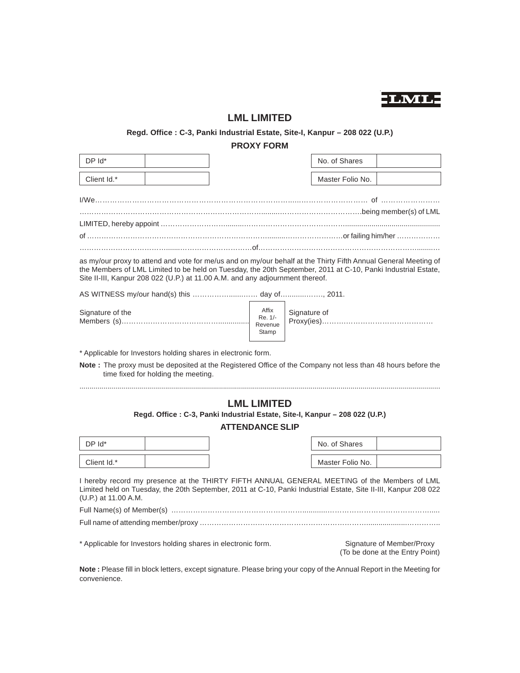

# **LML LIMITED**

# **Regd. Office : C-3, Panki Industrial Estate, Site-I, Kanpur – 208 022 (U.P.)**

# **PROXY FORM**

| DP Id*                                                                                                                                                                                                                                                                                                           |                                      |  |                    |  | No. of Shares                                                |  |
|------------------------------------------------------------------------------------------------------------------------------------------------------------------------------------------------------------------------------------------------------------------------------------------------------------------|--------------------------------------|--|--------------------|--|--------------------------------------------------------------|--|
| Client Id.*                                                                                                                                                                                                                                                                                                      |                                      |  |                    |  | Master Folio No.                                             |  |
|                                                                                                                                                                                                                                                                                                                  |                                      |  |                    |  |                                                              |  |
|                                                                                                                                                                                                                                                                                                                  |                                      |  |                    |  |                                                              |  |
|                                                                                                                                                                                                                                                                                                                  |                                      |  |                    |  |                                                              |  |
|                                                                                                                                                                                                                                                                                                                  |                                      |  |                    |  |                                                              |  |
| as my/our proxy to attend and vote for me/us and on my/our behalf at the Thirty Fifth Annual General Meeting of<br>the Members of LML Limited to be held on Tuesday, the 20th September, 2011 at C-10, Panki Industrial Estate,<br>Site II-III, Kanpur 208 022 (U.P.) at 11.00 A.M. and any adjournment thereof. |                                      |  |                    |  |                                                              |  |
| AS WITNESS my/our hand(s) this day of 2011.                                                                                                                                                                                                                                                                      |                                      |  |                    |  |                                                              |  |
| Signature of the                                                                                                                                                                                                                                                                                                 | Affix<br>Re. 1/-<br>Revenue<br>Stamp |  | Signature of       |  |                                                              |  |
| * Applicable for Investors holding shares in electronic form.                                                                                                                                                                                                                                                    |                                      |  |                    |  |                                                              |  |
| Note : The proxy must be deposited at the Registered Office of the Company not less than 48 hours before the                                                                                                                                                                                                     | time fixed for holding the meeting.  |  |                    |  |                                                              |  |
|                                                                                                                                                                                                                                                                                                                  |                                      |  | <b>LML LIMITED</b> |  |                                                              |  |
| Regd. Office: C-3, Panki Industrial Estate, Site-I, Kanpur - 208 022 (U.P.)<br><b>ATTENDANCE SLIP</b>                                                                                                                                                                                                            |                                      |  |                    |  |                                                              |  |
| DP Id*                                                                                                                                                                                                                                                                                                           |                                      |  |                    |  | No. of Shares                                                |  |
| Client Id.*                                                                                                                                                                                                                                                                                                      |                                      |  |                    |  | Master Folio No.                                             |  |
| I hereby record my presence at the THIRTY FIFTH ANNUAL GENERAL MEETING of the Members of LML<br>Limited held on Tuesday, the 20th September, 2011 at C-10, Panki Industrial Estate, Site II-III, Kanpur 208 022<br>(U.P.) at 11.00 A.M.                                                                          |                                      |  |                    |  |                                                              |  |
|                                                                                                                                                                                                                                                                                                                  |                                      |  |                    |  |                                                              |  |
|                                                                                                                                                                                                                                                                                                                  |                                      |  |                    |  |                                                              |  |
| * Applicable for Investors holding shares in electronic form.                                                                                                                                                                                                                                                    |                                      |  |                    |  | Signature of Member/Proxy<br>(To be done at the Entry Point) |  |

**Note :** Please fill in block letters, except signature. Please bring your copy of the Annual Report in the Meeting for convenience.